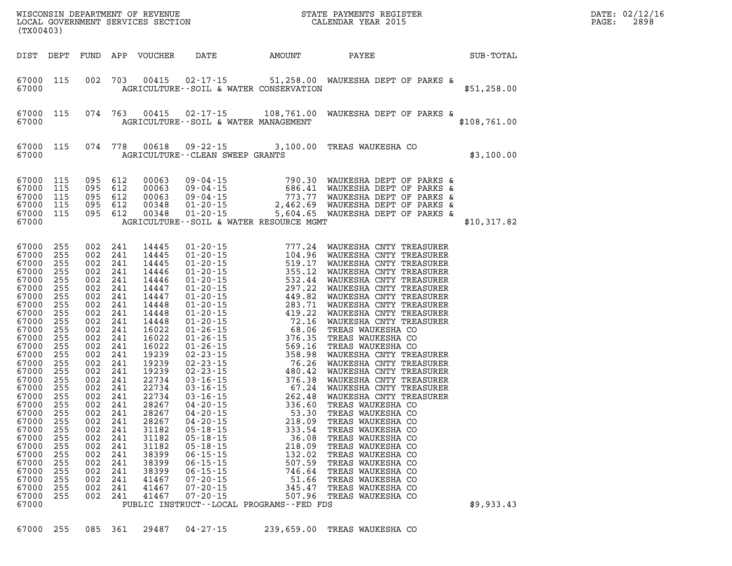| (TX00403)                                                                                                                                                                                                                                                                                        |                                                                                                                                                                                                                |                                                                                                                                                                                                                                                                           |                                                                                                                                    |                                                                                                                                                                                                                                                                                     |                                                                                                                                                                                                                              |                                                                            | WISCONSIN DEPARTMENT OF REVENUE<br>LOCAL GOVERNMENT SERVICES SECTION CALENDAR YEAR 2015                                                                                                                                                                      |              | DATE: 02/12/16<br>PAGE:<br>2898 |
|--------------------------------------------------------------------------------------------------------------------------------------------------------------------------------------------------------------------------------------------------------------------------------------------------|----------------------------------------------------------------------------------------------------------------------------------------------------------------------------------------------------------------|---------------------------------------------------------------------------------------------------------------------------------------------------------------------------------------------------------------------------------------------------------------------------|------------------------------------------------------------------------------------------------------------------------------------|-------------------------------------------------------------------------------------------------------------------------------------------------------------------------------------------------------------------------------------------------------------------------------------|------------------------------------------------------------------------------------------------------------------------------------------------------------------------------------------------------------------------------|----------------------------------------------------------------------------|--------------------------------------------------------------------------------------------------------------------------------------------------------------------------------------------------------------------------------------------------------------|--------------|---------------------------------|
| DIST DEPT                                                                                                                                                                                                                                                                                        |                                                                                                                                                                                                                |                                                                                                                                                                                                                                                                           |                                                                                                                                    | FUND APP VOUCHER                                                                                                                                                                                                                                                                    |                                                                                                                                                                                                                              | DATE AMOUNT PAYEE                                                          |                                                                                                                                                                                                                                                              | SUB-TOTAL    |                                 |
| 67000 115<br>67000                                                                                                                                                                                                                                                                               |                                                                                                                                                                                                                | 002                                                                                                                                                                                                                                                                       | 703                                                                                                                                | 00415                                                                                                                                                                                                                                                                               | AGRICULTURE--SOIL & WATER CONSERVATION                                                                                                                                                                                       |                                                                            | 02-17-15 51,258.00 WAUKESHA DEPT OF PARKS &                                                                                                                                                                                                                  | \$51,258.00  |                                 |
| 67000 115<br>67000                                                                                                                                                                                                                                                                               |                                                                                                                                                                                                                | 074 763                                                                                                                                                                                                                                                                   |                                                                                                                                    |                                                                                                                                                                                                                                                                                     | AGRICULTURE--SOIL & WATER MANAGEMENT                                                                                                                                                                                         |                                                                            | 00415 02-17-15 108,761.00 WAUKESHA DEPT OF PARKS &                                                                                                                                                                                                           | \$108,761.00 |                                 |
| 67000 115<br>67000                                                                                                                                                                                                                                                                               |                                                                                                                                                                                                                | 074 778                                                                                                                                                                                                                                                                   |                                                                                                                                    | 00618                                                                                                                                                                                                                                                                               | <b>AGRICULTURE--CLEAN SWEEP GRANTS</b>                                                                                                                                                                                       |                                                                            | 09-22-15 3,100.00 TREAS WAUKESHA CO                                                                                                                                                                                                                          | \$3,100.00   |                                 |
| 67000<br>67000<br>67000<br>67000<br>67000<br>67000                                                                                                                                                                                                                                               | 115<br>115<br>115<br>115<br>115                                                                                                                                                                                | 095 612<br>095 612<br>095 612<br>095 612<br>095 612                                                                                                                                                                                                                       |                                                                                                                                    | 00063<br>00063<br>00063<br>00348<br>00348                                                                                                                                                                                                                                           | AGRICULTURE--SOIL & WATER RESOURCE MGMT                                                                                                                                                                                      |                                                                            | 09-04-15<br>09-04-15<br>09-04-15<br>09-04-15<br>01-20-15<br>2,462.69<br>MAUKESHA DEPT OF PARKS &<br>01-20-15<br>2,462.69<br>MAUKESHA DEPT OF PARKS &<br>01-20-15<br>5,604.65<br>MAUKESHA DEPT OF PARKS &<br>01-20-15<br>5,604.65<br>MAUKESHA DEPT OF PARKS & | \$10,317.82  |                                 |
| 67000<br>67000<br>67000<br>67000<br>67000<br>67000<br>67000<br>67000<br>67000<br>67000<br>67000<br>67000<br>67000<br>67000<br>67000<br>67000<br>67000<br>67000<br>67000<br>67000<br>67000<br>67000 255<br>67000<br>67000<br>67000<br>67000<br>67000<br>67000<br>67000<br>67000<br>67000<br>67000 | 255<br>255<br>255<br>255<br>255<br>255<br>255<br>255<br>255<br>255<br>255<br>255<br>255<br>255<br>255<br>255<br>255<br>255<br>255<br>255<br>255<br>255<br>255<br>255<br>255<br>255<br>255<br>255<br>255<br>255 | 002 241<br>002 241<br>002 241<br>002 241<br>002<br>002 241<br>002<br>002 241<br>002<br>002<br>002<br>002 241<br>002<br>002<br>002<br>002 241<br>002<br>002 241<br>002<br>002 241<br>002<br>002 241<br>002<br>002 241<br>002<br>002<br>002<br>002<br>002<br>002<br>002 241 | 241<br>241<br>241<br>241<br>241<br>241<br>241<br>241<br>241<br>241<br>241<br>241<br>241<br>- 241<br>241<br>- 241<br>- 241<br>- 241 | 14445<br>14445<br>14445<br>14446<br>14446<br>14447<br>14447<br>14448<br>14448<br>14448<br>16022<br>16022<br>16022<br>19239<br>19239<br>19239<br>22734<br>22734<br>22734<br>28267<br>28267<br>28267<br>31182<br>31182<br>31182<br>38399<br>38399<br>38399<br>41467<br>41467<br>41467 | $04 - 20 - 15$<br>$05 - 18 - 15$<br>$05 - 18 - 15$<br>$05 - 18 - 15$<br>$06 - 15 - 15$<br>$06 - 15 - 15$<br>$06 - 15 - 15$<br>$07 - 20 - 15$<br>$07 - 20 - 15$<br>$07 - 20 - 15$<br>PUBLIC INSTRUCT--LOCAL PROGRAMS--FED FDS | 333.54<br>36.08<br>218.09<br>132.02<br>507.59<br>746.64<br>51.66<br>345.47 | 218.09 TREAS WAUKESHA CO<br>TREAS WAUKESHA CO<br>TREAS WAUKESHA CO<br>TREAS WAUKESHA CO<br>TREAS WAUKESHA CO<br>TREAS WAUKESHA CO<br>TREAS WAUKESHA CO<br>TREAS WAUKESHA CO<br>TREAS WAUKESHA CO<br>507.96 TREAS WAUKESHA CO                                 | \$9,933.43   |                                 |

**67000 255 085 361 29487 04-27-15 239,659.00 TREAS WAUKESHA CO**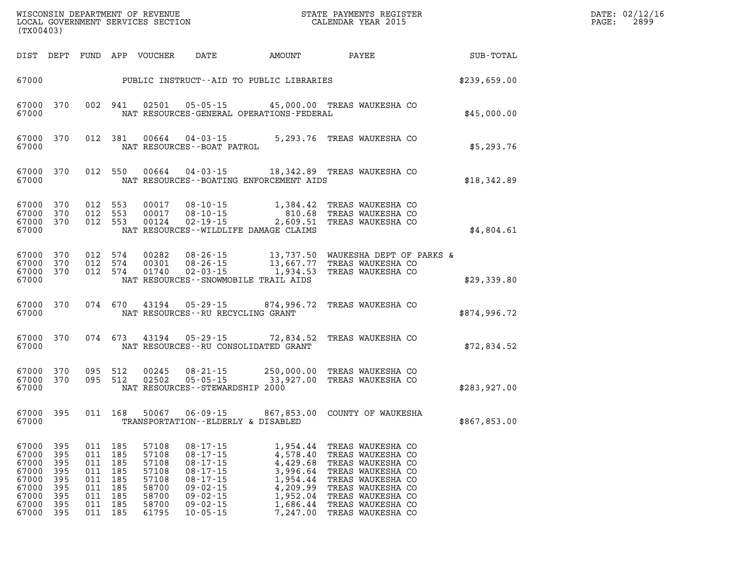| (TX00403)                                                                     |                                                             |                                                             |                                                             |                                                                               | WISCONSIN DEPARTMENT OF REVENUE<br>LOCAL GOVERNMENT SERVICES SECTION                                                                                           |                                                                                                          | STATE PAYMENTS REGISTER<br>CALENDAR YEAR 2015                                                                                                                                             |              | DATE: 02/12/16<br>PAGE:<br>2899 |
|-------------------------------------------------------------------------------|-------------------------------------------------------------|-------------------------------------------------------------|-------------------------------------------------------------|-------------------------------------------------------------------------------|----------------------------------------------------------------------------------------------------------------------------------------------------------------|----------------------------------------------------------------------------------------------------------|-------------------------------------------------------------------------------------------------------------------------------------------------------------------------------------------|--------------|---------------------------------|
| DIST DEPT                                                                     |                                                             | FUND                                                        |                                                             | APP VOUCHER                                                                   | DATE                                                                                                                                                           | AMOUNT                                                                                                   | PAYEE                                                                                                                                                                                     | SUB-TOTAL    |                                 |
| 67000                                                                         | PUBLIC INSTRUCT--AID TO PUBLIC LIBRARIES                    |                                                             |                                                             |                                                                               |                                                                                                                                                                |                                                                                                          |                                                                                                                                                                                           | \$239,659.00 |                                 |
| 67000<br>67000                                                                | 370                                                         | 002 941                                                     |                                                             | 02501                                                                         | $05 - 05 - 15$                                                                                                                                                 | NAT RESOURCES-GENERAL OPERATIONS-FEDERAL                                                                 | 45,000.00 TREAS WAUKESHA CO                                                                                                                                                               | \$45,000.00  |                                 |
| 67000<br>67000                                                                | 370                                                         | 012 381                                                     |                                                             | 00664                                                                         | 04 - 03 - 15<br>NAT RESOURCES--BOAT PATROL                                                                                                                     |                                                                                                          | 5,293.76 TREAS WAUKESHA CO                                                                                                                                                                | \$5,293.76   |                                 |
| 67000<br>67000                                                                | 370                                                         | 012 550                                                     |                                                             | 00664                                                                         | $04 - 03 - 15$                                                                                                                                                 | NAT RESOURCES--BOATING ENFORCEMENT AIDS                                                                  | 18,342.89 TREAS WAUKESHA CO                                                                                                                                                               | \$18,342.89  |                                 |
| 67000<br>67000<br>67000<br>67000                                              | 370<br>370<br>370                                           | 012 553<br>012 553<br>012 553                               |                                                             | 00017<br>00017<br>00124                                                       | $08 - 10 - 15$<br>08-10-15<br>02-19-15                                                                                                                         | 1,384.42<br>810.68<br>2,609.51<br>NAT RESOURCES--WILDLIFE DAMAGE CLAIMS                                  | TREAS WAUKESHA CO<br>TREAS WAUKESHA CO<br>TREAS WAUKESHA CO                                                                                                                               | \$4,804.61   |                                 |
| 67000<br>67000<br>67000<br>67000                                              | 370<br>370<br>370                                           | 012<br>012<br>012 574                                       | 574<br>574                                                  | 00282<br>00301<br>01740                                                       | 08-26-15<br>$08 - 26 - 15$<br>$02 - 03 - 15$                                                                                                                   | 13,737.50<br>13,667.77<br>1,934.53<br>NAT RESOURCES - - SNOWMOBILE TRAIL AIDS                            | WAUKESHA DEPT OF PARKS &<br>TREAS WAUKESHA CO<br>TREAS WAUKESHA CO                                                                                                                        | \$29,339.80  |                                 |
| 67000<br>67000                                                                | 370                                                         | 074 670                                                     |                                                             | 43194                                                                         | 05 - 29 - 15<br>NAT RESOURCES--RU RECYCLING GRANT                                                                                                              | 874,996.72                                                                                               | TREAS WAUKESHA CO                                                                                                                                                                         | \$874,996.72 |                                 |
| 67000<br>67000                                                                | 370                                                         | 074 673                                                     |                                                             | 43194                                                                         | 05-29-15                                                                                                                                                       | 72,834.52<br>NAT RESOURCES - - RU CONSOLIDATED GRANT                                                     | TREAS WAUKESHA CO                                                                                                                                                                         | \$72,834.52  |                                 |
| 67000<br>67000<br>67000                                                       | 370<br>370                                                  | 095 512<br>095 512                                          |                                                             | 00245<br>02502                                                                | $08 - 21 - 15$<br>$05 - 05 - 15$<br>NAT RESOURCES - - STEWARDSHIP 2000                                                                                         | 250,000.00<br>33,927.00                                                                                  | TREAS WAUKESHA CO<br>TREAS WAUKESHA CO                                                                                                                                                    | \$283,927.00 |                                 |
| 67000 395<br>67000                                                            |                                                             | 011 168                                                     |                                                             | 50067                                                                         | $06 - 09 - 15$<br>TRANSPORTATION--ELDERLY & DISABLED                                                                                                           |                                                                                                          | 867,853.00 COUNTY OF WAUKESHA                                                                                                                                                             | \$867,853.00 |                                 |
| 67000<br>67000<br>67000<br>67000<br>67000<br>67000<br>67000<br>67000<br>67000 | 395<br>395<br>395<br>395<br>395<br>395<br>395<br>395<br>395 | 011<br>011<br>011<br>011<br>011<br>011<br>011<br>011<br>011 | 185<br>185<br>185<br>185<br>185<br>185<br>185<br>185<br>185 | 57108<br>57108<br>57108<br>57108<br>57108<br>58700<br>58700<br>58700<br>61795 | $08 - 17 - 15$<br>$08 - 17 - 15$<br>$08 - 17 - 15$<br>$08 - 17 - 15$<br>$08 - 17 - 15$<br>$09 - 02 - 15$<br>$09 - 02 - 15$<br>$09 - 02 - 15$<br>$10 - 05 - 15$ | 1,954.44<br>4,578.40<br>4,429.68<br>3,996.64<br>1,954.44<br>4,209.99<br>1,952.04<br>1,686.44<br>7,247.00 | TREAS WAUKESHA CO<br>TREAS WAUKESHA CO<br>TREAS WAUKESHA CO<br>TREAS WAUKESHA CO<br>TREAS WAUKESHA CO<br>TREAS WAUKESHA CO<br>TREAS WAUKESHA CO<br>TREAS WAUKESHA CO<br>TREAS WAUKESHA CO |              |                                 |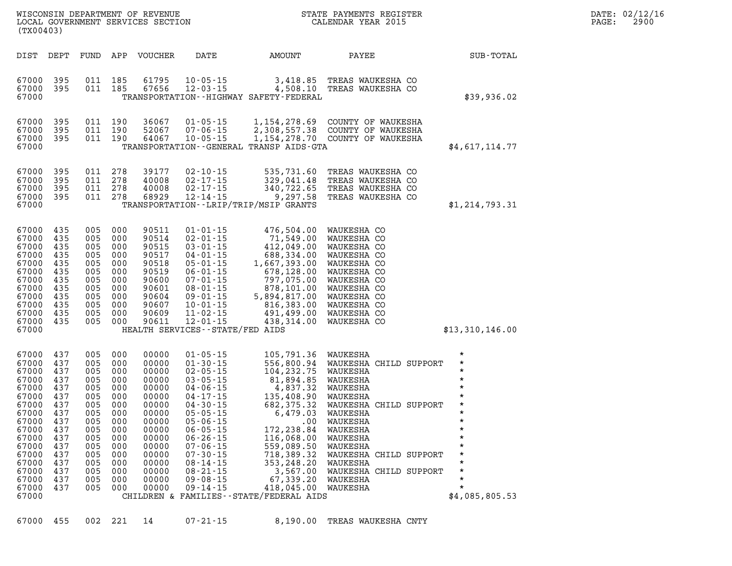| 67000 455 002 221 14 |  |  |  |  | 07-21-15 | 8,190.00 TREAS WAUKESHA CNTY |  |  |  |
|----------------------|--|--|--|--|----------|------------------------------|--|--|--|
|----------------------|--|--|--|--|----------|------------------------------|--|--|--|

LOCAL GOVERNMENT SERVICES SECTION

**(TX00403)** 

| 67000<br>67000 | 435<br>435 | <b>UU5</b><br>005 | <b>UUU</b> | 90609<br>90611 | 11-02-15                                   | 491,499.00 | WAUKESHA CO            |  |                 |
|----------------|------------|-------------------|------------|----------------|--------------------------------------------|------------|------------------------|--|-----------------|
|                |            |                   | 000        |                | $12 - 01 - 15$                             | 438,314.00 | WAUKESHA CO            |  |                 |
| 67000          |            |                   |            |                | HEALTH SERVICES - - STATE/FED AIDS         |            |                        |  | \$13,310,146.00 |
|                |            |                   |            |                |                                            |            |                        |  |                 |
| 67000          | 437        | 005               | 000        | 00000          | $01 - 05 - 15$                             | 105,791.36 | WAUKESHA               |  | *               |
| 67000          | 437        | 005               | 000        | 00000          | $01 - 30 - 15$                             | 556,800.94 | WAUKESHA CHILD SUPPORT |  | $\star$         |
| 67000          | 437        | 005               | 000        | 00000          | $02 - 05 - 15$                             | 104,232.75 | WAUKESHA               |  | $\star$         |
| 67000          | 437        | 005               | 000        | 00000          | $03 - 05 - 15$                             | 81,894.85  | WAUKESHA               |  | $\star$         |
| 67000          | 437        | 005               | 000        | 00000          | 04-06-15                                   | 4,837.32   | WAUKESHA               |  | $\star$         |
| 67000          | 437        | 005               | 000        | 00000          | $04 - 17 - 15$                             | 135,408.90 | WAUKESHA               |  | $\star$         |
| 67000          | 437        | 005               | 000        | 00000          | $04 - 30 - 15$                             | 682,375.32 | WAUKESHA CHILD SUPPORT |  | $\star$         |
| 67000          | 437        | 005               | 000        | 00000          | $05 - 05 - 15$                             | 6,479.03   | WAUKESHA               |  | $\star$         |
| 67000          | 437        | 005               | 000        | 00000          | $05 - 06 - 15$                             | $.00 \,$   | WAUKESHA               |  | *               |
| 67000          | 437        | 005               | 000        | 00000          | $06 - 05 - 15$                             | 172,238.84 | WAUKESHA               |  | $\star$         |
| 67000          | 437        | 005               | 000        | 00000          | $06 - 26 - 15$                             | 116,068.00 | WAUKESHA               |  | *               |
| 67000          | 437        | 005               | 000        | 00000          | $07 - 06 - 15$                             | 559,089.50 | WAUKESHA               |  | $\star$         |
| 67000          | 437        | 005               | 000        | 00000          | $07 - 30 - 15$                             | 718,389.32 | WAUKESHA CHILD SUPPORT |  | $\star$         |
| 67000          | 437        | 005               | 000        | 00000          | $08 - 14 - 15$                             | 353,248.20 | WAUKESHA               |  | $\star$         |
| 67000          | 437        | 005               | 000        | 00000          | 08-21-15                                   | 3,567.00   | WAUKESHA CHILD SUPPORT |  | $\star$         |
| 67000          | 437        | 005               | 000        | 00000          | 09 - 08 - 15                               | 67,339.20  | WAUKESHA               |  | $\star$         |
| 67000          | 437        | 005               | 000        | 00000          | $09 - 14 - 15$                             | 418,045.00 | WAUKESHA               |  | $\star$         |
| 67000          |            |                   |            |                | CHILDREN & FAMILIES - - STATE/FEDERAL AIDS |            |                        |  | \$4,085,805.53  |
|                |            |                   |            |                |                                            |            |                        |  |                 |

| 67000<br>67000                                                                                           | 395                                                                              | 011                                                                       | 190                                                                              | 64067                                                                                                    | $10 - 05 - 15$                                                                                                                                                                   |                                                                                                                                                           | 1,154,278.70 COUNTY OF WAUKESHA                                                                                                                                   |             |
|----------------------------------------------------------------------------------------------------------|----------------------------------------------------------------------------------|---------------------------------------------------------------------------|----------------------------------------------------------------------------------|----------------------------------------------------------------------------------------------------------|----------------------------------------------------------------------------------------------------------------------------------------------------------------------------------|-----------------------------------------------------------------------------------------------------------------------------------------------------------|-------------------------------------------------------------------------------------------------------------------------------------------------------------------|-------------|
|                                                                                                          |                                                                                  |                                                                           |                                                                                  |                                                                                                          |                                                                                                                                                                                  | TRANSPORTATION--GENERAL TRANSP AIDS-GTA                                                                                                                   |                                                                                                                                                                   | \$4,617,    |
| 67000<br>67000<br>67000<br>67000                                                                         | 395<br>395<br>395<br>395                                                         | 011<br>011<br>011<br>011                                                  | 278<br>278<br>278<br>278                                                         | 39177<br>40008<br>40008<br>68929                                                                         | $02 - 10 - 15$<br>02-17-15<br>02-17-15<br>12-14-15                                                                                                                               | 535,731.60<br>329,041.48<br>340,722.65<br>9,297.58                                                                                                        | TREAS WAUKESHA CO<br>TREAS WAUKESHA CO<br>TREAS WAUKESHA CO<br>TREAS WAUKESHA CO                                                                                  |             |
| 67000                                                                                                    |                                                                                  |                                                                           |                                                                                  |                                                                                                          |                                                                                                                                                                                  | TRANSPORTATION - - LRIP/TRIP/MSIP GRANTS                                                                                                                  |                                                                                                                                                                   | \$1,214,    |
| 67000<br>67000<br>67000<br>67000<br>67000<br>67000<br>67000<br>67000<br>67000<br>67000<br>67000<br>67000 | 435<br>435<br>435<br>435<br>435<br>435<br>435<br>435<br>435<br>435<br>435<br>435 | 005<br>005<br>005<br>005<br>005<br>005<br>005<br>005<br>005<br>005<br>005 | 000<br>000<br>000<br>000<br>000<br>000<br>000<br>000<br>000<br>000<br>000<br>000 | 90511<br>90514<br>90515<br>90517<br>90518<br>90519<br>90600<br>90601<br>90604<br>90607<br>90609<br>90611 | $01 - 01 - 15$<br>02-01-15<br>$03 - 01 - 15$<br>04-01-15<br>$05 - 01 - 15$<br>$06 - 01 - 15$<br>07-01-15<br>$08 - 01 - 15$<br>09-01-15<br>10-01-15<br>11-02-15<br>$12 - 01 - 15$ | 476,504.00<br>71,549.00<br>412,049.00<br>688,334.00<br>1,667,393.00<br>678,128.00<br>797,075.00<br>878,101.00<br>5,894,817.00<br>816,383.00<br>491,499.00 | WAUKESHA CO<br>WAUKESHA CO<br>WAUKESHA CO<br>WAUKESHA CO<br>WAUKESHA CO<br>WAUKESHA CO<br>WAUKESHA CO<br>WAUKESHA CO<br>WAUKESHA CO<br>WAUKESHA CO<br>WAUKESHA CO |             |
| 57000                                                                                                    |                                                                                  | 005                                                                       |                                                                                  |                                                                                                          | $\frac{1}{2}$                                                                                                                                                                    | 438,314.00                                                                                                                                                | WAUKESHA CO                                                                                                                                                       | $+12$ $-11$ |

| 67000<br>67000 | 395<br>395 | 011<br>011 | 185<br>185 | 61795<br>67656 | $10 - 05 - 15$<br>12-03-15                           | 3,418.85<br>4,508.10                                    | TREAS WAUKESHA CO<br>TREAS WAUKESHA CO |                        |
|----------------|------------|------------|------------|----------------|------------------------------------------------------|---------------------------------------------------------|----------------------------------------|------------------------|
| 67000          |            |            |            |                |                                                      | TRANSPORTATION - - HIGHWAY SAFETY - FEDERAL             |                                        | \$39,936.02            |
| 67000          | 395        | 011        | 190        | 36067          | $01 - 05 - 15$                                       | 1,154,278.69                                            | COUNTY OF WAUKESHA                     |                        |
| 67000          | 395        | 011        | 190        | 52067          | 07-06-15                                             | 2,308,557.38                                            | COUNTY OF WAUKESHA                     |                        |
| 67000<br>67000 | 395        | 011        | 190        | 64067          | $10 - 05 - 15$                                       | 1,154,278.70<br>TRANSPORTATION--GENERAL TRANSP AIDS-GTA | COUNTY OF WAUKESHA                     | \$4,617,114.77         |
|                |            |            |            |                |                                                      |                                                         |                                        |                        |
| 67000          | 395        | 011        | 278        | 39177          | $02 - 10 - 15$                                       | 535,731.60                                              | TREAS WAUKESHA CO                      |                        |
| 67000          | 395        | 011        | 278        | 40008          | 02-17-15                                             | 329,041.48                                              | TREAS WAUKESHA CO                      |                        |
| 67000          | 395        | 011        | 278        | 40008          | 02-17-15                                             | 340,722.65                                              | TREAS WAUKESHA CO                      |                        |
| 67000          | 395        | 011        | 278        | 68929          | 12-14-15                                             | 9,297.58                                                | TREAS WAUKESHA CO                      |                        |
| 67000          |            |            |            |                |                                                      | TRANSPORTATION - - LRIP/TRIP/MSIP GRANTS                |                                        | \$1,214,793.31         |
|                |            |            |            |                |                                                      |                                                         |                                        |                        |
| 67000<br>67000 | 435<br>435 | 005<br>005 | 000<br>000 | 90511<br>90514 | $01 - 01 - 15$<br>$02 - 01 - 15$                     | 476,504.00<br>71,549.00                                 | WAUKESHA CO<br>WAUKESHA CO             |                        |
| 67000          | 435        | 005        | 000        | 90515          | $03 - 01 - 15$                                       | 412,049.00                                              | WAUKESHA CO                            |                        |
| 67000          | 435        | 005        | 000        | 90517          | 04-01-15                                             | 688,334.00                                              | WAUKESHA CO                            |                        |
| 67000          | 435        | 005        | 000        | 90518          | $05 - 01 - 15$                                       | 1,667,393.00                                            | WAUKESHA CO                            |                        |
| 67000          | 435        | 005        | 000        | 90519          | $06 - 01 - 15$                                       | 678,128.00                                              | WAUKESHA CO                            |                        |
| 67000          | 435        | 005        | 000        | 90600          | $07 - 01 - 15$                                       | 797,075.00                                              | WAUKESHA CO                            |                        |
| 67000          | 435        | 005        | 000        | 90601          | $08 - 01 - 15$                                       | 878,101.00                                              | WAUKESHA CO                            |                        |
| 67000          | 435        | 005        | 000        | 90604          | $09 - 01 - 15$                                       | 5,894,817.00                                            | WAUKESHA CO                            |                        |
| 67000          | 435        | 005        | 000        | 90607          | 10-01-15                                             | 816,383.00                                              | WAUKESHA CO                            |                        |
| 67000          | 435        | 005        | 000        | 90609          | $11 - 02 - 15$                                       | 491,499.00                                              | WAUKESHA CO                            |                        |
| 67000<br>57000 | 435        | 005        | 000        | 90611          | $12 - 01 - 15$<br>UPALMU CEDVICEC - COAME / FED AIDC | 438,314.00                                              | WAUKESHA CO                            | ሐ12 210 1 <i>16</i> በበ |
|                |            |            |            |                |                                                      |                                                         |                                        |                        |

DIST DEPT FUND APP VOUCHER DATE AMOUNT PAYEE **PAYEE SUB-TOTAL** 

**WISCONSIN DEPARTMENT OF REVENUE STATE PAYMENTS REGISTER DATE: 02/12/16**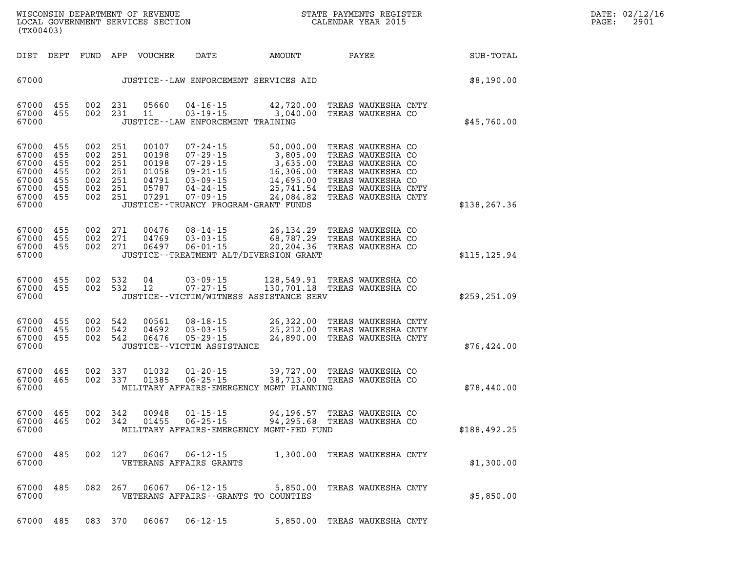| DATE: | 02/12/16 |
|-------|----------|
| PAGE: | 2901     |

| (TX00403) |                                                                                         |                                          |                               |                                                             |                                                           | ${\tt WISCOONSIM}\xspace$ DEPARTMENT OF REVENUE $$\tt SCT~S$$ LOCAL GOVERNMENT SERVICES SECTION $$\tt CALENDAR\ YEAR\ 2015$$                                                                                                                                                                                       | STATE PAYMENTS REGISTER |                 | DATE: 02/12/1<br>PAGE:<br>2901 |
|-----------|-----------------------------------------------------------------------------------------|------------------------------------------|-------------------------------|-------------------------------------------------------------|-----------------------------------------------------------|--------------------------------------------------------------------------------------------------------------------------------------------------------------------------------------------------------------------------------------------------------------------------------------------------------------------|-------------------------|-----------------|--------------------------------|
|           |                                                                                         |                                          |                               | DIST DEPT FUND APP VOUCHER                                  | DATE                                                      | AMOUNT                                                                                                                                                                                                                                                                                                             |                         | PAYEE SUB-TOTAL |                                |
| 67000     |                                                                                         |                                          |                               |                                                             |                                                           | JUSTICE - - LAW ENFORCEMENT SERVICES AID                                                                                                                                                                                                                                                                           |                         | \$8,190.00      |                                |
| 67000     | 67000 455<br>67000 455                                                                  |                                          | 002 231                       | 05660<br>002 231 11                                         | JUSTICE - - LAW ENFORCEMENT TRAINING                      | 04-16-15 42,720.00 TREAS WAUKESHA CNTY<br>03-19-15 3,040.00 TREAS WAUKESHA CO                                                                                                                                                                                                                                      |                         | \$45,760.00     |                                |
| 67000     | 67000 455<br>67000 455<br>67000 455<br>67000 455<br>67000 455<br>67000 455<br>67000 455 | 002 251<br>002 251<br>002 251<br>002 251 | 002 251<br>002 251<br>002 251 | 00107<br>00198<br>00198<br>01058<br>04791<br>05787<br>07291 | JUSTICE--TRUANCY PROGRAM-GRANT FUNDS                      | 07-24-15 50,000.00 TREAS WAUKESHA CO<br>07-29-15 3,805.00 TREAS WAUKESHA CO<br>07-29-15 3,635.00 TREAS WAUKESHA CO<br>09-21-15 16,306.00 TREAS WAUKESHA CO<br>03-09-15 14,695.00 TREAS WAUKESHA CO<br>04-24-15 25,741.54 TREAS WAUKESHA CNT<br>0<br>25,741.54 TREAS WAUKESHA CNTY<br>24,084.82 TREAS WAUKESHA CNTY |                         | \$138, 267.36   |                                |
| 67000     | 67000 455<br>67000 455<br>67000 455                                                     | 002 271                                  | 002 271<br>002 271            | 00476<br>04769<br>06497                                     | $06 - 01 - 15$                                            | 08-14-15 26,134.29 TREAS WAUKESHA CO<br>03-03-15 68,787.29 TREAS WAUKESHA CO<br>20,204.36 TREAS WAUKESHA CO<br>JUSTICE - - TREATMENT ALT/DIVERSION GRANT                                                                                                                                                           |                         | \$115, 125.94   |                                |
| 67000     | 67000 455<br>67000 455                                                                  |                                          | 002 532 12                    | 002 532 04                                                  |                                                           | 03-09-15 128,549.91 TREAS WAUKESHA CO<br>07-27-15 130,701.18 TREAS WAUKESHA CO<br>JUSTICE--VICTIM/WITNESS ASSISTANCE SERV                                                                                                                                                                                          |                         | \$259, 251.09   |                                |
| 67000     | 67000 455<br>67000 455<br>67000 455                                                     | 002 542<br>002 542                       | 002 542                       | 00561<br>04692<br>06476                                     | JUSTICE - - VICTIM ASSISTANCE                             | 24,890.00 TREAS WAUKESHA CNTY                                                                                                                                                                                                                                                                                      |                         | \$76,424.00     |                                |
| 67000     | 67000 465<br>67000 465                                                                  |                                          | 002 337<br>002 337            | 01032<br>01385                                              | 01-20-15<br>$06 - 25 - 15$                                | 39,727.00 TREAS WAUKESHA CO<br>38,713.00 TREAS WAUKESHA CO<br>MILITARY AFFAIRS-EMERGENCY MGMT PLANNING                                                                                                                                                                                                             |                         | \$78,440.00     |                                |
| 67000     | 67000 465<br>67000 465                                                                  |                                          | 002 342<br>002 342            | 00948<br>01455                                              | $01 - 15 - 15$<br>06-25-15                                | 94,196.57 TREAS WAUKESHA CO<br>94,295.68 TREAS WAUKESHA CO<br>MILITARY AFFAIRS-EMERGENCY MGMT-FED FUND                                                                                                                                                                                                             |                         | \$188, 492.25   |                                |
| 67000     | 67000 485                                                                               |                                          | 002 127                       | 06067                                                       | $06 - 12 - 15$<br>VETERANS AFFAIRS GRANTS                 | 1,300.00 TREAS WAUKESHA CNTY                                                                                                                                                                                                                                                                                       |                         | \$1,300.00      |                                |
| 67000     | 67000 485                                                                               |                                          | 082 267                       | 06067                                                       | $06 - 12 - 15$<br>VETERANS AFFAIRS - - GRANTS TO COUNTIES | 5,850.00 TREAS WAUKESHA CNTY                                                                                                                                                                                                                                                                                       |                         | \$5,850.00      |                                |

**67000 485 083 370 06067 06-12-15 5,850.00 TREAS WAUKESHA CNTY**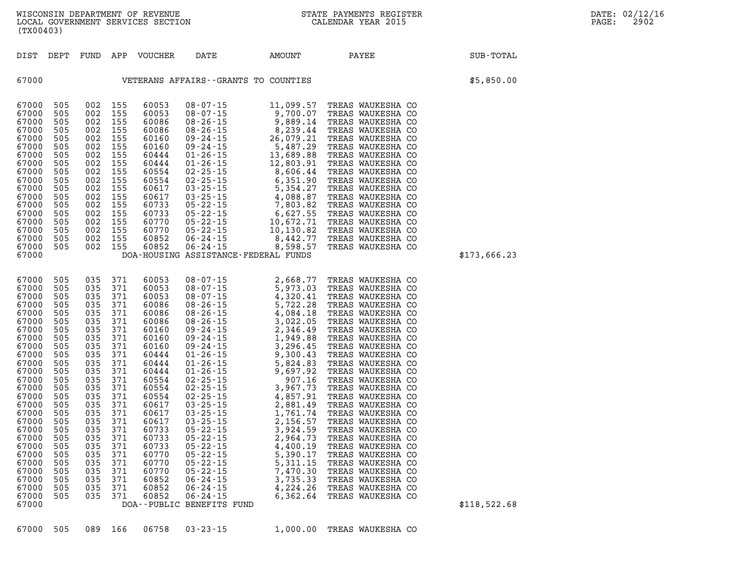| (TX00403)                                                                                                                                                                                                                                                |                                                                                                                                                                                           |                                                                                                                                                                                                       |                                                                                                                                                                          |                                                                                                                                                                                                                                                 |                                                                                                                                                                                                               |                                                                                                                                                                                                                                                                                                                                                                                       | WISCONSIN DEPARTMENT OF REVENUE<br>LOCAL GOVERNMENT SERVICES SECTION FOR THE STATE PAYMENTS REGIS'<br>STATE PAYMENTS REGISTER                                                                                                                                                                                                                                                                                                                                                                                                                                                       | $\mathcal{R}$ | DATE: 02/12/16<br>PAGE:<br>2902 |
|----------------------------------------------------------------------------------------------------------------------------------------------------------------------------------------------------------------------------------------------------------|-------------------------------------------------------------------------------------------------------------------------------------------------------------------------------------------|-------------------------------------------------------------------------------------------------------------------------------------------------------------------------------------------------------|--------------------------------------------------------------------------------------------------------------------------------------------------------------------------|-------------------------------------------------------------------------------------------------------------------------------------------------------------------------------------------------------------------------------------------------|---------------------------------------------------------------------------------------------------------------------------------------------------------------------------------------------------------------|---------------------------------------------------------------------------------------------------------------------------------------------------------------------------------------------------------------------------------------------------------------------------------------------------------------------------------------------------------------------------------------|-------------------------------------------------------------------------------------------------------------------------------------------------------------------------------------------------------------------------------------------------------------------------------------------------------------------------------------------------------------------------------------------------------------------------------------------------------------------------------------------------------------------------------------------------------------------------------------|---------------|---------------------------------|
|                                                                                                                                                                                                                                                          |                                                                                                                                                                                           |                                                                                                                                                                                                       |                                                                                                                                                                          | DIST DEPT FUND APP VOUCHER                                                                                                                                                                                                                      | DATE                                                                                                                                                                                                          | AMOUNT PAYEE                                                                                                                                                                                                                                                                                                                                                                          |                                                                                                                                                                                                                                                                                                                                                                                                                                                                                                                                                                                     | SUB-TOTAL     |                                 |
| 67000                                                                                                                                                                                                                                                    |                                                                                                                                                                                           |                                                                                                                                                                                                       |                                                                                                                                                                          |                                                                                                                                                                                                                                                 |                                                                                                                                                                                                               | VETERANS AFFAIRS--GRANTS TO COUNTIES                                                                                                                                                                                                                                                                                                                                                  |                                                                                                                                                                                                                                                                                                                                                                                                                                                                                                                                                                                     | \$5,850.00    |                                 |
| 67000<br>67000<br>67000<br>67000<br>67000<br>67000<br>67000<br>67000<br>67000<br>67000<br>67000<br>67000<br>67000<br>67000<br>67000<br>67000<br>67000<br>67000                                                                                           | 505<br>505<br>505<br>505<br>505<br>505<br>505<br>505<br>505<br>505<br>505<br>505<br>505<br>505<br>505<br>505<br>505<br>67000 505                                                          | 002 155<br>002<br>002 155<br>002<br>002<br>002<br>002<br>002<br>002<br>002<br>002<br>002<br>002<br>002<br>002<br>002<br>002<br>002 155                                                                | 155<br>155<br>155<br>155<br>155<br>155<br>155<br>155<br>155<br>155<br>155<br>155<br>155<br>155<br>155                                                                    | 60053<br>60053<br>60086<br>60086<br>60160<br>60160<br>60444<br>60444<br>60554<br>60554<br>60617<br>60617<br>60733<br>60733<br>60770<br>60770<br>60852<br>60852                                                                                  |                                                                                                                                                                                                               | $\begin{array}{cccc} 08\text{-}07\text{-}15 & 11,099.57 \\ 08\text{-}07\text{-}15 & 9,700.07 \\ 08\text{-}26\text{-}15 & 9,889.14 \\ 08\text{-}24\text{-}15 & 8,239.44 \\ 09\text{-}24\text{-}15 & 5,487.29 \\ 01\text{-}26\text{-}15 & 13,689.88 \\ 01\text{-}26\text{-}15 & 12,803.91 \\ 02\text{-}25\text{-}15 & 6,351.90 \\ 0$<br>DOA-HOUSING ASSISTANCE-FEDERAL FUNDS            | TREAS WAUKESHA CO<br>TREAS WAUKESHA CO<br>TREAS WAUKESHA CO<br>TREAS WAUKESHA CO<br>TREAS WAUKESHA CO<br>TREAS WAUKESHA CO<br>TREAS WAUKESHA CO<br>TREAS WAUKESHA CO<br>TREAS WAUKESHA CO<br>TREAS WAUKESHA CO<br>TREAS WAUKESHA CO<br>TREAS WAUKESHA CO<br>TREAS WAUKESHA CO<br>TREAS WAUKESHA CO<br>TREAS WAUKESHA CO<br>TREAS WAUKESHA CO<br>TREAS WAUKESHA CO<br>TREAS WAUKESHA CO                                                                                                                                                                                              | \$173,666.23  |                                 |
| 67000<br>67000<br>67000<br>67000<br>67000<br>67000<br>67000<br>67000<br>67000<br>67000<br>67000<br>67000<br>67000<br>67000<br>67000<br>67000<br>67000<br>67000<br>67000<br>67000<br>67000<br>67000<br>67000<br>67000<br>67000<br>67000<br>67000<br>67000 | 505<br>505<br>505<br>505<br>505<br>505<br>505<br>505<br>505<br>505<br>505<br>505<br>505<br>505<br>505<br>505<br>505<br>505<br>505<br>505<br>505<br>505<br>505<br>505<br>505<br>505<br>505 | 035<br>035 371<br>035<br>035 371<br>035<br>035<br>035<br>035<br>035<br>035<br>035<br>035<br>035<br>035<br>035<br>035<br>035<br>035 371<br>035<br>035<br>035<br>035<br>035<br>035<br>035<br>035<br>035 | 371<br>371<br>371<br>371<br>371<br>371<br>371<br>371<br>371<br>- 371<br>371<br>- 371<br>371<br>371<br>371<br>371<br>371<br>371<br>371<br>371<br>371<br>371<br>371<br>371 | 60053<br>60053<br>60053<br>60086<br>60086<br>60086<br>60160<br>60160<br>60160<br>60444<br>60444<br>60444<br>60554<br>60554<br>60554<br>60617<br>60617<br>60617<br>60733<br>60733<br>60733<br>60770<br>60770<br>60770<br>60852<br>60852<br>60852 | $03 - 25 - 15$<br>$05 - 22 - 15$<br>$05 - 22 - 15$<br>$05 - 22 - 15$<br>$05 - 22 - 15$<br>$05 - 22 - 15$<br>$05 - 22 - 15$<br>$06 - 24 - 15$<br>$06 - 24 - 15$<br>$06 - 24 - 15$<br>DOA--PUBLIC BENEFITS FUND | $\begin{array}{lllllllllllllllllllllllllllllllllllllllllllll&0.7715&0.8170&0.715&0.826&0.77&0.826&0.77&0.826&0.77&0.826&0.826&0.826&0.826&0.826&0.826&0.826&0.826&0.826&0.826&0.826&0.826&0.826&0.826&0.826&0.826&0.826&0.826&0.826&0.826&0.826&0.826&0.826&$<br>2,156.57<br>3,924.59<br>2,964.73<br>4,400.19<br>5,390.17<br>5,311.15<br>7,470.30<br>3,735.33<br>4,224.26<br>6,362.64 | TREAS WAUKESHA CO<br>TREAS WAUKESHA CO<br>TREAS WAUKESHA CO<br>TREAS WAUKESHA CO<br>TREAS WAUKESHA CO<br>TREAS WAUKESHA CO<br>TREAS WAUKESHA CO<br>TREAS WAUKESHA CO<br>TREAS WAUKESHA CO<br>TREAS WAUKESHA CO<br>TREAS WAUKESHA CO<br>TREAS WAUKESHA CO<br>TREAS WAUKESHA CO<br>TREAS WAUKESHA CO<br>TREAS WAUKESHA CO<br>TREAS WAUKESHA CO<br>TREAS WAUKESHA CO<br>TREAS WAUKESHA CO<br>TREAS WAUKESHA CO<br>TREAS WAUKESHA CO<br>TREAS WAUKESHA CO<br>TREAS WAUKESHA CO<br>TREAS WAUKESHA CO<br>TREAS WAUKESHA CO<br>TREAS WAUKESHA CO<br>TREAS WAUKESHA CO<br>TREAS WAUKESHA CO | \$118,522.68  |                                 |

**67000 505 089 166 06758 03-23-15 1,000.00 TREAS WAUKESHA CO**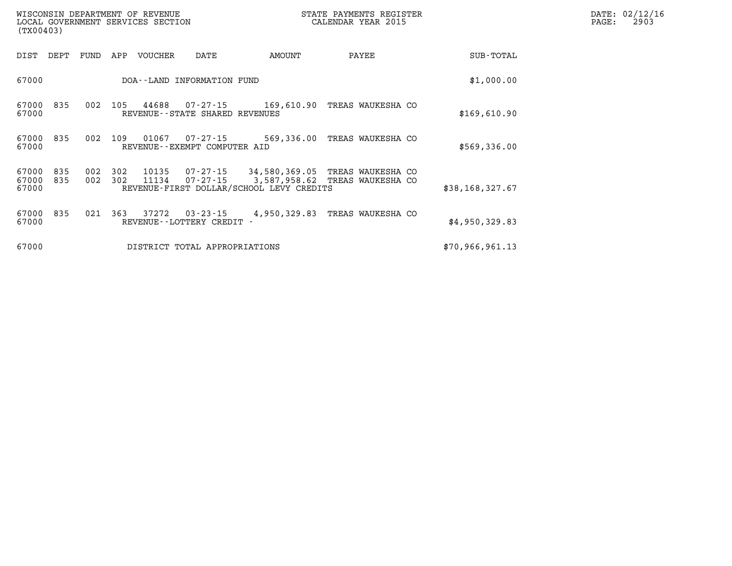| WISCONSIN DEPARTMENT OF REVENUE<br>LOCAL GOVERNMENT SERVICES SECTION<br>(TX00403) |            |            |                |                                          |                                                                    | STATE PAYMENTS REGISTER<br>CALENDAR YEAR 2015       |                 | DATE: 02/12/16<br>2903<br>PAGE: |
|-----------------------------------------------------------------------------------|------------|------------|----------------|------------------------------------------|--------------------------------------------------------------------|-----------------------------------------------------|-----------------|---------------------------------|
| DIST<br>DEPT                                                                      | FUND       | APP        | VOUCHER        | DATE                                     | AMOUNT                                                             | PAYEE                                               | SUB-TOTAL       |                                 |
| 67000                                                                             |            |            |                | DOA--LAND INFORMATION FUND               |                                                                    |                                                     | \$1,000.00      |                                 |
| 67000<br>835<br>67000                                                             | 002        | 105        | 44688          | REVENUE - - STATE SHARED REVENUES        | 07-27-15 169,610.90                                                | TREAS WAUKESHA CO                                   | \$169,610.90    |                                 |
| 835<br>67000<br>67000                                                             | 002        | 109        | 01067          | 07-27-15<br>REVENUE--EXEMPT COMPUTER AID | 569,336.00                                                         | TREAS WAUKESHA CO                                   | \$569,336.00    |                                 |
| 67000<br>835<br>67000<br>835<br>67000                                             | 002<br>002 | 302<br>302 | 10135<br>11134 | 07-27-15                                 | 07-27-15 34,580,369.05<br>REVENUE-FIRST DOLLAR/SCHOOL LEVY CREDITS | TREAS WAUKESHA CO<br>3,587,958.62 TREAS WAUKESHA CO | \$38,168,327.67 |                                 |
| 835<br>67000<br>67000                                                             | 021        | 363        | 37272          | 03-23-15<br>REVENUE - - LOTTERY CREDIT - | 4,950,329.83                                                       | TREAS WAUKESHA CO                                   | \$4,950,329.83  |                                 |
| 67000                                                                             |            |            |                | DISTRICT TOTAL APPROPRIATIONS            |                                                                    |                                                     | \$70,966,961.13 |                                 |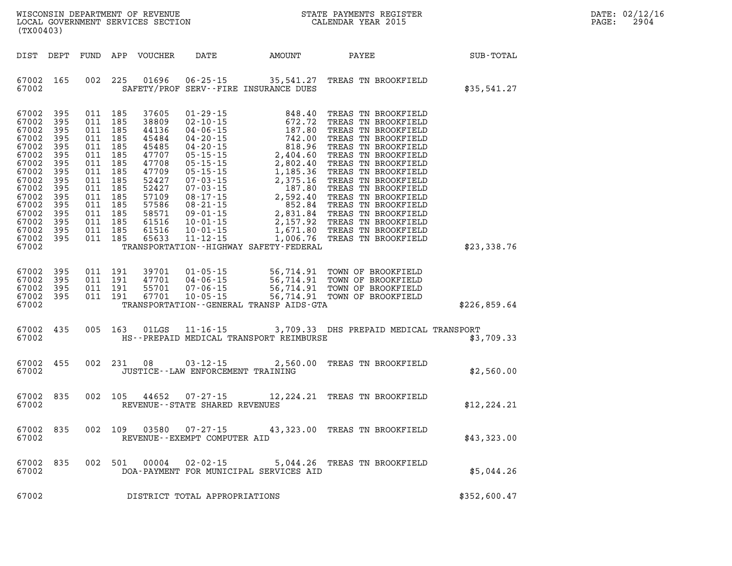| DATE: | 02/12/16 |
|-------|----------|
| PAGE: | 2904     |

| (TX00403)                                                                                                                                                     |                                                                                                |                    |                                                                                                                                             |                                                                                                                                                      |                                     |                                              | WISCONSIN DEPARTMENT OF REVENUE <b>A STATE PAYMENTS REGISTER</b><br>LOCAL GOVERNMENT SERVICES SECTION <b>A STATE CONTRAN STATE SECTION</b>                                                                               | $\mathbb{R}^n$                                         | DATE: 02/12/1<br>PAGE:<br>2904 |
|---------------------------------------------------------------------------------------------------------------------------------------------------------------|------------------------------------------------------------------------------------------------|--------------------|---------------------------------------------------------------------------------------------------------------------------------------------|------------------------------------------------------------------------------------------------------------------------------------------------------|-------------------------------------|----------------------------------------------|--------------------------------------------------------------------------------------------------------------------------------------------------------------------------------------------------------------------------|--------------------------------------------------------|--------------------------------|
|                                                                                                                                                               |                                                                                                |                    |                                                                                                                                             |                                                                                                                                                      |                                     |                                              |                                                                                                                                                                                                                          | DIST DEPT FUND APP VOUCHER DATE AMOUNT PAYEE SUB-TOTAL |                                |
| 67002 165<br>67002                                                                                                                                            |                                                                                                |                    |                                                                                                                                             |                                                                                                                                                      |                                     | SAFETY/PROF SERV--FIRE INSURANCE DUES        | 002 225 01696 06-25-15 35,541.27 TREAS TN BROOKFIELD                                                                                                                                                                     | \$35,541.27                                            |                                |
| 67002<br>67002<br>67002<br>67002<br>67002<br>67002<br>67002<br>67002<br>67002<br>67002<br>67002<br>67002<br>67002<br>67002<br>67002 395<br>67002 395<br>67002 | 395<br>395<br>395<br>395<br>395<br>395<br>395<br>395<br>395<br>395<br>395<br>395<br>395<br>395 | 011 185<br>011 185 | 011 185<br>011 185<br>011 185<br>011 185<br>011 185<br>011 185<br>011 185<br>011 185<br>011 185<br>011 185<br>011 185<br>011 185<br>011 185 | 37605<br>38809<br>44136<br>45484<br>45485<br>47707<br>47708<br>47709<br>52427<br>52427<br>57109<br>57586<br>58571<br>61516<br>61516<br>011 185 65633 |                                     | TRANSPORTATION - - HIGHWAY SAFETY - FEDERAL  |                                                                                                                                                                                                                          | \$23,338.76                                            |                                |
| 67002 395<br>67002<br>67002<br>67002 395<br>67002                                                                                                             | 395<br>395                                                                                     |                    |                                                                                                                                             |                                                                                                                                                      |                                     | TRANSPORTATION - - GENERAL TRANSP AIDS - GTA | 011 191 39701 01-05-15 56,714.91 TOWN OF BROOKFIELD<br>011 191 47701 04-06-15 56,714.91 TOWN OF BROOKFIELD<br>011 191 55701 07-06-15 56,714.91 TOWN OF BROOKFIELD<br>011 191 67701 10-05-15 56,714.91 TOWN OF BROOKFIELD | \$226,859.64                                           |                                |
| 67002 435<br>67002                                                                                                                                            |                                                                                                |                    |                                                                                                                                             |                                                                                                                                                      |                                     | HS--PREPAID MEDICAL TRANSPORT REIMBURSE      | 005 163 01LGS 11-16-15 3,709.33 DHS PREPAID MEDICAL TRANSPORT                                                                                                                                                            | \$3,709.33                                             |                                |
| 67002<br>67002                                                                                                                                                | 455                                                                                            |                    |                                                                                                                                             |                                                                                                                                                      | JUSTICE -- LAW ENFORCEMENT TRAINING |                                              | 002 231 08 03-12-15 2,560.00 TREAS TN BROOKFIELD                                                                                                                                                                         | \$2,560.00                                             |                                |
| 67002 835<br>67002                                                                                                                                            |                                                                                                |                    |                                                                                                                                             |                                                                                                                                                      | REVENUE--STATE SHARED REVENUES      |                                              | 002 105 44652 07-27-15 12, 224.21 TREAS TN BROOKFIELD                                                                                                                                                                    | \$12, 224.21                                           |                                |
| 67002 835<br>67002                                                                                                                                            |                                                                                                |                    |                                                                                                                                             | 002 109 03580                                                                                                                                        | REVENUE--EXEMPT COMPUTER AID        |                                              | 07-27-15 43,323.00 TREAS TN BROOKFIELD                                                                                                                                                                                   | \$43,323.00                                            |                                |
| 67002<br>67002                                                                                                                                                | 835                                                                                            |                    |                                                                                                                                             | 002 501 00004                                                                                                                                        | $02 - 02 - 15$                      | DOA-PAYMENT FOR MUNICIPAL SERVICES AID       | 5,044.26 TREAS TN BROOKFIELD                                                                                                                                                                                             | \$5,044.26                                             |                                |
| 67002                                                                                                                                                         |                                                                                                |                    |                                                                                                                                             |                                                                                                                                                      | DISTRICT TOTAL APPROPRIATIONS       |                                              |                                                                                                                                                                                                                          | \$352,600.47                                           |                                |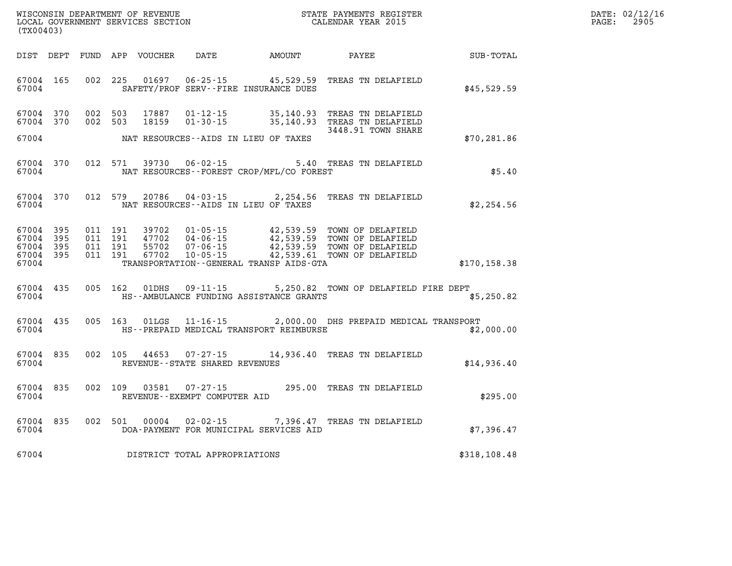| WISCONSIN DEPARTMENT OF REVENUE      | PAYMENTS REGISTER<br>3TATE | DATE: | 02/12/16 |
|--------------------------------------|----------------------------|-------|----------|
| GOVERNMENT SERVICES SECTION<br>LOCAL | CALENDAR YEAR 2015         | PAGE  | 2905     |

| (TX00403)                       |           |                    | LOCAL GOVERNMENT SERVICES SECTION |                                |                                             | CALENDAR YEAR 2015                                                                                                                                           |               | PAGE: | 2905 |
|---------------------------------|-----------|--------------------|-----------------------------------|--------------------------------|---------------------------------------------|--------------------------------------------------------------------------------------------------------------------------------------------------------------|---------------|-------|------|
|                                 |           |                    |                                   |                                |                                             |                                                                                                                                                              |               |       |      |
| 67004 165<br>67004              |           |                    |                                   |                                | SAFETY/PROF SERV--FIRE INSURANCE DUES       | 002 225 01697 06-25-15 45,529.59 TREAS TN DELAFIELD                                                                                                          | \$45,529.59   |       |      |
| 67004 370<br>67004 370          |           |                    |                                   |                                |                                             | 002 503 17887 01-12-15 35,140.93 TREAS TN DELAFIELD<br>002 503 18159 01-30-15 35,140.93 TREAS TN DELAFIELD<br>3448.91 TOWN SHARE                             |               |       |      |
| 67004                           |           |                    |                                   |                                | NAT RESOURCES--AIDS IN LIEU OF TAXES        |                                                                                                                                                              | \$70, 281.86  |       |      |
| 67004 370<br>67004              |           |                    |                                   |                                | NAT RESOURCES - - FOREST CROP/MFL/CO FOREST | 012 571 39730 06-02-15 5.40 TREAS TN DELAFIELD                                                                                                               | \$5.40        |       |      |
| 67004                           | 67004 370 |                    |                                   |                                | NAT RESOURCES--AIDS IN LIEU OF TAXES        | 012 579 20786 04-03-15 2,254.56 TREAS TN DELAFIELD                                                                                                           | \$2,254.56    |       |      |
| 67004 395<br>67004<br>67004 395 | 395       | 011 191<br>011 191 | 011 191 39702<br>47702<br>55702   |                                |                                             | 01-05-15 42,539.59 TOWN OF DELAFIELD<br>04-06-15 42,539.59 TOWN OF DELAFIELD<br>07-06-15 42,539.59 TOWN OF DELAFIELD<br>10-05-15 42,539.61 TOWN OF DELAFIELD |               |       |      |
| 67004 395<br>67004              |           |                    | 011 191 67702                     |                                | TRANSPORTATION--GENERAL TRANSP AIDS-GTA     |                                                                                                                                                              | \$170, 158.38 |       |      |
| 67004 435<br>67004              |           |                    | 005 162 01DHS                     |                                | HS--AMBULANCE FUNDING ASSISTANCE GRANTS     | 09-11-15 $5,250.82$ TOWN OF DELAFIELD FIRE DEPT                                                                                                              | \$5,250.82    |       |      |
| 67004 435<br>67004              |           |                    |                                   |                                | HS--PREPAID MEDICAL TRANSPORT REIMBURSE     | 005 163 01LGS 11-16-15 2,000.00 DHS PREPAID MEDICAL TRANSPORT                                                                                                | \$2,000.00    |       |      |
| 67004                           | 67004 835 |                    |                                   | REVENUE--STATE SHARED REVENUES |                                             | 002 105 44653 07-27-15 14,936.40 TREAS TN DELAFIELD                                                                                                          | \$14,936.40   |       |      |
| 67004<br>67004                  | 835       |                    |                                   | REVENUE--EXEMPT COMPUTER AID   |                                             | 002 109 03581 07-27-15 295.00 TREAS TN DELAFIELD                                                                                                             | \$295.00      |       |      |
| 67004<br>67004                  | 835       |                    |                                   |                                | DOA-PAYMENT FOR MUNICIPAL SERVICES AID      | 002 501 00004 02-02-15 7,396.47 TREAS TN DELAFIELD                                                                                                           | \$7,396.47    |       |      |
| 67004                           |           |                    |                                   | DISTRICT TOTAL APPROPRIATIONS  |                                             |                                                                                                                                                              | \$318,108.48  |       |      |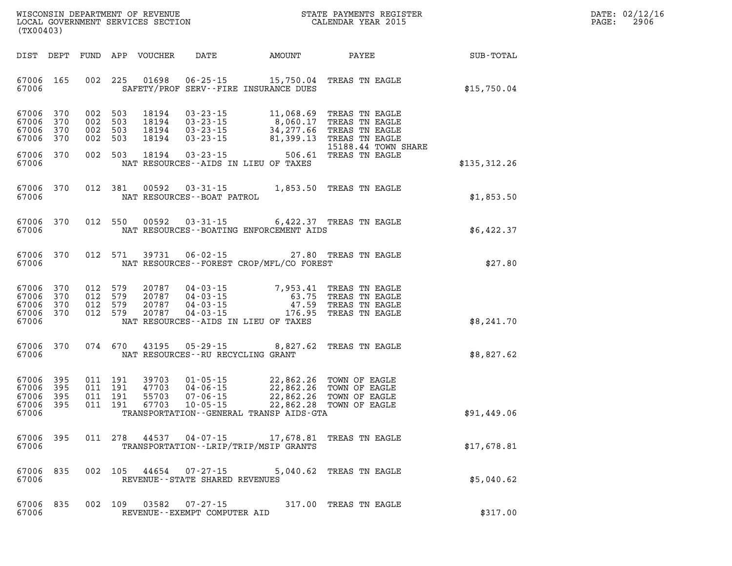| $\mathtt{DATE}$ : | 02/12/16 |
|-------------------|----------|
| PAGE:             | 2906     |

| LOCAL GOVERNMENT SERVICES SECTION<br>(TX00403) |                          |     |                                          |                                  |                                                                      |                                                                                                                                                        | CALENDAR YEAR 2015                                 |              | PAGE: | 2906 |
|------------------------------------------------|--------------------------|-----|------------------------------------------|----------------------------------|----------------------------------------------------------------------|--------------------------------------------------------------------------------------------------------------------------------------------------------|----------------------------------------------------|--------------|-------|------|
| DIST DEPT                                      |                          |     |                                          | FUND APP VOUCHER                 | <b>DATE</b>                                                          | AMOUNT                                                                                                                                                 | PAYEE                                              | SUB-TOTAL    |       |      |
| 67006 165<br>67006                             |                          |     | 002 225                                  | 01698                            |                                                                      | 06-25-15 15,750.04 TREAS TN EAGLE<br>SAFETY/PROF SERV--FIRE INSURANCE DUES                                                                             |                                                    | \$15,750.04  |       |      |
| 67006<br>67006<br>67006<br>67006               | 370<br>370<br>370<br>370 | 002 | 002 503<br>002 503<br>503<br>002 503     | 18194<br>18194<br>18194<br>18194 | $03 - 23 - 15$<br>$03 - 23 - 15$<br>$03 - 23 - 15$                   | 03-23-15 11,068.69 TREAS TN EAGLE<br>03-23-15 8,060.17 TREAS TN EAGLE<br>34,277.66 TREAS TN EAGLE<br>81,399.13 TREAS TN EAGLE                          | 15188.44 TOWN SHARE                                |              |       |      |
| 67006 370<br>67006                             |                          |     | 002 503                                  | 18194                            | $03 - 23 - 15$                                                       | NAT RESOURCES--AIDS IN LIEU OF TAXES                                                                                                                   | 506.61 TREAS TN EAGLE                              | \$135,312.26 |       |      |
| 67006 370<br>67006                             |                          |     | 012 381                                  | 00592                            | $03 - 31 - 15$<br>NAT RESOURCES - - BOAT PATROL                      |                                                                                                                                                        | 1,853.50 TREAS TN EAGLE                            | \$1,853.50   |       |      |
| 67006 370<br>67006                             |                          |     | 012 550                                  | 00592                            | $03 - 31 - 15$                                                       | NAT RESOURCES - - BOATING ENFORCEMENT AIDS                                                                                                             | 6,422.37 TREAS TN EAGLE                            | \$6,422.37   |       |      |
| 67006 370<br>67006                             |                          |     | 012 571                                  | 39731                            | $06 - 02 - 15$                                                       | NAT RESOURCES--FOREST CROP/MFL/CO FOREST                                                                                                               | 27.80 TREAS TN EAGLE                               | \$27.80      |       |      |
| 67006<br>67006<br>67006<br>67006 370<br>67006  | 370<br>370<br>370        |     | 012 579<br>012 579<br>012 579<br>012 579 | 20787<br>20787<br>20787<br>20787 | $04 - 03 - 15$                                                       | 04-03-15 7,953.41 TREAS TN EAGLE<br>04-03-15 63.75 TREAS TN EAGLE<br>04-03-15 47.59 TREAS TN EAGLE<br>176.95<br>NAT RESOURCES -- AIDS IN LIEU OF TAXES | TREAS TN EAGLE                                     | \$8,241.70   |       |      |
| 67006 370<br>67006                             |                          |     | 074 670                                  | 43195                            | $05 - 29 - 15$<br>NAT RESOURCES -- RU RECYCLING GRANT                | 8,827.62                                                                                                                                               | TREAS TN EAGLE                                     | \$8,827.62   |       |      |
| 67006<br>67006<br>67006<br>67006 395<br>67006  | 395<br>395<br>395        |     | 011 191<br>011 191<br>011 191<br>011 191 | 39703<br>47703<br>55703<br>67703 | $01 - 05 - 15$<br>$04 - 06 - 15$<br>$07 - 06 - 15$<br>$10 - 05 - 15$ | 22,862.26 TOWN OF EAGLE<br>22,862.26 TOWN OF FACIF<br>TRANSPORTATION - - GENERAL TRANSP AIDS - GTA                                                     | 22,862.26 TOWN OF EAGLE<br>22,862.28 TOWN OF EAGLE | \$91,449.06  |       |      |
| 67006 395<br>67006                             |                          |     |                                          |                                  |                                                                      | 011 278 44537 04-07-15 17,678.81 TREAS TN EAGLE<br>TRANSPORTATION - - LRIP/TRIP/MSIP GRANTS                                                            |                                                    | \$17,678.81  |       |      |
| 67006<br>67006                                 | 835                      |     |                                          |                                  | 002 105 44654 07-27-15<br>REVENUE--STATE SHARED REVENUES             |                                                                                                                                                        | 5,040.62 TREAS TN EAGLE                            | \$5,040.62   |       |      |
| 67006 835<br>67006                             |                          |     |                                          |                                  | 002 109 03582 07-27-15<br>REVENUE--EXEMPT COMPUTER AID               |                                                                                                                                                        | 317.00 TREAS TN EAGLE                              | \$317.00     |       |      |

WISCONSIN DEPARTMENT OF REVENUE **STATE PAYMENTS REGISTER**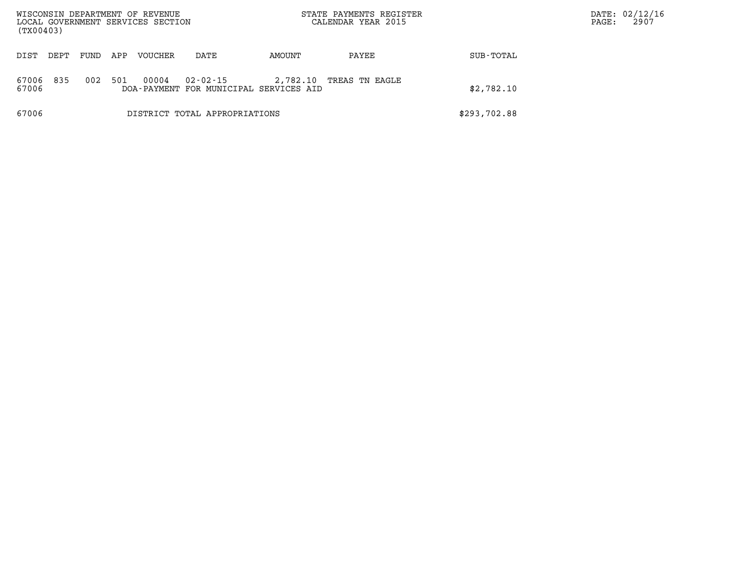| WISCONSIN DEPARTMENT OF REVENUE<br>LOCAL GOVERNMENT SERVICES SECTION<br>(TX00403) |       |      |     |                |                                                    |          | STATE PAYMENTS REGISTER<br>CALENDAR YEAR 2015 |              | PAGE: | DATE: 02/12/16<br>2907 |
|-----------------------------------------------------------------------------------|-------|------|-----|----------------|----------------------------------------------------|----------|-----------------------------------------------|--------------|-------|------------------------|
| DIST                                                                              | DEPT. | FUND | APP | <b>VOUCHER</b> | DATE                                               | AMOUNT   | PAYEE                                         | SUB-TOTAL    |       |                        |
| 67006<br>67006                                                                    | 835   | 002  | 501 | 00004          | 02-02-15<br>DOA-PAYMENT FOR MUNICIPAL SERVICES AID | 2,782.10 | TREAS TN EAGLE                                | \$2,782.10   |       |                        |
| 67006                                                                             |       |      |     |                | DISTRICT TOTAL APPROPRIATIONS                      |          |                                               | \$293,702.88 |       |                        |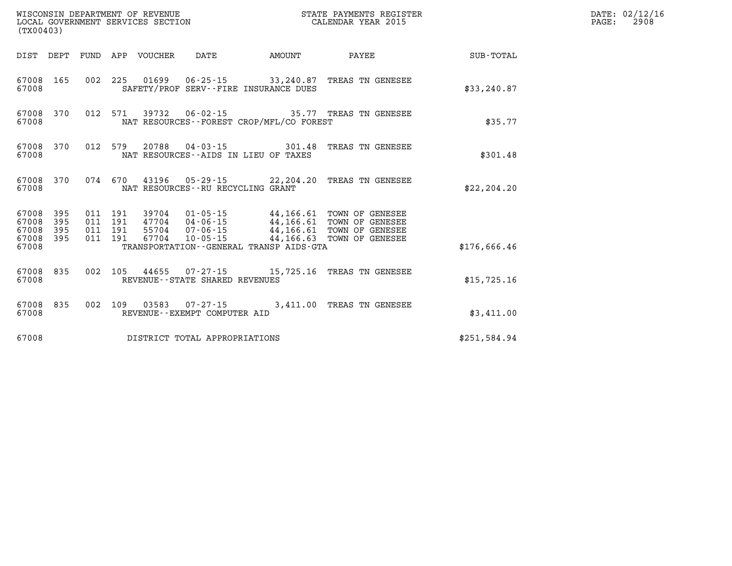| (TX00403)                                 |                          |                          |                          | WISCONSIN DEPARTMENT OF REVENUE<br>LOCAL GOVERNMENT SERVICES SECTION |                                                                                                     | STATE PAYMENTS REGISTER<br>CALENDAR YEAR 2015 |                                                                                                                  |                  |  |  |  |
|-------------------------------------------|--------------------------|--------------------------|--------------------------|----------------------------------------------------------------------|-----------------------------------------------------------------------------------------------------|-----------------------------------------------|------------------------------------------------------------------------------------------------------------------|------------------|--|--|--|
| DIST                                      | DEPT                     | FUND                     | APP                      | VOUCHER                                                              | DATE                                                                                                | AMOUNT                                        | PAYEE                                                                                                            | <b>SUB-TOTAL</b> |  |  |  |
| 67008<br>67008                            | 165                      | 002                      | 225                      | 01699                                                                | 06-25-15<br>SAFETY/PROF SERV--FIRE INSURANCE DUES                                                   |                                               | 33,240.87 TREAS TN GENESEE                                                                                       | \$33, 240.87     |  |  |  |
| 67008<br>67008                            | 370                      | 012                      | 571                      | 39732                                                                | $06 - 02 - 15$<br>NAT RESOURCES -- FOREST CROP/MFL/CO FOREST                                        |                                               | 35.77 TREAS TN GENESEE                                                                                           | \$35.77          |  |  |  |
| 67008<br>67008                            | 370                      | 012                      | 579                      | 20788                                                                | $04 - 03 - 15$<br>NAT RESOURCES--AIDS IN LIEU OF TAXES                                              | 301.48                                        | TREAS TN GENESEE                                                                                                 | \$301.48         |  |  |  |
| 67008<br>67008                            | 370                      | 074                      | 670                      |                                                                      | 43196 05-29-15 22,204.20<br>NAT RESOURCES - - RU RECYCLING GRANT                                    |                                               | TREAS TN GENESEE                                                                                                 | \$22, 204.20     |  |  |  |
| 67008<br>67008<br>67008<br>67008<br>67008 | 395<br>395<br>395<br>395 | 011<br>011<br>011<br>011 | 191<br>191<br>191<br>191 | 39704<br>47704<br>55704<br>67704                                     | $01 - 05 - 15$<br>04-06-15<br>07-06-15<br>$10 - 05 - 15$<br>TRANSPORTATION--GENERAL TRANSP AIDS-GTA |                                               | 44,166.61 TOWN OF GENESEE<br>44,166.61 TOWN OF GENESEE<br>44,166.61 TOWN OF GENESEE<br>44,166.63 TOWN OF GENESEE | \$176,666.46     |  |  |  |
| 67008<br>67008                            | 835                      | 002                      | 105                      | 44655                                                                | 07-27-15<br>REVENUE - - STATE SHARED REVENUES                                                       |                                               | 15,725.16 TREAS TN GENESEE                                                                                       | \$15,725.16      |  |  |  |
| 67008<br>67008                            | 835                      | 002                      | 109                      | 03583                                                                | $07 - 27 - 15$<br>REVENUE--EXEMPT COMPUTER AID                                                      | 3,411.00                                      | TREAS TN GENESEE                                                                                                 | \$3,411.00       |  |  |  |
| 67008                                     |                          |                          |                          |                                                                      | DISTRICT TOTAL APPROPRIATIONS                                                                       |                                               |                                                                                                                  | \$251,584.94     |  |  |  |

DATE: 02/12/16 PAGE: 2908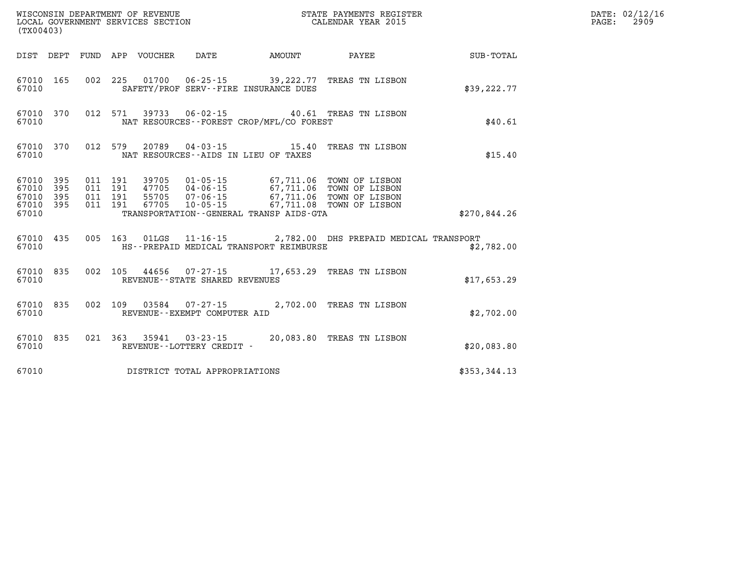| (TX00403)                                             |     |  |  |  |                                                        |  |                                                                                                                                                                                                                                                                                                                                                    |              |  |  |
|-------------------------------------------------------|-----|--|--|--|--------------------------------------------------------|--|----------------------------------------------------------------------------------------------------------------------------------------------------------------------------------------------------------------------------------------------------------------------------------------------------------------------------------------------------|--------------|--|--|
|                                                       |     |  |  |  | DIST DEPT FUND APP VOUCHER DATE AMOUNT                 |  | <b>PAYEE</b>                                                                                                                                                                                                                                                                                                                                       | SUB-TOTAL    |  |  |
| 67010                                                 |     |  |  |  | SAFETY/PROF SERV--FIRE INSURANCE DUES                  |  | 67010 165 002 225 01700 06-25-15 39,222.77 TREAS TN LISBON                                                                                                                                                                                                                                                                                         | \$39, 222.77 |  |  |
| 67010 370<br>67010                                    |     |  |  |  | NAT RESOURCES - - FOREST CROP/MFL/CO FOREST            |  | 012 571 39733 06-02-15 40.61 TREAS TN LISBON                                                                                                                                                                                                                                                                                                       | \$40.61      |  |  |
| 67010 370<br>67010                                    |     |  |  |  | NAT RESOURCES--AIDS IN LIEU OF TAXES                   |  | 012 579 20789 04-03-15 15.40 TREAS TN LISBON                                                                                                                                                                                                                                                                                                       | \$15.40      |  |  |
| 67010 395<br>67010 395<br>67010<br>67010 395<br>67010 | 395 |  |  |  | TRANSPORTATION - - GENERAL TRANSP AIDS - GTA           |  | $\begin{array}{cccc} 011 & 191 & 39705 & 01\cdot 05\cdot 15 & 67,711.06 & \text{TOWN OF LISBN} \\ 011 & 191 & 47705 & 04\cdot 06\cdot 15 & 67,711.06 & \text{TOWN OF LISBN} \\ 011 & 191 & 55705 & 07\cdot 06\cdot 15 & 67,711.06 & \text{TOWN OF LISBN} \\ 011 & 191 & 67705 & 10\cdot 05\cdot 15 & 67,711.08 & \text{TOWN OF LISBN} \end{array}$ | \$270,844.26 |  |  |
| 67010 435<br>67010                                    |     |  |  |  | HS--PREPAID MEDICAL TRANSPORT REIMBURSE                |  | 005 163 01LGS 11-16-15 2,782.00 DHS PREPAID MEDICAL TRANSPORT                                                                                                                                                                                                                                                                                      | \$2,782.00   |  |  |
| 67010 835<br>67010                                    |     |  |  |  | REVENUE - - STATE SHARED REVENUES                      |  | 002 105 44656 07-27-15 17,653.29 TREAS TN LISBON                                                                                                                                                                                                                                                                                                   | \$17,653.29  |  |  |
| 67010 835<br>67010                                    |     |  |  |  | 002 109 03584 07-27-15<br>REVENUE--EXEMPT COMPUTER AID |  | 2,702.00 TREAS TN LISBON                                                                                                                                                                                                                                                                                                                           | \$2,702.00   |  |  |
| 67010 835<br>67010                                    |     |  |  |  | REVENUE--LOTTERY CREDIT -                              |  | 021 363 35941 03-23-15 20,083.80 TREAS TN LISBON                                                                                                                                                                                                                                                                                                   | \$20,083.80  |  |  |
| 67010                                                 |     |  |  |  | DISTRICT TOTAL APPROPRIATIONS                          |  |                                                                                                                                                                                                                                                                                                                                                    | \$353,344.13 |  |  |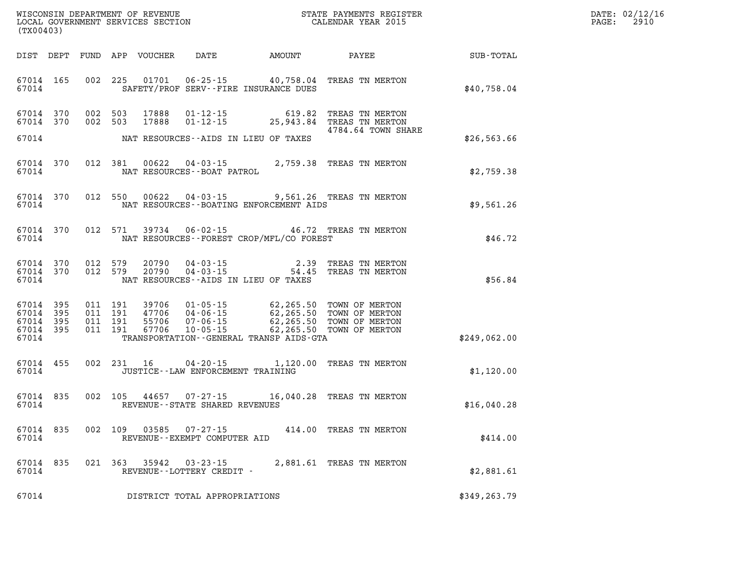| DATE: | 02/12/16 |
|-------|----------|
| PAGE: | 2910     |

| WISCONSIN DEPARTMENT OF REVENUE<br>LOCAL GOVERNMENT SERVICES SECTION TERMS CONFINENTS REGISTER<br>CALENDAR YEAR 2015<br>(TX00403) |                                                  |  |  |         |       |                                                |                                               |                                                                                                                                                                                                                                                     | <b>TER EXECUTE:</b> | DATE: 02/12/1<br>$\mathtt{PAGE:}$<br>2910 |
|-----------------------------------------------------------------------------------------------------------------------------------|--------------------------------------------------|--|--|---------|-------|------------------------------------------------|-----------------------------------------------|-----------------------------------------------------------------------------------------------------------------------------------------------------------------------------------------------------------------------------------------------------|---------------------|-------------------------------------------|
|                                                                                                                                   |                                                  |  |  |         |       |                                                |                                               |                                                                                                                                                                                                                                                     |                     |                                           |
|                                                                                                                                   |                                                  |  |  |         |       |                                                | 67014 SAFETY/PROF SERV--FIRE INSURANCE DUES   | 67014 165 002 225 01701 06-25-15 40,758.04 TREAS TN MERTON                                                                                                                                                                                          | \$40,758.04         |                                           |
|                                                                                                                                   |                                                  |  |  |         |       |                                                |                                               | $\begin{array}{cccc} 67014 & 370 & 002 & 503 & 17888 & 01\hbox{-}12\hbox{-}15 & 619.82 & \text{TREAS TN MERTON} \\ 67014 & 370 & 002 & 503 & 17888 & 01\hbox{-}12\hbox{-}15 & 25,943.84 & \text{TREAS TN MERTON} \end{array}$<br>4784.64 TOWN SHARE |                     |                                           |
|                                                                                                                                   |                                                  |  |  |         |       |                                                | 67014 NAT RESOURCES--AIDS IN LIEU OF TAXES    |                                                                                                                                                                                                                                                     | \$26,563.66         |                                           |
|                                                                                                                                   |                                                  |  |  |         |       |                                                |                                               | $67014$ 370 012 381 00622 04-03-15 2,759.38 TREAS TN MERTON 67014 NAT RESOURCES--BOAT PATROL                                                                                                                                                        | \$2,759.38          |                                           |
|                                                                                                                                   |                                                  |  |  |         |       |                                                | 67014 NAT RESOURCES--BOATING ENFORCEMENT AIDS | 67014 370 012 550 00622 04-03-15 9,561.26 TREAS TN MERTON                                                                                                                                                                                           | \$9,561.26          |                                           |
|                                                                                                                                   |                                                  |  |  |         |       |                                                |                                               | 67014 370 012 571 39734 06-02-15 46.72 TREAS TN MERTON \$46.72                                                                                                                                                                                      |                     |                                           |
|                                                                                                                                   |                                                  |  |  |         |       |                                                | 67014 NAT RESOURCES--AIDS IN LIEU OF TAXES    | $67014$ 370 012 579 20790 04-03-15 2.39 TREAS TN MERTON<br>$67014$ 370 012 579 20790 04-03-15 54.45 TREAS TN MERTON                                                                                                                                 | \$56.84             |                                           |
|                                                                                                                                   | 67014 395<br>67014 395<br>67014 395<br>67014 395 |  |  |         |       |                                                | 67014 TRANSPORTATION--GENERAL TRANSP AIDS-GTA | 011 191 39706 01-05-15 62,265.50 TOWN OF MERTON<br>011 191 47706 04-06-15 62,265.50 TOWN OF MERTON<br>011 191 55706 07-06-15 62,265.50 TOWN OF MERTON<br>011 191 67706 10-05-15 62,265.50 TOWN OF MERTON                                            | \$249,062.00        |                                           |
|                                                                                                                                   |                                                  |  |  |         |       |                                                | 67014 JUSTICE - LAW ENFORCEMENT TRAINING      | 67014 455 002 231 16 04-20-15 1,120.00 TREAS TN MERTON                                                                                                                                                                                              | \$1,120.00          |                                           |
|                                                                                                                                   |                                                  |  |  |         |       | 67014 REVENUE - - STATE SHARED REVENUES        |                                               | 67014 835 002 105 44657 07-27-15 16,040.28 TREAS TN MERTON                                                                                                                                                                                          | \$16,040.28         |                                           |
|                                                                                                                                   | 67014 835<br>67014                               |  |  | 002 109 | 03585 | $07 - 27 - 15$<br>REVENUE--EXEMPT COMPUTER AID |                                               | 414.00 TREAS TN MERTON                                                                                                                                                                                                                              | \$414.00            |                                           |
|                                                                                                                                   | 67014 835<br>67014                               |  |  | 021 363 | 35942 | $03 - 23 - 15$<br>REVENUE--LOTTERY CREDIT -    |                                               | 2,881.61 TREAS TN MERTON                                                                                                                                                                                                                            | \$2,881.61          |                                           |
|                                                                                                                                   | 67014                                            |  |  |         |       | DISTRICT TOTAL APPROPRIATIONS                  |                                               |                                                                                                                                                                                                                                                     | \$349,263.79        |                                           |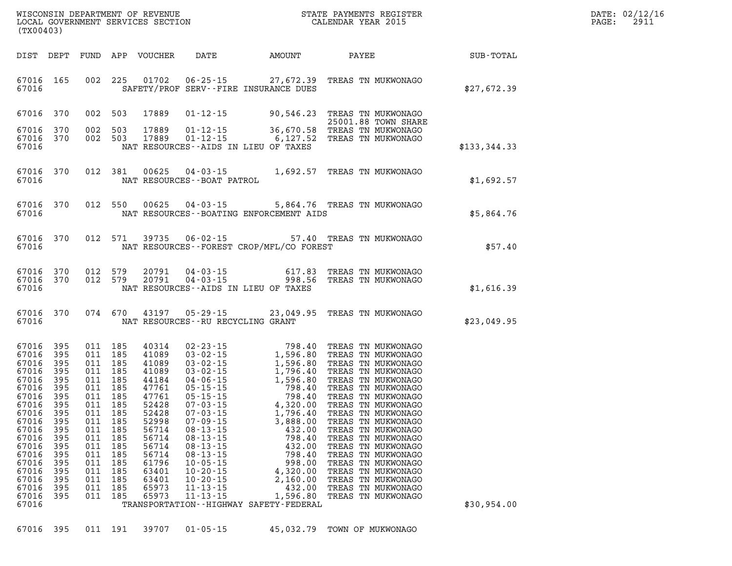| DATE: | 02/12/16 |
|-------|----------|
| PAGE: | 2911     |

| WISCONSIN DEPARTMENT OF REVENUE                                 STATE PAYMENTS REGIST LOCAL GOVERNMENT SERVICES SECTION                                     CALENDAR YEAR 2015<br>(TX00403) |                                                                                                                                                                                        |                                                      |                                                                                                                                                                    |                                                                                                                                                                |                                                                                                                                              |                                                                                                             | STATE PAYMENTS REGISTER                                                                                                                                                                                                                                                                                                                                                                                                                                      | DATE: 02/12/1<br>2911<br>PAGE: |  |
|---------------------------------------------------------------------------------------------------------------------------------------------------------------------------------------------|----------------------------------------------------------------------------------------------------------------------------------------------------------------------------------------|------------------------------------------------------|--------------------------------------------------------------------------------------------------------------------------------------------------------------------|----------------------------------------------------------------------------------------------------------------------------------------------------------------|----------------------------------------------------------------------------------------------------------------------------------------------|-------------------------------------------------------------------------------------------------------------|--------------------------------------------------------------------------------------------------------------------------------------------------------------------------------------------------------------------------------------------------------------------------------------------------------------------------------------------------------------------------------------------------------------------------------------------------------------|--------------------------------|--|
|                                                                                                                                                                                             | DIST DEPT                                                                                                                                                                              |                                                      |                                                                                                                                                                    | FUND APP VOUCHER                                                                                                                                               |                                                                                                                                              |                                                                                                             | DATE AMOUNT PAYEE SUB-TOTAL                                                                                                                                                                                                                                                                                                                                                                                                                                  |                                |  |
| 67016                                                                                                                                                                                       | 67016 165                                                                                                                                                                              |                                                      |                                                                                                                                                                    | 002 225 01702                                                                                                                                                  |                                                                                                                                              | SAFETY/PROF SERV--FIRE INSURANCE DUES                                                                       | 06-25-15 27,672.39 TREAS TN MUKWONAGO                                                                                                                                                                                                                                                                                                                                                                                                                        | \$27,672.39                    |  |
| 67016 370                                                                                                                                                                                   |                                                                                                                                                                                        |                                                      | 002 503                                                                                                                                                            | 17889                                                                                                                                                          |                                                                                                                                              |                                                                                                             | 01-12-15 90,546.23 TREAS TN MUKWONAGO<br>25001.88 TOWN SHARE                                                                                                                                                                                                                                                                                                                                                                                                 |                                |  |
| 67016 370                                                                                                                                                                                   |                                                                                                                                                                                        |                                                      | 002 503                                                                                                                                                            | 17889                                                                                                                                                          |                                                                                                                                              |                                                                                                             | 20001.88 TOWN SHAKE<br>01-12-15 36,670.58 TREAS TN MUKWONAGO<br>01-12-15 6,127.52 TREAS TN MUKWONAGO                                                                                                                                                                                                                                                                                                                                                         |                                |  |
| 67016                                                                                                                                                                                       | 67016 370                                                                                                                                                                              |                                                      | 002 503                                                                                                                                                            | 17889                                                                                                                                                          |                                                                                                                                              | NAT RESOURCES--AIDS IN LIEU OF TAXES                                                                        |                                                                                                                                                                                                                                                                                                                                                                                                                                                              | \$133, 344.33                  |  |
| 67016                                                                                                                                                                                       | 67016 370                                                                                                                                                                              |                                                      | 012 381                                                                                                                                                            | 00625                                                                                                                                                          | NAT RESOURCES - - BOAT PATROL                                                                                                                |                                                                                                             | 04-03-15 1,692.57 TREAS TN MUKWONAGO                                                                                                                                                                                                                                                                                                                                                                                                                         | \$1,692.57                     |  |
| 67016                                                                                                                                                                                       | 67016 370                                                                                                                                                                              |                                                      |                                                                                                                                                                    | 012 550 00625                                                                                                                                                  |                                                                                                                                              | NAT RESOURCES--BOATING ENFORCEMENT AIDS                                                                     | 04-03-15 5,864.76 TREAS TN MUKWONAGO                                                                                                                                                                                                                                                                                                                                                                                                                         | \$5,864.76                     |  |
| 67016                                                                                                                                                                                       | 67016 370                                                                                                                                                                              |                                                      |                                                                                                                                                                    | 012 571 39735                                                                                                                                                  |                                                                                                                                              | NAT RESOURCES - - FOREST CROP/MFL/CO FOREST                                                                 | 06-02-15 57.40 TREAS TN MUKWONAGO                                                                                                                                                                                                                                                                                                                                                                                                                            | \$57.40                        |  |
| 67016                                                                                                                                                                                       | 67016 370<br>67016 370                                                                                                                                                                 |                                                      | 012 579                                                                                                                                                            | 20791<br>012 579 20791                                                                                                                                         |                                                                                                                                              | NAT RESOURCES -- AIDS IN LIEU OF TAXES                                                                      |                                                                                                                                                                                                                                                                                                                                                                                                                                                              | \$1,616.39                     |  |
| 67016                                                                                                                                                                                       | 67016 370                                                                                                                                                                              |                                                      |                                                                                                                                                                    |                                                                                                                                                                | NAT RESOURCES -- RU RECYCLING GRANT                                                                                                          |                                                                                                             | 074 670 43197 05-29-15 23,049.95 TREAS TN MUKWONAGO                                                                                                                                                                                                                                                                                                                                                                                                          | \$23,049.95                    |  |
| 67016<br>67016<br>67016<br>67016<br>67016<br>67016<br>67016<br>67016                                                                                                                        | 67016 395<br>67016 395<br>67016 395<br>67016 395<br>67016 395<br>67016 395<br>67016 395<br>67016 395<br>67016 395<br>67016 395<br>395<br>395<br>395<br>395<br>395<br>395<br>395<br>395 | 011<br>011<br>011<br>011<br>011<br>011<br>011<br>011 | 011 185<br>011 185<br>011 185<br>011 185<br>011 185<br>011 185<br>011 185<br>011 185<br>011 185<br>011 185<br>185<br>185<br>185<br>185<br>185<br>185<br>185<br>185 | 40314<br>41089<br>41089<br>41089<br>44184<br>47761<br>47761<br>52428<br>52428<br>52998<br>56714<br>56714<br>56714<br>56714<br>61796<br>63401<br>63401<br>65973 | $08 - 13 - 15$<br>$08 - 13 - 15$<br>$08 - 13 - 15$<br>$08 - 13 - 15$<br>$10 - 05 - 15$<br>$10 - 20 - 15$<br>$10 - 20 - 15$<br>$11 - 13 - 15$ | $07 - 09 - 15$ 3,888.00<br>432.00<br>798.40<br>432.00<br>798.40<br>998.00<br>4,320.00<br>2,160.00<br>432.00 | 02-23-15<br>03-02-15<br>03-02-15<br>1,596.80 TREAS TN MUKWONAGO<br>03-02-15<br>1,596.80 TREAS TN MUKWONAGO<br>03-02-15<br>1,796.40 TREAS TN MUKWONAGO<br>05-15-15<br>05-15-15<br>4,320.00 TREAS TN MUKWONAGO<br>07-03-15<br>4,320.00 TREAS TN MUKWONAG<br>TREAS TN MUKWONAGO<br>TREAS TN MUKWONAGO<br>TREAS TN MUKWONAGO<br>TREAS TN MUKWONAGO<br>TREAS TN MUKWONAGO<br>TREAS TN MUKWONAGO<br>TREAS TN MUKWONAGO<br>TREAS TN MUKWONAGO<br>TREAS TN MUKWONAGO |                                |  |
| 67016<br>67016                                                                                                                                                                              | 395                                                                                                                                                                                    | 011                                                  | 185                                                                                                                                                                | 65973                                                                                                                                                          | $11 - 13 - 15$                                                                                                                               | 1,596.80<br>TRANSPORTATION - - HIGHWAY SAFETY - FEDERAL                                                     | TREAS TN MUKWONAGO                                                                                                                                                                                                                                                                                                                                                                                                                                           | \$30,954.00                    |  |
|                                                                                                                                                                                             |                                                                                                                                                                                        |                                                      |                                                                                                                                                                    |                                                                                                                                                                |                                                                                                                                              |                                                                                                             |                                                                                                                                                                                                                                                                                                                                                                                                                                                              |                                |  |

**67016 395 011 191 39707 01-05-15 45,032.79 TOWN OF MUKWONAGO**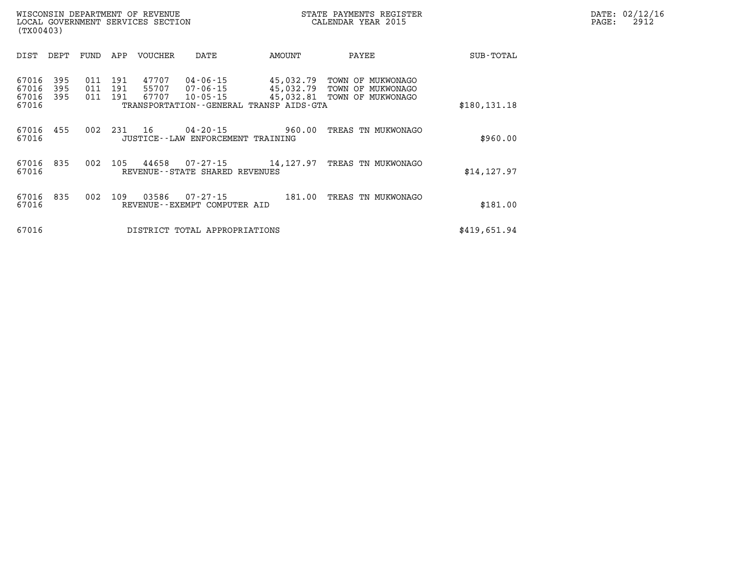| WISCONSIN DEPARTMENT OF REVENUE<br>LOCAL GOVERNMENT SERVICES SECTION<br>(TX00403) |                   |                   |                         |                                               |                                                                        | STATE PAYMENTS REGISTER<br>CALENDAR YEAR 2015                         |               | DATE: 02/12/16<br>$\mathtt{PAGE:}$<br>2912 |
|-----------------------------------------------------------------------------------|-------------------|-------------------|-------------------------|-----------------------------------------------|------------------------------------------------------------------------|-----------------------------------------------------------------------|---------------|--------------------------------------------|
| DIST<br>DEPT                                                                      | FUND              | APP               | VOUCHER                 | DATE                                          | AMOUNT                                                                 | PAYEE                                                                 | SUB-TOTAL     |                                            |
| 395<br>67016<br>67016<br>395<br>67016<br>395<br>67016                             | 011<br>011<br>011 | 191<br>191<br>191 | 47707<br>55707<br>67707 | 04-06-15<br>07-06-15<br>$10 - 05 - 15$        | 45,032.79<br>45,032.79<br>TRANSPORTATION - - GENERAL TRANSP AIDS - GTA | TOWN OF MUKWONAGO<br>TOWN OF MUKWONAGO<br>45,032.81 TOWN OF MUKWONAGO | \$180, 131.18 |                                            |
| 67016 455<br>67016                                                                | 002               | 231               | 16                      | JUSTICE - - LAW ENFORCEMENT TRAINING          | $04 - 20 - 15$ 960.00                                                  | TREAS TN MUKWONAGO                                                    | \$960.00      |                                            |
| 67016 835<br>67016                                                                | 002               | 105               | 44658                   | 07-27-15<br>REVENUE - - STATE SHARED REVENUES | 14,127.97                                                              | TREAS TN MUKWONAGO                                                    | \$14, 127.97  |                                            |
| 67016<br>835<br>67016                                                             | 002               | 109               | 03586                   | 07-27-15<br>REVENUE--EXEMPT COMPUTER AID      | 181.00                                                                 | TREAS TN MUKWONAGO                                                    | \$181.00      |                                            |
| 67016                                                                             |                   |                   |                         | DISTRICT TOTAL APPROPRIATIONS                 |                                                                        |                                                                       | \$419,651.94  |                                            |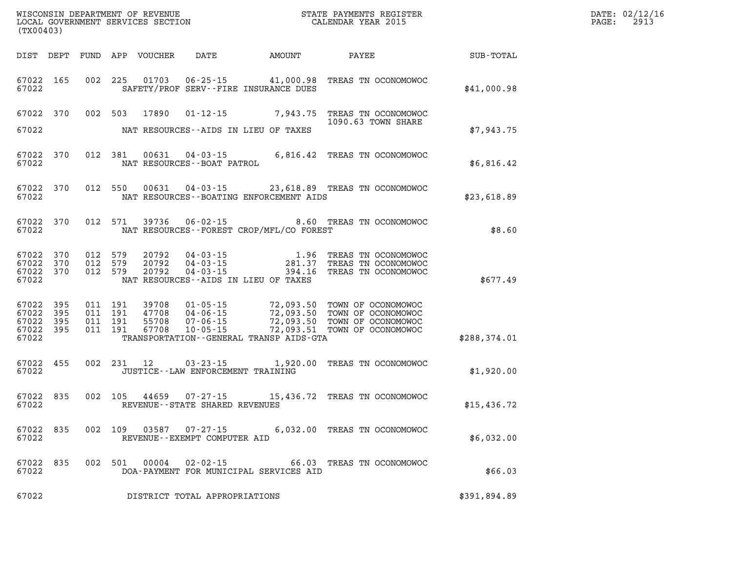| (TX00403)                                                 |     | WISCONSIN DEPARTMENT OF REVENUE<br>LOCAL GOVERNMENT SERVICES SECTION CALENDAR YEAR 2015                                                                                                                                                                                                                                                                                                               |                              |              | DATE: 02/12/16<br>$\mathtt{PAGE:}$<br>2913 |
|-----------------------------------------------------------|-----|-------------------------------------------------------------------------------------------------------------------------------------------------------------------------------------------------------------------------------------------------------------------------------------------------------------------------------------------------------------------------------------------------------|------------------------------|--------------|--------------------------------------------|
|                                                           |     | DIST DEPT FUND APP VOUCHER DATE AMOUNT PAYEE TOTAL SUB-TOTAL                                                                                                                                                                                                                                                                                                                                          |                              |              |                                            |
| 67022 165<br>67022                                        |     | 002 225 01703 06-25-15 41,000.98 TREAS TN OCONOMOWOC<br>SAFETY/PROF SERV--FIRE INSURANCE DUES                                                                                                                                                                                                                                                                                                         |                              | \$41,000.98  |                                            |
|                                                           |     | 67022 370 002 503 17890 01-12-15 7,943.75 TREAS TN OCONOMOWOC                                                                                                                                                                                                                                                                                                                                         | 1090.63 TOWN SHARE           |              |                                            |
| 67022                                                     |     | NAT RESOURCES--AIDS IN LIEU OF TAXES                                                                                                                                                                                                                                                                                                                                                                  |                              | \$7,943.75   |                                            |
| 67022 370<br>67022                                        |     | 012 381 00631 04-03-15 6,816.42 TREAS TN OCONOMOWOC NAT RESOURCES--BOAT PATROL                                                                                                                                                                                                                                                                                                                        |                              | \$6,816.42   |                                            |
| 67022 370<br>67022                                        |     | 012 550 00631 04-03-15 23,618.89 TREAS TN OCONOMOWOC<br>NAT RESOURCES - - BOATING ENFORCEMENT AIDS                                                                                                                                                                                                                                                                                                    |                              | \$23,618.89  |                                            |
| 67022                                                     |     | 67022 370 012 571 39736 06-02-15 8.60 TREAS TN OCONOMOWOC<br>NAT RESOURCES--FOREST CROP/MFL/CO FOREST                                                                                                                                                                                                                                                                                                 |                              | \$8.60       |                                            |
| 67022 370<br>67022 370<br>67022 370<br>67022              |     | 012 579 20792 04-03-15 1.96 TREAS TN OCONOMOWOC<br>012 579 20792 04-03-15 281.37 TREAS TN OCONOMOWOC<br>012 579 20792 04-03-15 394.16 TREAS TN OCONOMOWOC<br>012 579 20792<br>NAT RESOURCES--AIDS IN LIEU OF TAXES                                                                                                                                                                                    |                              | \$677.49     |                                            |
| 67022 395<br>67022 395<br>67022 395<br>67022 395<br>67022 |     | $\begin{array}{cccccc} 011 & 191 & 39708 & 01\cdot 05\cdot 15 & 72,093.50 & \text{TOWN OF OCONOMOWOC} \\ 011 & 191 & 47708 & 04\cdot 06\cdot 15 & 72,093.50 & \text{TOWN OF OCONOMOWOC} \\ 011 & 191 & 55708 & 07\cdot 06\cdot 15 & 72,093.50 & \text{TOWN OF OCONOMOWOC} \\ 011 & 191 & 67708 & 10\cdot 05\cdot 15 & 72,093.51 & \text{TOWN OF OCON$<br>TRANSPORTATION - - GENERAL TRANSP AIDS - GTA |                              | \$288,374.01 |                                            |
| 67022 455<br>67022                                        |     | 002 231 12 03-23-15 1,920.00 TREAS TN OCONOMOWOC<br>JUSTICE--LAW ENFORCEMENT TRAINING                                                                                                                                                                                                                                                                                                                 |                              | \$1,920.00   |                                            |
| 67022 835<br>67022                                        |     | 002 105 44659 07-27-15 15,436.72 TREAS TN OCONOMOWOC<br>REVENUE--STATE SHARED REVENUES                                                                                                                                                                                                                                                                                                                |                              | \$15,436.72  |                                            |
| 67022<br>67022                                            | 835 | 002 109 03587<br>07-27-15<br>REVENUE--EXEMPT COMPUTER AID                                                                                                                                                                                                                                                                                                                                             | 6,032.00 TREAS TN OCONOMOWOC | \$6,032.00   |                                            |
| 67022<br>67022                                            | 835 | 00004<br>$02 - 02 - 15$<br>002 501<br>DOA-PAYMENT FOR MUNICIPAL SERVICES AID                                                                                                                                                                                                                                                                                                                          | 66.03 TREAS TN OCONOMOWOC    | \$66.03      |                                            |
| 67022                                                     |     | DISTRICT TOTAL APPROPRIATIONS                                                                                                                                                                                                                                                                                                                                                                         |                              | \$391,894.89 |                                            |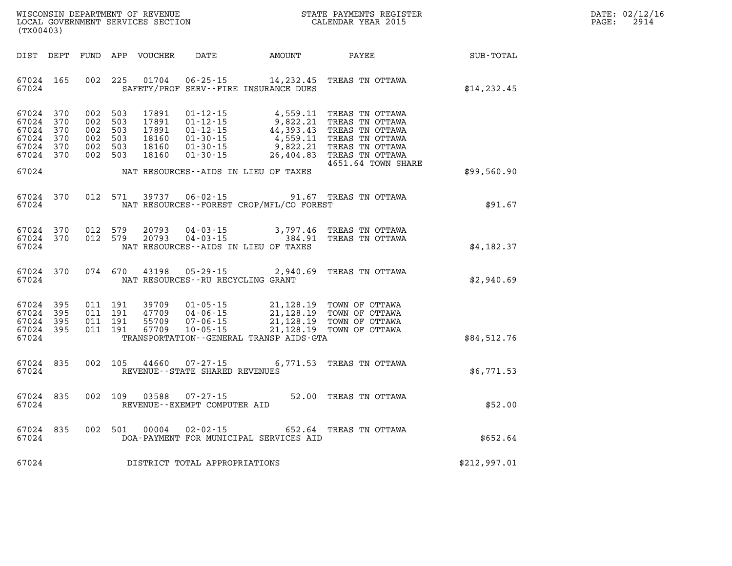| WISCONSIN DEPARTMENT OF REVENUE   | STATE PAYMENTS REGISTER | DATE: 02/12/16 |
|-----------------------------------|-------------------------|----------------|
| LOCAL GOVERNMENT SERVICES SECTION | CALENDAR YEAR 2015      | 2914<br>PAGE:  |

| (TX00403)                                                                  |           |                                                                | LOCAL GOVERNMENT SERVICES SECTION                  |                                                  | CALENDAR YEAR 2015                           |                                                                                                                                                                                                              | PAGE:        | 2914 |  |
|----------------------------------------------------------------------------|-----------|----------------------------------------------------------------|----------------------------------------------------|--------------------------------------------------|----------------------------------------------|--------------------------------------------------------------------------------------------------------------------------------------------------------------------------------------------------------------|--------------|------|--|
|                                                                            |           |                                                                |                                                    |                                                  | DIST DEPT FUND APP VOUCHER DATE AMOUNT PAYEE |                                                                                                                                                                                                              | SUB-TOTAL    |      |  |
| 67024 165<br>67024                                                         |           |                                                                | 002 225 01704                                      |                                                  | SAFETY/PROF SERV--FIRE INSURANCE DUES        | 06-25-15 14, 232.45 TREAS TN OTTAWA                                                                                                                                                                          | \$14, 232.45 |      |  |
| 67024 370<br>67024 370<br>67024 370<br>67024 370<br>67024 370<br>67024 370 |           | 002 503<br>002 503<br>002 503<br>002 503<br>002 503<br>002 503 | 17891<br>17891<br>17891<br>18160<br>18160<br>18160 |                                                  |                                              | 4651.64 TOWN SHARE                                                                                                                                                                                           |              |      |  |
| 67024                                                                      |           |                                                                |                                                    |                                                  | NAT RESOURCES -- AIDS IN LIEU OF TAXES       |                                                                                                                                                                                                              | \$99,560.90  |      |  |
| 67024 370<br>67024                                                         |           | 012 571                                                        | 39737                                              |                                                  | NAT RESOURCES - - FOREST CROP/MFL/CO FOREST  | 06-02-15 91.67 TREAS TN OTTAWA                                                                                                                                                                               | \$91.67      |      |  |
| 67024 370<br>67024 370<br>67024                                            |           | 012 579<br>012 579                                             | 20793<br>20793                                     |                                                  | NAT RESOURCES -- AIDS IN LIEU OF TAXES       | 04-03-15 3,797.46 TREAS TN OTTAWA<br>04-03-15 384.91 TREAS TN OTTAWA                                                                                                                                         | \$4,182.37   |      |  |
| 67024                                                                      | 67024 370 |                                                                | 074 670 43198                                      | NAT RESOURCES - - RU RECYCLING GRANT             |                                              | 05-29-15 2,940.69 TREAS TN OTTAWA                                                                                                                                                                            | \$2,940.69   |      |  |
| 67024 395<br>67024<br>67024 395<br>67024 395<br>67024                      | 395       | 011 191<br>011 191<br>011 191<br>011 191                       | 67709                                              | $10 - 05 - 15$                                   | TRANSPORTATION--GENERAL TRANSP AIDS-GTA      | 39709  01-05-15  21,128.19 TOWN OF OTTAWA<br>47709  04-06-15  21,128.19 TOWN OF OTTAWA<br>55709  07-06-15  21,128.19 TOWN OF OTTAWA<br>67709  10-05-15  21,128.19 TOWN OF OTTAWA<br>21,128.19 TOWN OF OTTAWA | \$84,512.76  |      |  |
| 67024 835<br>67024                                                         |           | 002 105                                                        | 44660                                              | $07 - 27 - 15$<br>REVENUE--STATE SHARED REVENUES |                                              | 6,771.53 TREAS TN OTTAWA                                                                                                                                                                                     | \$6,771.53   |      |  |
| 67024 835<br>67024                                                         |           |                                                                | 002 109 03588                                      | REVENUE--EXEMPT COMPUTER AID                     |                                              | 07-27-15 52.00 TREAS TN OTTAWA                                                                                                                                                                               | \$52.00      |      |  |
| 67024<br>67024                                                             | 835       | 002 501                                                        | 00004                                              | $02 - 02 - 15$                                   | DOA-PAYMENT FOR MUNICIPAL SERVICES AID       | 652.64 TREAS TN OTTAWA                                                                                                                                                                                       | \$652.64     |      |  |
|                                                                            |           |                                                                |                                                    | 67024 DISTRICT TOTAL APPROPRIATIONS              |                                              |                                                                                                                                                                                                              | \$212,997.01 |      |  |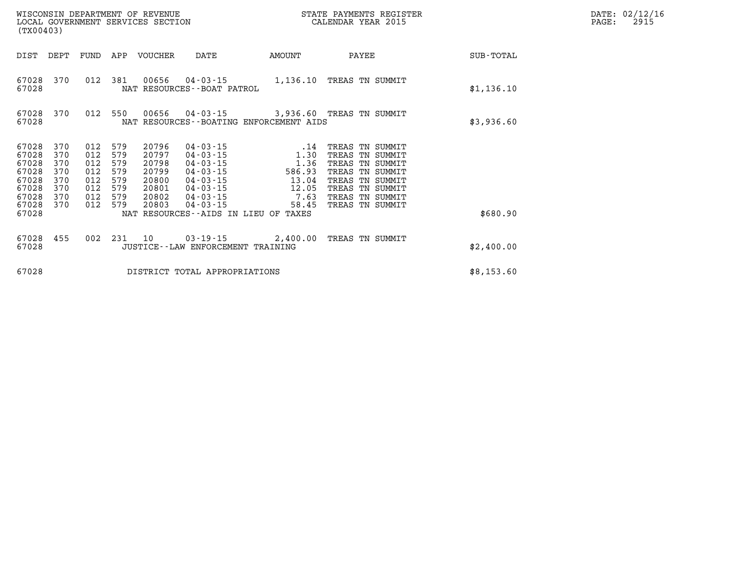| (TX00403)                                                            |                                                      |                                                      |                                                      | WISCONSIN DEPARTMENT OF REVENUE<br>LOCAL GOVERNMENT SERVICES SECTION |                                                                                                                                              |                                                                        | STATE PAYMENTS REGISTER<br>CALENDAR YEAR 2015                                                                                                        |  | DATE: 02/12/16<br>2915<br>PAGE: |  |
|----------------------------------------------------------------------|------------------------------------------------------|------------------------------------------------------|------------------------------------------------------|----------------------------------------------------------------------|----------------------------------------------------------------------------------------------------------------------------------------------|------------------------------------------------------------------------|------------------------------------------------------------------------------------------------------------------------------------------------------|--|---------------------------------|--|
| DIST                                                                 | DEPT                                                 | FUND                                                 |                                                      | APP VOUCHER                                                          | DATE                                                                                                                                         | AMOUNT                                                                 | PAYEE                                                                                                                                                |  | SUB-TOTAL                       |  |
| 67028<br>67028                                                       | 370                                                  | 012                                                  | 381                                                  | 00656                                                                | 04-03-15<br>NAT RESOURCES - - BOAT PATROL                                                                                                    | 1,136.10                                                               | TREAS TN SUMMIT                                                                                                                                      |  | \$1,136.10                      |  |
| 67028<br>67028                                                       | 370                                                  |                                                      | 012 550                                              | 00656                                                                | $04 - 03 - 15$                                                                                                                               | 3,936.60 TREAS TN SUMMIT<br>NAT RESOURCES - - BOATING ENFORCEMENT AIDS |                                                                                                                                                      |  | \$3,936.60                      |  |
| 67028<br>67028<br>67028<br>67028<br>67028<br>67028<br>67028<br>67028 | 370<br>370<br>370<br>370<br>370<br>370<br>370<br>370 | 012<br>012<br>012<br>012<br>012<br>012<br>012<br>012 | 579<br>579<br>579<br>579<br>579<br>579<br>579<br>579 | 20796<br>20797<br>20798<br>20799<br>20800<br>20801<br>20802<br>20803 | $04 - 03 - 15$<br>$04 - 03 - 15$<br>$04 - 03 - 15$<br>$04 - 03 - 15$<br>$04 - 03 - 15$<br>$04 - 03 - 15$<br>$04 - 03 - 15$<br>$04 - 03 - 15$ | .14<br>1.30<br>1.36<br>586.93<br>13.04<br>12.05<br>7.63<br>58.45       | TREAS TN SUMMIT<br>TREAS TN SUMMIT<br>TREAS TN SUMMIT<br>TREAS TN SUMMIT<br>TREAS TN SUMMIT<br>TREAS TN SUMMIT<br>TREAS TN SUMMIT<br>TREAS TN SUMMIT |  |                                 |  |
| 67028                                                                |                                                      |                                                      |                                                      |                                                                      |                                                                                                                                              | NAT RESOURCES--AIDS IN LIEU OF TAXES                                   |                                                                                                                                                      |  | \$680.90                        |  |
| 67028<br>67028                                                       | 455                                                  | 002                                                  | 231                                                  | 10                                                                   | JUSTICE - - LAW ENFORCEMENT TRAINING                                                                                                         | $03 - 19 - 15$ 2,400.00                                                | TREAS TN SUMMIT                                                                                                                                      |  | \$2,400.00                      |  |
| 67028                                                                |                                                      |                                                      |                                                      |                                                                      | DISTRICT TOTAL APPROPRIATIONS                                                                                                                |                                                                        |                                                                                                                                                      |  | \$8,153.60                      |  |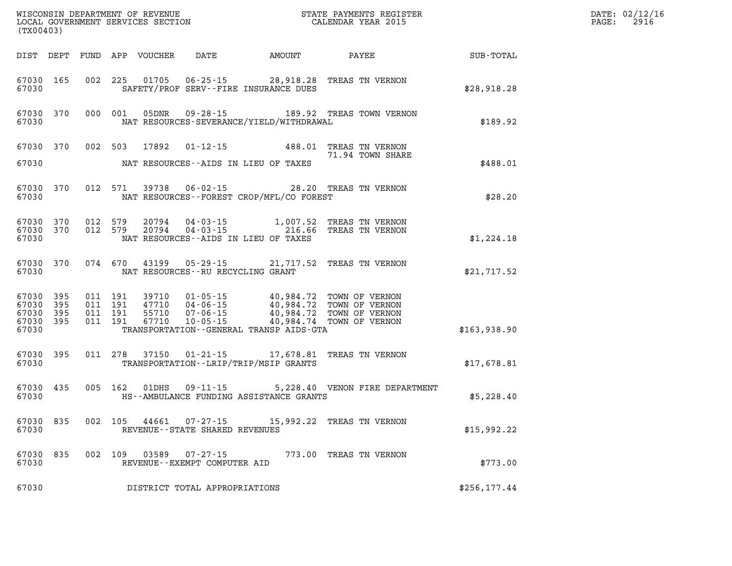| (TX00403)                                         |                   |                                          |         |                                  |                                                |                                                                                                                                                                    |                                    |              | DATE: 02/12/16<br>$\mathtt{PAGE}$ :<br>2916 |
|---------------------------------------------------|-------------------|------------------------------------------|---------|----------------------------------|------------------------------------------------|--------------------------------------------------------------------------------------------------------------------------------------------------------------------|------------------------------------|--------------|---------------------------------------------|
|                                                   |                   |                                          |         | DIST DEPT FUND APP VOUCHER       | DATE                                           | <b>AMOUNT</b>                                                                                                                                                      | PAYEE                              | SUB-TOTAL    |                                             |
| 67030 165<br>67030                                |                   |                                          |         |                                  |                                                | 002 225 01705 06-25-15 28,918.28 TREAS TN VERNON<br>SAFETY/PROF SERV--FIRE INSURANCE DUES                                                                          |                                    | \$28,918.28  |                                             |
| 67030                                             | 67030 370         |                                          | 000 001 | 05DNR                            |                                                | 09-28-15 189.92 TREAS TOWN VERNON<br>NAT RESOURCES-SEVERANCE/YIELD/WITHDRAWAL                                                                                      |                                    | \$189.92     |                                             |
|                                                   | 67030 370 002 503 |                                          |         | 17892                            |                                                | 01-12-15 488.01 TREAS TN VERNON                                                                                                                                    | 71.94 TOWN SHARE                   |              |                                             |
| 67030                                             |                   |                                          |         |                                  |                                                | NAT RESOURCES--AIDS IN LIEU OF TAXES                                                                                                                               |                                    | \$488.01     |                                             |
| 67030 370<br>67030                                |                   |                                          |         |                                  |                                                | 012 571 39738 06-02-15 28.20 TREAS TN VERNON<br>NAT RESOURCES - - FOREST CROP/MFL/CO FOREST                                                                        |                                    | \$28.20      |                                             |
| 67030 370<br>67030 370<br>67030                   |                   | 012 579<br>012 579                       |         |                                  |                                                | 20794  04-03-15  1,007.52<br>20794  04-03-15  216.66<br>NAT RESOURCES--AIDS IN LIEU OF TAXES                                                                       | TREAS TN VERNON<br>TREAS TN VERNON | \$1,224.18   |                                             |
| 67030 370<br>67030                                |                   |                                          | 074 670 | 43199                            | NAT RESOURCES -- RU RECYCLING GRANT            | 05-29-15 21,717.52 TREAS TN VERNON                                                                                                                                 |                                    | \$21,717.52  |                                             |
| 67030 395<br>67030<br>67030<br>67030 395<br>67030 | 395<br>395        | 011 191<br>011 191<br>011 191<br>011 191 |         | 39710<br>47710<br>55710<br>67710 |                                                | 01-05-15 40,984.72 TOWN OF VERNON<br>04-06-15<br>07-06-15 40,984.72 TOWN OF VERNON<br>10-05-15 40,984.72 TOWN OF VERNON<br>TRANSPORTATION--GENERAL TRANSP AIDS-GTA |                                    | \$163,938.90 |                                             |
|                                                   |                   |                                          |         |                                  |                                                |                                                                                                                                                                    |                                    |              |                                             |
| 67030 395<br>67030                                |                   |                                          |         |                                  |                                                | 011 278 37150 01-21-15 17,678.81<br>TRANSPORTATION - - LRIP/TRIP/MSIP GRANTS                                                                                       | TREAS TN VERNON                    | \$17,678.81  |                                             |
| 67030                                             | 67030 435         |                                          |         |                                  |                                                | 005 162 01DHS 09-11-15 5,228.40 VENON FIRE DEPARTMENT<br>HS--AMBULANCE FUNDING ASSISTANCE GRANTS                                                                   |                                    | \$5,228.40   |                                             |
| 67030                                             | 67030 835 002 105 |                                          |         | 44661                            | REVENUE--STATE SHARED REVENUES                 | 07-27-15 15,992.22 TREAS TN VERNON                                                                                                                                 |                                    | \$15,992.22  |                                             |
| 67030<br>67030                                    | 835               | 002                                      | - 109   | 03589                            | $07 - 27 - 15$<br>REVENUE--EXEMPT COMPUTER AID | 773.00                                                                                                                                                             | TREAS TN VERNON                    | \$773.00     |                                             |
| 67030                                             |                   |                                          |         |                                  | DISTRICT TOTAL APPROPRIATIONS                  |                                                                                                                                                                    |                                    | \$256,177.44 |                                             |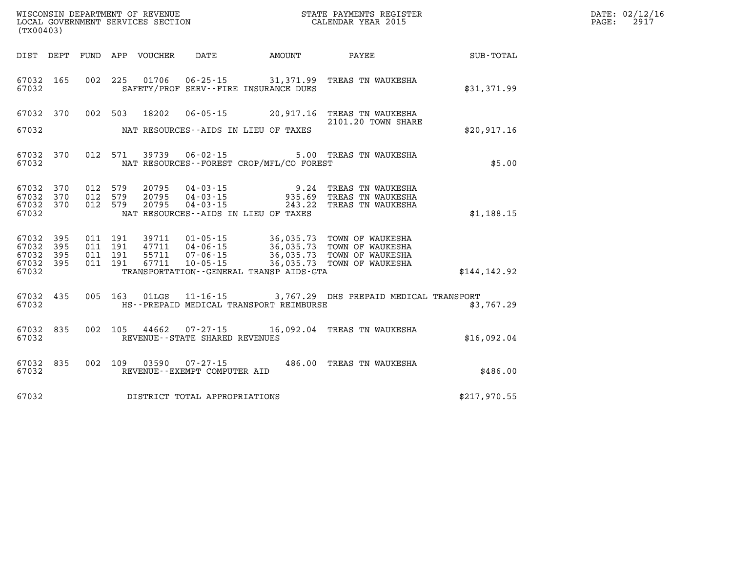| DATE: | 02/12/16 |
|-------|----------|
| PAGE: | 2917     |

| (TX00403)                        |                          |                          |                          | WISCONSIN DEPARTMENT OF REVENUE<br>LOCAL GOVERNMENT SERVICES SECTION |                                                                      |                                                    | STATE PAYMENTS REGISTER<br>CALENDAR YEAR 2015                                |               |
|----------------------------------|--------------------------|--------------------------|--------------------------|----------------------------------------------------------------------|----------------------------------------------------------------------|----------------------------------------------------|------------------------------------------------------------------------------|---------------|
| DIST                             | DEPT                     | FUND                     | APP                      | VOUCHER                                                              | DATE                                                                 | AMOUNT                                             | PAYEE                                                                        | SUB-TOTAL     |
| 67032<br>67032                   | 165                      | 002                      | 225                      | 01706                                                                | $06 - 25 - 15$                                                       | 31,371.99<br>SAFETY/PROF SERV--FIRE INSURANCE DUES | TREAS TN WAUKESHA                                                            | \$31,371.99   |
| 67032                            | 370                      | 002                      | 503                      | 18202                                                                | $06 - 05 - 15$                                                       | 20,917.16                                          | TREAS TN WAUKESHA<br>2101.20 TOWN SHARE                                      |               |
| 67032                            |                          |                          |                          |                                                                      |                                                                      | NAT RESOURCES -- AIDS IN LIEU OF TAXES             |                                                                              | \$20,917.16   |
| 67032<br>67032                   | 370                      | 012                      | 571                      | 39739                                                                | $06 - 02 - 15$                                                       | NAT RESOURCES--FOREST CROP/MFL/CO FOREST           | 5.00 TREAS TN WAUKESHA                                                       | \$5.00        |
| 67032<br>67032<br>67032          | 370<br>370<br>370        | 012<br>012<br>012        | 579<br>579<br>579        | 20795<br>20795<br>20795                                              | $04 - 03 - 15$<br>$04 - 03 - 15$<br>$04 - 03 - 15$                   | 9.24<br>935.69<br>243.22                           | TREAS TN WAUKESHA<br>TREAS TN WAUKESHA<br>TREAS TN WAUKESHA                  |               |
| 67032                            |                          |                          |                          |                                                                      |                                                                      | NAT RESOURCES -- AIDS IN LIEU OF TAXES             |                                                                              | \$1,188.15    |
| 67032<br>67032<br>67032<br>67032 | 395<br>395<br>395<br>395 | 011<br>011<br>011<br>011 | 191<br>191<br>191<br>191 | 39711<br>47711<br>55711<br>67711                                     | $01 - 05 - 15$<br>$04 - 06 - 15$<br>$07 - 06 - 15$<br>$10 - 05 - 15$ | 36,035.73<br>36,035.73<br>36,035.73<br>36,035.73   | TOWN OF WAUKESHA<br>TOWN OF WAUKESHA<br>TOWN OF WAUKESHA<br>TOWN OF WAUKESHA |               |
| 67032                            |                          |                          |                          |                                                                      |                                                                      | TRANSPORTATION--GENERAL TRANSP AIDS-GTA            |                                                                              | \$144, 142.92 |
| 67032<br>67032                   | 435                      | 005                      | 163                      | 01LGS                                                                |                                                                      | HS--PREPAID MEDICAL TRANSPORT REIMBURSE            | 11-16-15 3,767.29 DHS PREPAID MEDICAL TRANSPORT                              | \$3,767.29    |
| 67032<br>67032                   | 835                      | 002                      | 105                      | 44662                                                                | $07 - 27 - 15$<br>REVENUE - - STATE SHARED REVENUES                  |                                                    | 16,092.04 TREAS TN WAUKESHA                                                  | \$16,092.04   |
| 67032<br>67032                   | 835                      | 002                      | 109                      | 03590                                                                | $07 - 27 - 15$<br>REVENUE--EXEMPT COMPUTER AID                       | 486.00                                             | TREAS TN WAUKESHA                                                            | \$486.00      |
| 67032                            |                          |                          |                          |                                                                      | DISTRICT TOTAL APPROPRIATIONS                                        |                                                    |                                                                              | \$217,970.55  |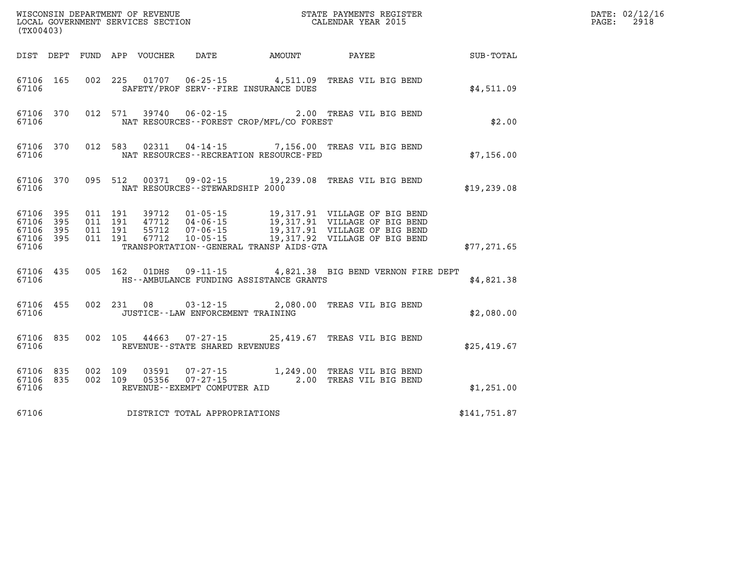| (TX00403)                                                 |           |  |                                    |                                              |                                                                                                      |              | DATE: 02/12/16<br>$\mathtt{PAGE:}$<br>2918 |
|-----------------------------------------------------------|-----------|--|------------------------------------|----------------------------------------------|------------------------------------------------------------------------------------------------------|--------------|--------------------------------------------|
|                                                           |           |  |                                    |                                              | DIST DEPT FUND APP VOUCHER DATE AMOUNT PAYEE                                                         | SUB-TOTAL    |                                            |
| 67106                                                     |           |  |                                    | SAFETY/PROF SERV--FIRE INSURANCE DUES        | 67106 165 002 225 01707 06-25-15 4,511.09 TREAS VIL BIG BEND                                         | \$4,511.09   |                                            |
| 67106                                                     |           |  |                                    | NAT RESOURCES - FOREST CROP/MFL/CO FOREST    | 67106 370 012 571 39740 06-02-15 2.00 TREAS VIL BIG BEND                                             | \$2.00       |                                            |
| 67106                                                     |           |  |                                    | NAT RESOURCES--RECREATION RESOURCE-FED       | 67106 370 012 583 02311 04-14-15 7,156.00 TREAS VIL BIG BEND                                         | \$7,156.00   |                                            |
| 67106                                                     |           |  | NAT RESOURCES -- STEWARDSHIP 2000  |                                              | 67106 370 095 512 00371 09-02-15 19,239.08 TREAS VIL BIG BEND                                        | \$19, 239.08 |                                            |
| 67106 395<br>67106 395<br>67106 395<br>67106 395<br>67106 |           |  |                                    | TRANSPORTATION - - GENERAL TRANSP AIDS - GTA |                                                                                                      | \$77, 271.65 |                                            |
| 67106                                                     |           |  |                                    | HS--AMBULANCE FUNDING ASSISTANCE GRANTS      | 67106 435 005 162 01DHS 09-11-15 4,821.38 BIG BEND VERNON FIRE DEPT                                  | \$4,821.38   |                                            |
| 67106                                                     |           |  | JUSTICE - LAW ENFORCEMENT TRAINING |                                              | 67106 455 002 231 08 03-12-15 2,080.00 TREAS VIL BIG BEND                                            | \$2,080.00   |                                            |
| 67106                                                     |           |  | REVENUE--STATE SHARED REVENUES     |                                              | 67106 835 002 105 44663 07-27-15 25,419.67 TREAS VIL BIG BEND                                        | \$25.419.67  |                                            |
| 67106 835<br>67106                                        | 67106 835 |  | REVENUE--EXEMPT COMPUTER AID       |                                              | 002 109 03591 07-27-15 1,249.00 TREAS VIL BIG BEND<br>002 109 05356 07-27-15 2.00 TREAS VIL BIG BEND | \$1,251.00   |                                            |
| 67106                                                     |           |  | DISTRICT TOTAL APPROPRIATIONS      |                                              |                                                                                                      | \$141,751.87 |                                            |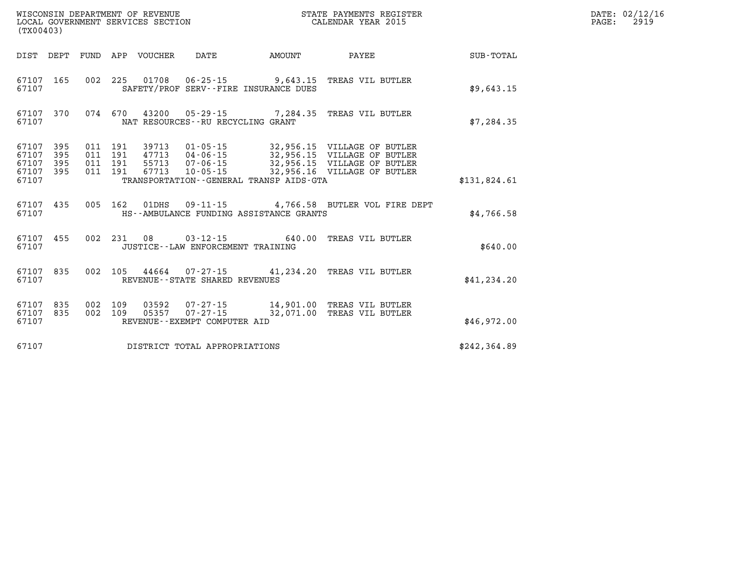| (TX00403)                                 |                          |                          |                          | WISCONSIN DEPARTMENT OF REVENUE<br>LOCAL GOVERNMENT SERVICES SECTION |                                                                     |                                                   | STATE PAYMENTS REGISTER<br>CALENDAR YEAR 2015                                                                            |               |  |  |
|-------------------------------------------|--------------------------|--------------------------|--------------------------|----------------------------------------------------------------------|---------------------------------------------------------------------|---------------------------------------------------|--------------------------------------------------------------------------------------------------------------------------|---------------|--|--|
| DIST                                      | DEPT                     | <b>FUND</b>              | APP                      | VOUCHER                                                              | DATE                                                                | AMOUNT                                            | PAYEE                                                                                                                    | SUB-TOTAL     |  |  |
| 67107<br>67107                            | 165                      | 002                      | 225                      | 01708                                                                | $06 - 25 - 15$                                                      | 9,643.15<br>SAFETY/PROF SERV--FIRE INSURANCE DUES | TREAS VIL BUTLER                                                                                                         | \$9,643.15    |  |  |
| 67107<br>67107                            | 370                      | 074                      | 670                      |                                                                      | NAT RESOURCES - - RU RECYCLING GRANT                                |                                                   | 43200  05-29-15  7,284.35  TREAS VIL BUTLER                                                                              | \$7, 284.35   |  |  |
| 67107<br>67107<br>67107<br>67107<br>67107 | 395<br>395<br>395<br>395 | 011<br>011<br>011<br>011 | 191<br>191<br>191<br>191 | 39713<br>47713<br>55713<br>67713                                     | $01 - 05 - 15$<br>04 - 06 - 15<br>07 - 06 - 15<br>$10 - 05 - 15$    | TRANSPORTATION--GENERAL TRANSP AIDS-GTA           | 32,956.15 VILLAGE OF BUTLER<br>32,956.15 VILLAGE OF BUTLER<br>32,956.15 VILLAGE OF BUTLER<br>32,956.16 VILLAGE OF BUTLER | \$131,824.61  |  |  |
| 67107<br>67107                            | 435                      | 005                      | 162                      | 01DHS                                                                |                                                                     | HS--AMBULANCE FUNDING ASSISTANCE GRANTS           | 09-11-15  4,766.58 BUTLER VOL FIRE DEPT                                                                                  | \$4,766.58    |  |  |
| 67107<br>67107                            | 455                      | 002                      | 231                      | 08                                                                   | JUSTICE - - LAW ENFORCEMENT TRAINING                                | $03 - 12 - 15$ 640.00                             | TREAS VIL BUTLER                                                                                                         | \$640.00      |  |  |
| 67107<br>67107                            | 835                      | 002                      | 105                      |                                                                      | REVENUE - - STATE SHARED REVENUES                                   | $44664$ 07-27-15 41,234.20                        | TREAS VIL BUTLER                                                                                                         | \$41, 234.20  |  |  |
| 67107<br>67107<br>67107                   | 835<br>835               | 002<br>002               | 109<br>109               | 03592<br>05357                                                       | $07 - 27 - 15$<br>$07 - 27 - 15$<br>REVENUE - - EXEMPT COMPUTER AID | 14,901.00<br>32,071.00                            | TREAS VIL BUTLER<br>TREAS VIL BUTLER                                                                                     | \$46,972.00   |  |  |
| 67107                                     |                          |                          |                          |                                                                      | DISTRICT TOTAL APPROPRIATIONS                                       |                                                   |                                                                                                                          | \$242, 364.89 |  |  |

**DATE: 02/12/16<br>PAGE: 2919**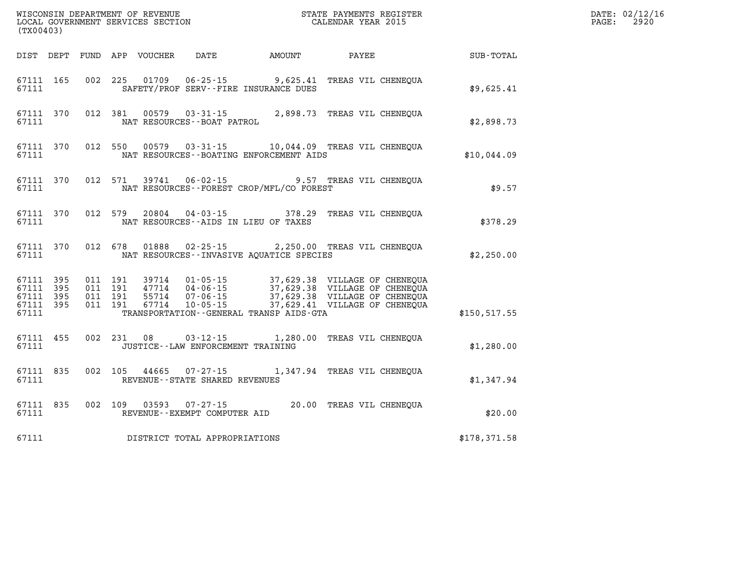| (TX00403) |       |  |                                            |                                                                                                                                                                                                                                                                                                                                                                                   |  |  | $\mathbb{R}^n$                                         | DATE: 02/12/16<br>$\mathtt{PAGE:}$<br>2920 |
|-----------|-------|--|--------------------------------------------|-----------------------------------------------------------------------------------------------------------------------------------------------------------------------------------------------------------------------------------------------------------------------------------------------------------------------------------------------------------------------------------|--|--|--------------------------------------------------------|--------------------------------------------|
|           |       |  |                                            |                                                                                                                                                                                                                                                                                                                                                                                   |  |  | DIST DEPT FUND APP VOUCHER DATE AMOUNT PAYEE SUB-TOTAL |                                            |
|           |       |  |                                            | 67111 165 002 225 01709 06-25-15 9,625.41 TREAS VIL CHENEQUA<br>67111 SAFETY/PROF SERV--FIRE INSURANCE DUES                                                                                                                                                                                                                                                                       |  |  | \$9,625.41                                             |                                            |
| 67111     |       |  | NAT RESOURCES--BOAT PATROL                 | 67111 370 012 381 00579 03-31-15 2,898.73 TREAS VIL CHENEQUA                                                                                                                                                                                                                                                                                                                      |  |  | \$2,898.73                                             |                                            |
| 67111     |       |  |                                            | 67111 370 012 550 00579 03-31-15 10,044.09 TREAS VIL CHENEQUA<br>NAT RESOURCES--BOATING ENFORCEMENT AIDS                                                                                                                                                                                                                                                                          |  |  | \$10,044.09                                            |                                            |
| 67111     |       |  |                                            | 67111 370 012 571 39741 06-02-15 9.57 TREAS VIL CHENEQUA<br>NAT RESOURCES - - FOREST CROP/MFL/CO FOREST                                                                                                                                                                                                                                                                           |  |  | \$9.57                                                 |                                            |
| 67111     |       |  |                                            | 67111 370 012 579 20804 04-03-15 378.29 TREAS VIL CHENEQUA<br>NAT RESOURCES--AIDS IN LIEU OF TAXES                                                                                                                                                                                                                                                                                |  |  | \$378.29                                               |                                            |
|           |       |  |                                            | 67111 370 012 678 01888 02-25-15 2,250.00 TREAS VIL CHENEQUA<br>67111 MAT RESOURCES - INVASIVE AQUATICE SPECIES                                                                                                                                                                                                                                                                   |  |  | \$2,250.00                                             |                                            |
|           | 67111 |  |                                            | $\begin{array}{cccccccc} 67111 & 395 & 011 & 191 & 39714 & 01\cdot 05\cdot 15 & 37,629.38 & \text{VILLAGE OF CHENEQUA} \\ 67111 & 395 & 011 & 191 & 47714 & 04\cdot 06\cdot 15 & 37,629.38 & \text{VILLAGE OF CHENEQUA} \\ 67111 & 395 & 011 & 191 & 55714 & 07\cdot 06\cdot 15 & 37,629.38 & \text{VILLAGE OF CHENEQUA} \\ 67111 & $<br>TRANSPORTATION - GENERAL TRANSP AIDS-GTA |  |  | \$150, 517.55                                          |                                            |
|           |       |  | 67111 JUSTICE - - LAW ENFORCEMENT TRAINING | 67111 455 002 231 08 03-12-15 1,280.00 TREAS VIL CHENEQUA                                                                                                                                                                                                                                                                                                                         |  |  | \$1,280.00                                             |                                            |
| 67111     |       |  | REVENUE--STATE SHARED REVENUES             | 67111 835 002 105 44665 07-27-15 1,347.94 TREAS VIL CHENEQUA                                                                                                                                                                                                                                                                                                                      |  |  | \$1,347.94                                             |                                            |
|           |       |  | 67111 REVENUE - EXEMPT COMPUTER AID        | 67111 835 002 109 03593 07-27-15 20.00 TREAS VIL CHENEQUA                                                                                                                                                                                                                                                                                                                         |  |  | \$20.00                                                |                                            |
|           |       |  | 67111 DISTRICT TOTAL APPROPRIATIONS        |                                                                                                                                                                                                                                                                                                                                                                                   |  |  | \$178,371.58                                           |                                            |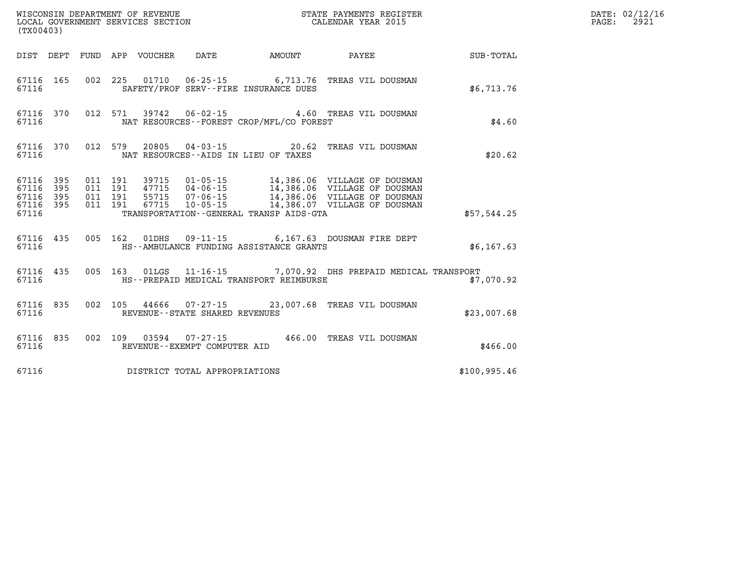| (TX00403) |  |  |                                                  | WISCONSIN DEPARTMENT OF REVENUE<br>LOCAL GOVERNMENT SERVICES SECTION<br>CALENDAR YEAR 2015                   |              | DATE: 02/12/16<br>PAGE: 2921 |
|-----------|--|--|--------------------------------------------------|--------------------------------------------------------------------------------------------------------------|--------------|------------------------------|
|           |  |  |                                                  | DIST DEPT FUND APP VOUCHER DATE AMOUNT PAYEE                                                                 | SUB-TOTAL    |                              |
|           |  |  | 67116 SAFETY/PROF SERV--FIRE INSURANCE DUES      | 67116 165 002 225 01710 06-25-15 6,713.76 TREAS VIL DOUSMAN                                                  | \$6,713.76   |                              |
|           |  |  | 67116 MAT RESOURCES - FOREST CROP/MFL/CO FOREST  | 67116 370 012 571 39742 06-02-15 4.60 TREAS VIL DOUSMAN                                                      | \$4.60       |                              |
|           |  |  | 67116 MAT RESOURCES--AIDS IN LIEU OF TAXES       | 67116 370 012 579 20805 04-03-15 20.62 TREAS VIL DOUSMAN                                                     | \$20.62      |                              |
|           |  |  |                                                  |                                                                                                              |              |                              |
|           |  |  | 67116 TRANSPORTATION - GENERAL TRANSP AIDS - GTA |                                                                                                              | \$57,544.25  |                              |
|           |  |  |                                                  | 67116 435 005 162 01DHS 09-11-15 6,167.63 DOUSMAN FIRE DEPT<br>67116 HS--AMBULANCE FUNDING ASSISTANCE GRANTS | \$6,167.63   |                              |
| 67116     |  |  | HS--PREPAID MEDICAL TRANSPORT REIMBURSE          | 67116 435 005 163 01LGS 11-16-15 7,070.92 DHS PREPAID MEDICAL TRANSPORT                                      | \$7,070.92   |                              |
|           |  |  | 67116 REVENUE--STATE SHARED REVENUES             | 67116 835 002 105 44666 07-27-15 23,007.68 TREAS VIL DOUSMAN                                                 | \$23,007.68  |                              |
| 67116     |  |  | REVENUE--EXEMPT COMPUTER AID                     | 67116 835 002 109 03594 07-27-15 466.00 TREAS VIL DOUSMAN                                                    | \$466.00     |                              |
|           |  |  | 67116 DISTRICT TOTAL APPROPRIATIONS              |                                                                                                              | \$100,995.46 |                              |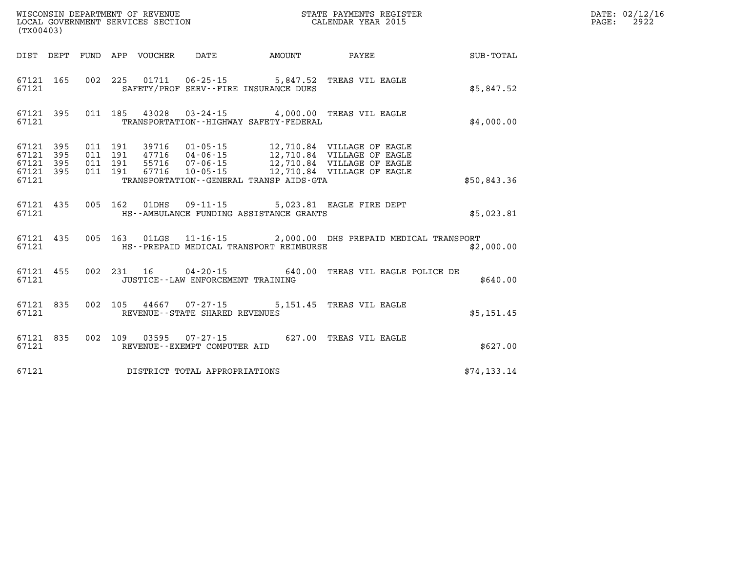| (TX00403) |                                                  |  |                                                                    |                                             |                                                                         |              | DATE: 02/12/16<br>$\mathtt{PAGE:}$<br>2922 |
|-----------|--------------------------------------------------|--|--------------------------------------------------------------------|---------------------------------------------|-------------------------------------------------------------------------|--------------|--------------------------------------------|
|           |                                                  |  |                                                                    |                                             | DIST DEPT FUND APP VOUCHER DATE AMOUNT PAYEE                            | SUB-TOTAL    |                                            |
| 67121     |                                                  |  |                                                                    | SAFETY/PROF SERV--FIRE INSURANCE DUES       | 67121 165 002 225 01711 06-25-15 5,847.52 TREAS VIL EAGLE               | \$5,847.52   |                                            |
| 67121     |                                                  |  |                                                                    | TRANSPORTATION - - HIGHWAY SAFETY - FEDERAL | 67121 395 011 185 43028 03-24-15 4,000.00 TREAS VIL EAGLE               | \$4,000.00   |                                            |
| 67121     | 67121 395<br>67121 395<br>67121 395<br>67121 395 |  |                                                                    | TRANSPORTATION--GENERAL TRANSP AIDS-GTA     | 011  191  39716  01-05-15  12,710.84  VILLAGE OF EAGLE                  | \$50,843.36  |                                            |
| 67121     |                                                  |  |                                                                    | HS--AMBULANCE FUNDING ASSISTANCE GRANTS     | 67121 435 005 162 01DHS 09-11-15 5,023.81 EAGLE FIRE DEPT               | \$5,023.81   |                                            |
|           | 67121                                            |  |                                                                    | HS--PREPAID MEDICAL TRANSPORT REIMBURSE     | 67121 435 005 163 01LGS 11-16-15 2,000.00 DHS PREPAID MEDICAL TRANSPORT | \$2,000.00   |                                            |
| 67121     |                                                  |  | JUSTICE -- LAW ENFORCEMENT TRAINING                                |                                             | 67121 455 002 231 16 04-20-15 640.00 TREAS VIL EAGLE POLICE DE          | \$640.00     |                                            |
|           | 67121                                            |  | 67121 835 002 105 44667 07-27-15<br>REVENUE--STATE SHARED REVENUES |                                             | 5,151.45 TREAS VIL EAGLE                                                | \$5,151.45   |                                            |
| 67121     |                                                  |  | REVENUE--EXEMPT COMPUTER AID                                       |                                             | 67121 835 002 109 03595 07-27-15 627.00 TREAS VIL EAGLE                 | \$627.00     |                                            |
| 67121     |                                                  |  | DISTRICT TOTAL APPROPRIATIONS                                      |                                             |                                                                         | \$74, 133.14 |                                            |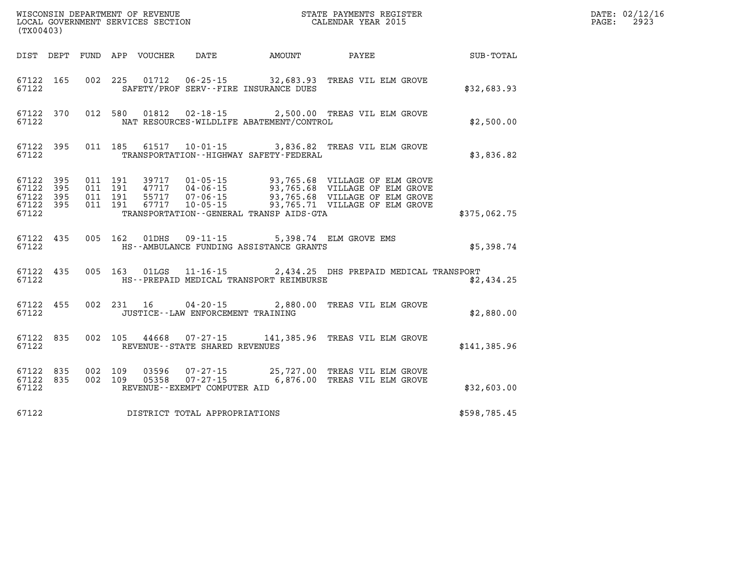| (TX00403)                                                 |                        |  |                                   |                                                                                                    | WISCONSIN DEPARTMENT OF REVENUE<br>LOCAL GOVERNMENT SERVICES SECTION<br>CALENDAR YEAR 2015                                                                                                                                                                                                                                                  |              | DATE: 02/12/16<br>PAGE: 2923 |
|-----------------------------------------------------------|------------------------|--|-----------------------------------|----------------------------------------------------------------------------------------------------|---------------------------------------------------------------------------------------------------------------------------------------------------------------------------------------------------------------------------------------------------------------------------------------------------------------------------------------------|--------------|------------------------------|
|                                                           |                        |  |                                   |                                                                                                    | DIST DEPT FUND APP VOUCHER DATE AMOUNT PAYEE SUB-TOTAL                                                                                                                                                                                                                                                                                      |              |                              |
| 67122                                                     | 67122 165              |  |                                   | SAFETY/PROF SERV--FIRE INSURANCE DUES                                                              | 002 225 01712 06-25-15 32,683.93 TREAS VIL ELM GROVE                                                                                                                                                                                                                                                                                        | \$32,683.93  |                              |
| 67122                                                     | 67122 370              |  |                                   | NAT RESOURCES-WILDLIFE ABATEMENT/CONTROL                                                           | 012 580 01812 02-18-15 2,500.00 TREAS VIL ELM GROVE                                                                                                                                                                                                                                                                                         | \$2,500.00   |                              |
| 67122                                                     | 67122 395              |  |                                   | TRANSPORTATION - - HIGHWAY SAFETY - FEDERAL                                                        | 011 185 61517 10-01-15 3,836.82 TREAS VIL ELM GROVE                                                                                                                                                                                                                                                                                         | \$3,836.82   |                              |
| 67122 395<br>67122 395<br>67122 395<br>67122 395<br>67122 |                        |  |                                   | TRANSPORTATION - - GENERAL TRANSP AIDS-GTA                                                         | $\begin{array}{cccc} 011 & 191 & 39717 & 01\cdot 05\cdot 15 & 93\,, 765\,.68 & \text{VILLAGE OF ELM GROVE} \\ 011 & 191 & 47717 & 04\cdot 06\cdot 15 & 93\,, 765\,.68 & \text{VILLAGE OF ELM GROVE} \\ 011 & 191 & 55717 & 07\cdot 06\cdot 15 & 93\,, 765\,.68 & \text{VILLAGE OF ELM GROVE} \\ 011 & 191 & 67717 & 10\cdot 05\cdot 15 & 9$ | \$375,062.75 |                              |
| 67122                                                     |                        |  |                                   | 67122 435 005 162 01DHS 09-11-15 5,398.74 ELM GROVE EMS<br>HS--AMBULANCE FUNDING ASSISTANCE GRANTS |                                                                                                                                                                                                                                                                                                                                             | \$5,398.74   |                              |
| 67122                                                     |                        |  |                                   | HS--PREPAID MEDICAL TRANSPORT REIMBURSE                                                            | 67122 435 005 163 01LGS 11-16-15 2,434.25 DHS PREPAID MEDICAL TRANSPORT                                                                                                                                                                                                                                                                     | \$2,434.25   |                              |
| 67122                                                     |                        |  | JUSTICE--LAW ENFORCEMENT TRAINING |                                                                                                    | 67122 455 002 231 16 04-20-15 2,880.00 TREAS VIL ELM GROVE                                                                                                                                                                                                                                                                                  | \$2,880.00   |                              |
| 67122                                                     |                        |  | REVENUE - - STATE SHARED REVENUES |                                                                                                    | 67122 835 002 105 44668 07-27-15 141,385.96 TREAS VIL ELM GROVE                                                                                                                                                                                                                                                                             | \$141,385.96 |                              |
| 67122                                                     | 67122 835<br>67122 835 |  | REVENUE--EXEMPT COMPUTER AID      |                                                                                                    | 002 109 03596 07-27-15 25,727.00 TREAS VIL ELM GROVE 002 109 05358 07-27-15 6,876.00 TREAS VIL ELM GROVE                                                                                                                                                                                                                                    | \$32,603.00  |                              |
| 67122                                                     |                        |  | DISTRICT TOTAL APPROPRIATIONS     |                                                                                                    |                                                                                                                                                                                                                                                                                                                                             | \$598,785.45 |                              |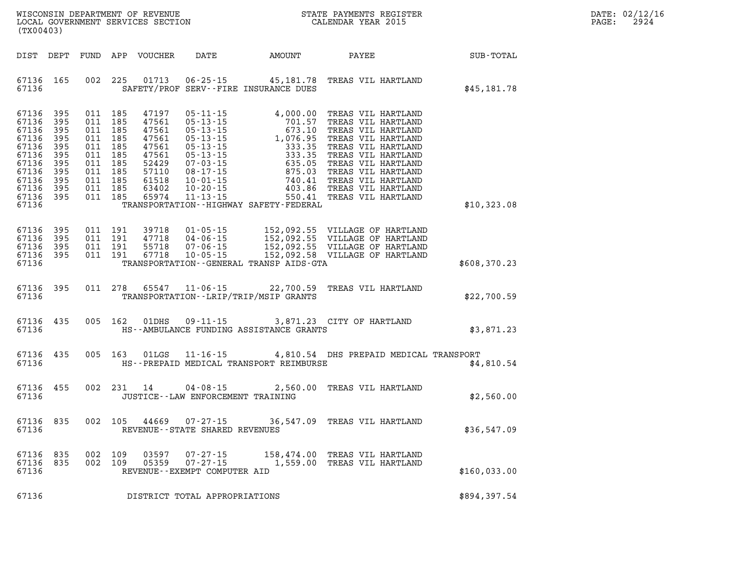| DATE:             | 02/12/16 |
|-------------------|----------|
| $\mathtt{PAGE}$ : | 2924     |

| (TX00403)                                                                                                                                   |           |         |         |                |                                                               |                                               |                                                                                                                                                                                                                                  |                       | DATE: 02/12/1<br>PAGE: | 2924 |
|---------------------------------------------------------------------------------------------------------------------------------------------|-----------|---------|---------|----------------|---------------------------------------------------------------|-----------------------------------------------|----------------------------------------------------------------------------------------------------------------------------------------------------------------------------------------------------------------------------------|-----------------------|------------------------|------|
|                                                                                                                                             |           |         |         |                |                                                               |                                               |                                                                                                                                                                                                                                  |                       |                        |      |
|                                                                                                                                             |           |         |         |                |                                                               | 67136 SAFETY/PROF SERV--FIRE INSURANCE DUES   | 67136 165 002 225 01713 06-25-15 45,181.78 TREAS VIL HARTLAND                                                                                                                                                                    | \$45,181.78           |                        |      |
| 67136 395<br>67136 395<br>67136 395<br>67136 395<br>67136 395<br>67136 395<br>67136 395<br>67136 395<br>67136 395<br>67136 395<br>67136 395 |           |         |         |                |                                                               |                                               |                                                                                                                                                                                                                                  |                       |                        |      |
|                                                                                                                                             | 67136     |         |         |                |                                                               | TRANSPORTATION - - HIGHWAY SAFETY - FEDERAL   |                                                                                                                                                                                                                                  | \$10,323.08           |                        |      |
| 67136 395<br>67136 395<br>67136 395                                                                                                         | 67136 395 |         |         |                |                                                               | 67136 TRANSPORTATION--GENERAL TRANSP AIDS-GTA | 011 191 39718 01-05-15 152,092.55 VILLAGE OF HARTLAND<br>011 191 47718 04-06-15 152,092.55 VILLAGE OF HARTLAND<br>011 191 55718 07-06-15 152,092.55 VILLAGE OF HARTLAND<br>011 191 67718 10-05-15 152,092.58 VILLAGE OF HARTLAND | \$608<br>\$608,370.23 |                        |      |
|                                                                                                                                             |           |         |         |                |                                                               | 67136 TRANSPORTATION--LRIP/TRIP/MSIP GRANTS   | 67136 395 011 278 65547 11-06-15 22,700.59 TREAS VIL HARTLAND                                                                                                                                                                    | \$22,700.59           |                        |      |
|                                                                                                                                             |           |         |         |                |                                                               |                                               | 67136 435 005 162 01DHS 09-11-15 3,871.23 CITY OF HARTLAND<br>67136 HS--AMBULANCE FUNDING ASSISTANCE GRANTS                                                                                                                      | \$3,871.23            |                        |      |
|                                                                                                                                             |           |         |         |                |                                                               | 67136 HS--PREPAID MEDICAL TRANSPORT REIMBURSE | 67136 435 005 163 01LGS 11-16-15 4,810.54 DHS PREPAID MEDICAL TRANSPORT                                                                                                                                                          | \$4,810.54            |                        |      |
| 67136                                                                                                                                       |           |         |         |                | JUSTICE - - LAW ENFORCEMENT TRAINING                          |                                               | 67136 455 002 231 14 04-08-15 2,560.00 TREAS VIL HARTLAND                                                                                                                                                                        | \$2,560.00            |                        |      |
| 67136 835<br>67136                                                                                                                          |           |         |         |                | 002 105 44669 07-27-15<br>REVENUE - - STATE SHARED REVENUES   |                                               | 36,547.09 TREAS VIL HARTLAND                                                                                                                                                                                                     | \$36,547.09           |                        |      |
| 67136 835<br>67136 835<br>67136                                                                                                             |           | 002 109 | 002 109 | 03597<br>05359 | 07-27-15<br>$07 - 27 - 15$<br>REVENUE - - EXEMPT COMPUTER AID |                                               | 158,474.00 TREAS VIL HARTLAND<br>1,559.00 TREAS VIL HARTLAND                                                                                                                                                                     | \$160,033.00          |                        |      |
| 67136                                                                                                                                       |           |         |         |                | DISTRICT TOTAL APPROPRIATIONS                                 |                                               |                                                                                                                                                                                                                                  | \$894,397.54          |                        |      |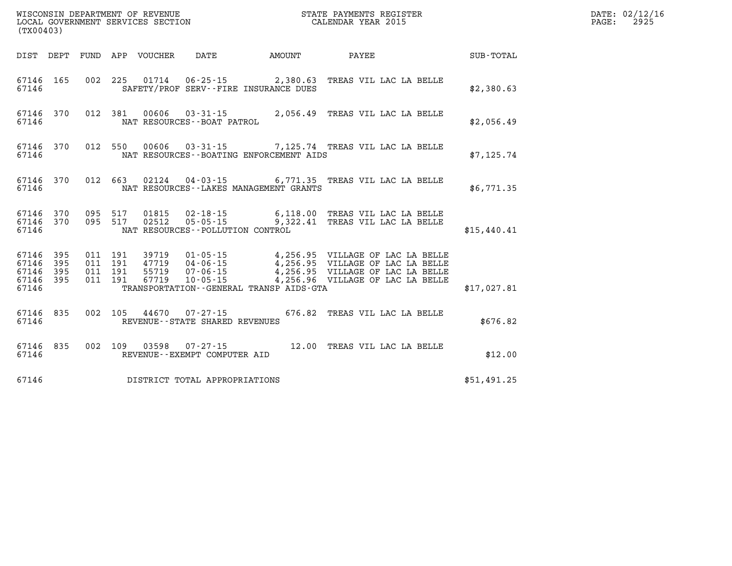| (TX00403)                                 |                          |                          |                          |                                  |                                                                             |        |                                                                                                                                                                        |             |
|-------------------------------------------|--------------------------|--------------------------|--------------------------|----------------------------------|-----------------------------------------------------------------------------|--------|------------------------------------------------------------------------------------------------------------------------------------------------------------------------|-------------|
| DIST                                      | DEPT                     | FUND                     |                          | APP VOUCHER                      | <b>DATE</b>                                                                 | AMOUNT | <b>PAYEE</b>                                                                                                                                                           | SUB-TOTAL   |
| 67146<br>67146                            | 165                      | 002                      | 225                      |                                  | 01714 06-25-15 2,380.63<br>SAFETY/PROF SERV--FIRE INSURANCE DUES            |        | TREAS VIL LAC LA BELLE                                                                                                                                                 | \$2,380.63  |
| 67146<br>67146                            | 370                      | 012                      | 381                      |                                  | NAT RESOURCES - - BOAT PATROL                                               |        | 00606  03-31-15  2,056.49  TREAS VIL LAC LA BELLE                                                                                                                      | \$2,056.49  |
| 67146<br>67146                            | 370                      | 012                      | 550                      |                                  | NAT RESOURCES - - BOATING ENFORCEMENT AIDS                                  |        | 00606  03-31-15  7,125.74  TREAS VIL LAC LA BELLE                                                                                                                      | \$7,125.74  |
| 67146<br>67146                            | 370                      | 012                      |                          |                                  | NAT RESOURCES - - LAKES MANAGEMENT GRANTS                                   |        | 663 02124 04-03-15 6,771.35 TREAS VIL LAC LA BELLE                                                                                                                     | \$6,771.35  |
| 67146<br>67146<br>67146                   | 370<br>370               | 095 517<br>095           | 517                      |                                  | NAT RESOURCES - - POLLUTION CONTROL                                         |        | 01815  02-18-15  6,118.00  TREAS VIL LAC LA BELLE<br>02512  05-05-15  9,322.41  TREAS VIL LAC LA BELLE                                                                 | \$15,440.41 |
| 67146<br>67146<br>67146<br>67146<br>67146 | 395<br>395<br>395<br>395 | 011<br>011<br>011<br>011 | 191<br>191<br>191<br>191 | 39719<br>47719<br>55719<br>67719 | $07 - 06 - 15$<br>$10 - 05 - 15$<br>TRANSPORTATION--GENERAL TRANSP AIDS-GTA |        | 01-05-15 4,256.95 VILLAGE OF LAC LA BELLE<br>$04 - 06 - 15$ $4,256.95$ VILLAGE OF LAC LA BELLE<br>4,256.95 VILLAGE OF LAC LA BELLE<br>4,256.96 VILLAGE OF LAC LA BELLE | \$17,027.81 |
| 67146<br>67146                            | 835                      | 002                      | 105                      |                                  | 44670 07-27-15<br>REVENUE - - STATE SHARED REVENUES                         | 676.82 | TREAS VIL LAC LA BELLE                                                                                                                                                 | \$676.82    |
| 67146<br>67146                            | 835                      | 002                      | 109                      | 03598                            | $07 - 27 - 15$<br>REVENUE--EXEMPT COMPUTER AID                              |        | 12.00 TREAS VIL LAC LA BELLE                                                                                                                                           | \$12.00     |
| 67146                                     |                          |                          |                          |                                  | DISTRICT TOTAL APPROPRIATIONS                                               |        |                                                                                                                                                                        | \$51,491.25 |

**WISCONSIN DEPARTMENT OF REVENUE STATE PAYMENTS REGISTER DATE: 02/12/16 LOCAL GOVERNMENT SERVICES SECTION CALENDAR YEAR 2015 PAGE: 2925**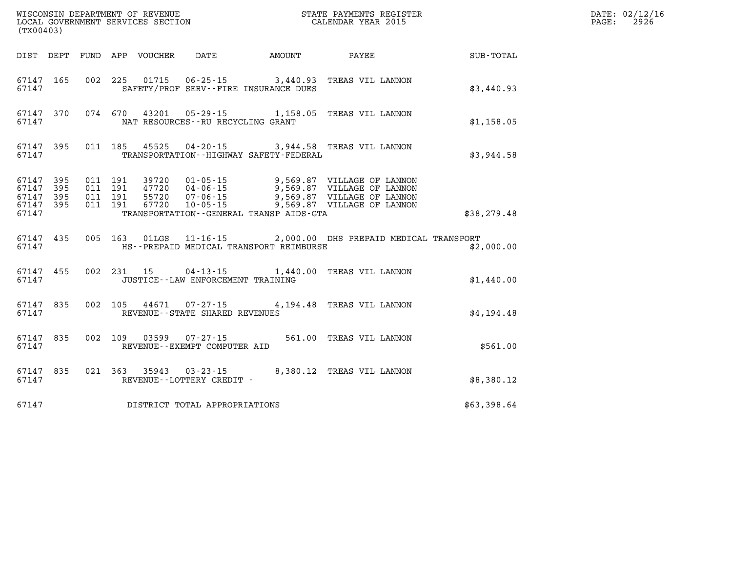| (TX00403)                                                 |           |                                          |  | WISCONSIN DEPARTMENT OF REVENUE<br>LOCAL GOVERNMENT SERVICES SECTION | STATE PAYMENTS REGISTER<br>CALENDAR YEAR 2015                              |              | DATE: 02/12/16<br>PAGE: 2926 |
|-----------------------------------------------------------|-----------|------------------------------------------|--|----------------------------------------------------------------------|----------------------------------------------------------------------------|--------------|------------------------------|
|                                                           |           |                                          |  |                                                                      | DIST DEPT FUND APP VOUCHER DATE AMOUNT PAYEE                               | SUB-TOTAL    |                              |
| 67147                                                     | 67147 165 |                                          |  | SAFETY/PROF SERV--FIRE INSURANCE DUES                                | 002 225 01715 06-25-15 3,440.93 TREAS VIL LANNON                           | \$3,440.93   |                              |
| 67147                                                     | 67147 370 |                                          |  | NAT RESOURCES - - RU RECYCLING GRANT                                 | 074 670 43201 05-29-15 1,158.05 TREAS VIL LANNON                           | \$1,158.05   |                              |
| 67147                                                     | 67147 395 |                                          |  | TRANSPORTATION - - HIGHWAY SAFETY - FEDERAL                          | 011 185 45525 04-20-15 3,944.58 TREAS VIL LANNON                           | \$3,944.58   |                              |
| 67147 395<br>67147 395<br>67147 395<br>67147 395<br>67147 |           | 011 191<br>011 191<br>011 191<br>011 191 |  | 39720   01-05-15<br>TRANSPORTATION - - GENERAL TRANSP AIDS - GTA     | 9,569.87 VILLAGE OF LANNON<br>47720  04-06-15  9,569.87  VILLAGE OF LANNON | \$38, 279.48 |                              |
| 67147                                                     | 67147 435 |                                          |  | HS--PREPAID MEDICAL TRANSPORT REIMBURSE                              | 005 163 01LGS 11-16-15 2,000.00 DHS PREPAID MEDICAL TRANSPORT              | \$2,000.00   |                              |
| 67147                                                     | 67147 455 |                                          |  | JUSTICE - - LAW ENFORCEMENT TRAINING                                 | 002 231 15 04-13-15 1,440.00 TREAS VIL LANNON                              | \$1,440.00   |                              |
| 67147                                                     | 67147 835 |                                          |  | REVENUE - - STATE SHARED REVENUES                                    | 002 105 44671 07-27-15 4,194.48 TREAS VIL LANNON                           | \$4,194.48   |                              |
| 67147                                                     | 67147 835 |                                          |  | REVENUE--EXEMPT COMPUTER AID                                         | 002 109 03599 07-27-15 561.00 TREAS VIL LANNON                             | \$561.00     |                              |
| 67147                                                     | 67147 835 |                                          |  | REVENUE--LOTTERY CREDIT -                                            | 021 363 35943 03-23-15 8,380.12 TREAS VIL LANNON                           | \$8,380.12   |                              |
| 67147                                                     |           |                                          |  | DISTRICT TOTAL APPROPRIATIONS                                        |                                                                            | \$63,398.64  |                              |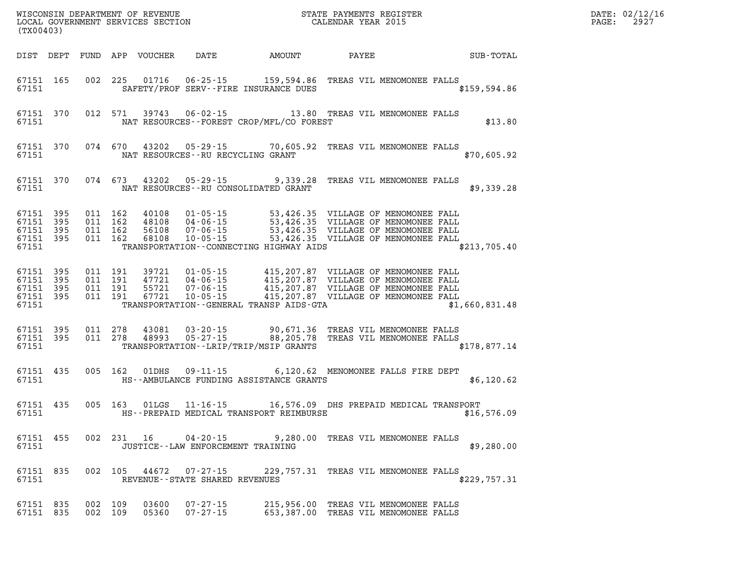| (TX00403)                                                 |  |         |                                          |                                  |                                                     |                                                                                                                                                                                                                                         |       |                                                                              | PAGE:          | DATE: 02/12/16<br>2927 |  |
|-----------------------------------------------------------|--|---------|------------------------------------------|----------------------------------|-----------------------------------------------------|-----------------------------------------------------------------------------------------------------------------------------------------------------------------------------------------------------------------------------------------|-------|------------------------------------------------------------------------------|----------------|------------------------|--|
| DIST DEPT                                                 |  |         |                                          | FUND APP VOUCHER                 | <b>DATE</b>                                         | AMOUNT                                                                                                                                                                                                                                  | PAYEE |                                                                              | SUB-TOTAL      |                        |  |
| 67151 165<br>67151                                        |  |         |                                          | 002 225 01716                    |                                                     | 06-25-15 159,594.86 TREAS VIL MENOMONEE FALLS<br>SAFETY/PROF SERV--FIRE INSURANCE DUES                                                                                                                                                  |       |                                                                              | \$159, 594.86  |                        |  |
| 67151 370<br>67151                                        |  |         | 012 571                                  | 39743                            |                                                     | 06-02-15 13.80 TREAS VIL MENOMONEE FALLS<br>NAT RESOURCES--FOREST CROP/MFL/CO FOREST                                                                                                                                                    |       |                                                                              | \$13.80        |                        |  |
| 67151 370<br>67151                                        |  |         | 074 670                                  |                                  |                                                     | 43202  05-29-15  70,605.92  TREAS VIL MENOMONEE FALLS<br>NAT RESOURCES--RU RECYCLING GRANT                                                                                                                                              |       |                                                                              | \$70,605.92    |                        |  |
| 67151 370<br>67151                                        |  |         | 074 673                                  | 43202                            |                                                     | 05-29-15 9,339.28 TREAS VIL MENOMONEE FALLS<br>NAT RESOURCES--RU CONSOLIDATED GRANT                                                                                                                                                     |       |                                                                              | \$9,339.28     |                        |  |
| 67151 395<br>67151 395<br>67151 395<br>67151 395<br>67151 |  |         | 011 162<br>011 162<br>011 162<br>011 162 | 40108<br>48108<br>56108<br>68108 |                                                     | 01-05-15 53,426.35 VILLAGE OF MENOMONEE FALL<br>04-06-15 53,426.35 VILLAGE OF MENOMONEE FALL<br>07-06-15 53,426.35 VILLAGE OF MENOMONEE FALL<br>10-05-15 53,426.35 VILLAGE OF MENOMONEE FALL<br>TRANSPORTATION--CONNECTING HIGHWAY AIDS |       |                                                                              | \$213,705.40   |                        |  |
| 67151 395<br>67151 395<br>67151 395<br>67151 395<br>67151 |  |         | 011 191<br>011 191<br>011 191<br>011 191 | 39721<br>47721<br>55721<br>67721 |                                                     | TRANSPORTATION--GENERAL TRANSP AIDS-GTA                                                                                                                                                                                                 |       |                                                                              | \$1,660,831.48 |                        |  |
| 67151 395<br>67151 395<br>67151                           |  |         | 011 278<br>011 278                       | 43081<br>48993                   | $03 - 20 - 15$<br>$05 - 27 - 15$                    | 90,671.36 TREAS VIL MENOMONEE FALLS<br>88,205.78 TREAS VIL MENOMONEE FALLS<br>TRANSPORTATION--LRIP/TRIP/MSIP GRANTS                                                                                                                     |       |                                                                              | \$178,877.14   |                        |  |
| 67151 435<br>67151                                        |  |         | 005 162                                  | 01DHS                            |                                                     | 09-11-15 6,120.62 MENOMONEE FALLS FIRE DEPT<br>HS--AMBULANCE FUNDING ASSISTANCE GRANTS                                                                                                                                                  |       |                                                                              | \$6,120.62     |                        |  |
| 67151 435<br>67151                                        |  |         | 005 163                                  | 01LGS                            |                                                     | 11-16-15 16,576.09 DHS PREPAID MEDICAL TRANSPORT<br>HS--PREPAID MEDICAL TRANSPORT REIMBURSE                                                                                                                                             |       |                                                                              | \$16,576.09    |                        |  |
| 67151 455<br>67151                                        |  |         |                                          | 002 231 16                       | 04-20-15                                            | JUSTICE - - LAW ENFORCEMENT TRAINING                                                                                                                                                                                                    |       | 9,280.00 TREAS VIL MENOMONEE FALLS                                           | \$9,280.00     |                        |  |
| 67151 835<br>67151                                        |  |         | 002 105                                  |                                  | 44672 07-27-15<br>REVENUE - - STATE SHARED REVENUES |                                                                                                                                                                                                                                         |       | 229,757.31 TREAS VIL MENOMONEE FALLS                                         | \$229,757.31   |                        |  |
| 67151 835<br>67151 835                                    |  | 002 109 | 002 109                                  | 03600<br>05360                   | $07 - 27 - 15$<br>$07 - 27 - 15$                    |                                                                                                                                                                                                                                         |       | 215,956.00 TREAS VIL MENOMONEE FALLS<br>653,387.00 TREAS VIL MENOMONEE FALLS |                |                        |  |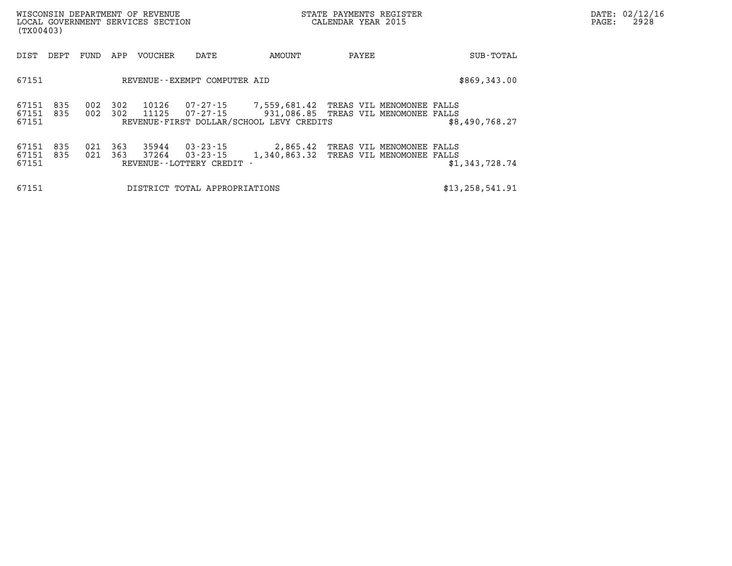| (TX00403)                   |            |            |            | WISCONSIN DEPARTMENT OF REVENUE<br>LOCAL GOVERNMENT SERVICES SECTION |                                                 |                                                                                                                                     | STATE PAYMENTS REGISTER<br>CALENDAR YEAR 2015 |                                                        |                   |  |  | DATE: 02/12/16<br>2928 |
|-----------------------------|------------|------------|------------|----------------------------------------------------------------------|-------------------------------------------------|-------------------------------------------------------------------------------------------------------------------------------------|-----------------------------------------------|--------------------------------------------------------|-------------------|--|--|------------------------|
| DIST                        | DEPT       | FUND       | APP        | VOUCHER                                                              | DATE                                            | AMOUNT                                                                                                                              | PAYEE                                         |                                                        | SUB-TOTAL         |  |  |                        |
| 67151                       |            |            |            |                                                                      | REVENUE--EXEMPT COMPUTER AID                    |                                                                                                                                     |                                               |                                                        | \$869,343.00      |  |  |                        |
| 67151<br>67151<br>67151     | 835<br>835 | 002<br>002 | 302<br>302 | 10126<br>11125                                                       | 07-27-15                                        | 07-27-15 7,559,681.42 TREAS VIL MENOMONEE FALLS<br>931,086.85 TREAS VIL MENOMONEE FALLS<br>REVENUE-FIRST DOLLAR/SCHOOL LEVY CREDITS |                                               |                                                        | \$8,490,768.27    |  |  |                        |
| 67151 835<br>67151<br>67151 | 835        | 021<br>021 | 363<br>363 | 35944<br>37264                                                       | 03-23-15<br>03-23-15<br>REVENUE--LOTTERY CREDIT | 2,865.42<br>1,340,863.32                                                                                                            |                                               | TREAS VIL MENOMONEE FALLS<br>TREAS VIL MENOMONEE FALLS | \$1,343,728.74    |  |  |                        |
| 67151                       |            |            |            |                                                                      | DISTRICT TOTAL APPROPRIATIONS                   |                                                                                                                                     |                                               |                                                        | \$13, 258, 541.91 |  |  |                        |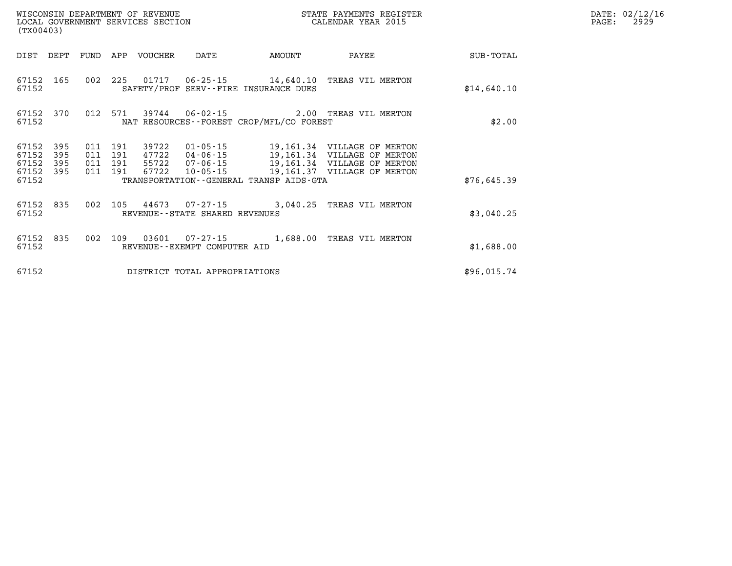| (TX00403)                        | WISCONSIN DEPARTMENT OF REVENUE<br>LOCAL GOVERNMENT SERVICES SECTION | STATE PAYMENTS REGISTER<br>CALENDAR YEAR 2015 |                          |                                  |                                                   |                                                                         |                                                                                                                          |             |
|----------------------------------|----------------------------------------------------------------------|-----------------------------------------------|--------------------------|----------------------------------|---------------------------------------------------|-------------------------------------------------------------------------|--------------------------------------------------------------------------------------------------------------------------|-------------|
| DIST                             | DEPT                                                                 | FUND                                          | APP                      | VOUCHER                          | DATE                                              | AMOUNT                                                                  | PAYEE                                                                                                                    | SUB-TOTAL   |
| 67152<br>67152                   | 165                                                                  | 002                                           | 225                      |                                  |                                                   | $01717$ $06-25-15$ $14,640.10$<br>SAFETY/PROF SERV--FIRE INSURANCE DUES | TREAS VIL MERTON                                                                                                         | \$14,640.10 |
| 67152<br>67152                   | 370                                                                  | 012                                           | 571                      |                                  |                                                   | NAT RESOURCES - - FOREST CROP/MFL/CO FOREST                             | 39744   06-02-15   2.00   TREAS VIL MERTON                                                                               | \$2.00      |
| 67152<br>67152<br>67152<br>67152 | 395<br>395<br>395<br>395                                             | 011<br>011<br>011<br>011                      | 191<br>191<br>191<br>191 | 39722<br>47722<br>55722<br>67722 | 01-05-15<br>04-06-15<br>07-06-15<br>10-05-15      |                                                                         | 19,161.34 VILLAGE OF MERTON<br>19,161.34 VILLAGE OF MERTON<br>19,161.34 VILLAGE OF MERTON<br>19,161.37 VILLAGE OF MERTON |             |
| 67152                            |                                                                      |                                               |                          |                                  |                                                   | TRANSPORTATION - - GENERAL TRANSP AIDS - GTA                            |                                                                                                                          | \$76,645.39 |
| 67152<br>67152                   | 835                                                                  | 002                                           | 105                      |                                  | REVENUE - - STATE SHARED REVENUES                 | 44673 07-27-15 3,040.25                                                 | TREAS VIL MERTON                                                                                                         | \$3,040.25  |
| 67152<br>67152                   | 835                                                                  | 002                                           | 109                      | 03601                            | $07 - 27 - 15$<br>REVENUE - - EXEMPT COMPUTER AID | 1,688.00                                                                | TREAS VIL MERTON                                                                                                         | \$1,688.00  |
| 67152                            |                                                                      |                                               |                          |                                  | DISTRICT TOTAL APPROPRIATIONS                     |                                                                         |                                                                                                                          | \$96,015.74 |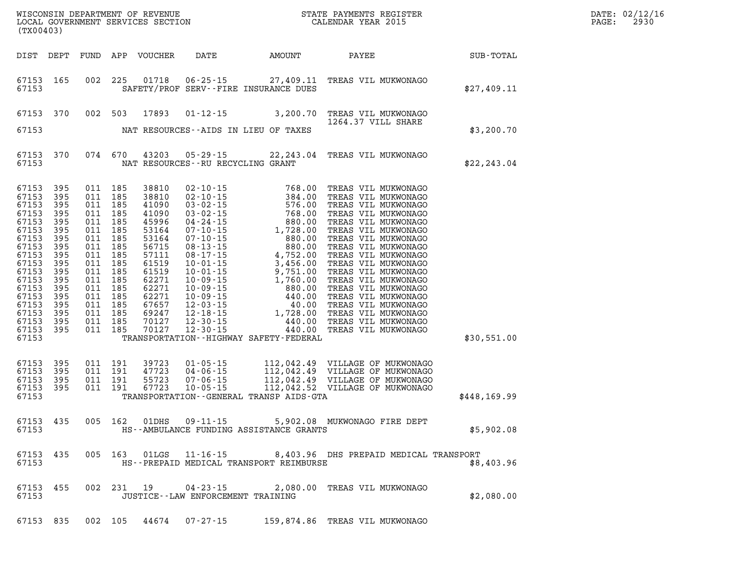| DATE: | 02/12/16 |
|-------|----------|
| PAGE: | 2930     |

| (TX00403)                                                                                                                                                               |                                                                                                                            |                                                                                                                                                                                                    | LOCAL GOVERNMENT SERVICES SECTION                                                                                                                              |                                                                      |                                                    | CALENDAR YEAR 2015                                                                                                                       |              | PAGE: | 2930 |
|-------------------------------------------------------------------------------------------------------------------------------------------------------------------------|----------------------------------------------------------------------------------------------------------------------------|----------------------------------------------------------------------------------------------------------------------------------------------------------------------------------------------------|----------------------------------------------------------------------------------------------------------------------------------------------------------------|----------------------------------------------------------------------|----------------------------------------------------|------------------------------------------------------------------------------------------------------------------------------------------|--------------|-------|------|
| DIST DEPT                                                                                                                                                               |                                                                                                                            |                                                                                                                                                                                                    | FUND APP VOUCHER                                                                                                                                               |                                                                      | DATE AMOUNT                                        | PAYEE SUB-TOTAL                                                                                                                          |              |       |      |
| 67153<br>67153                                                                                                                                                          | 165                                                                                                                        | 002 225                                                                                                                                                                                            | 01718                                                                                                                                                          | $06 - 25 - 15$                                                       | 27,409.11<br>SAFETY/PROF SERV--FIRE INSURANCE DUES | TREAS VIL MUKWONAGO                                                                                                                      | \$27,409.11  |       |      |
| 67153                                                                                                                                                                   | 370                                                                                                                        | 002 503                                                                                                                                                                                            | 17893                                                                                                                                                          |                                                                      | $01 - 12 - 15$ 3, 200.70                           | TREAS VIL MUKWONAGO<br>1264.37 VILL SHARE                                                                                                |              |       |      |
| 67153                                                                                                                                                                   |                                                                                                                            |                                                                                                                                                                                                    |                                                                                                                                                                |                                                                      | NAT RESOURCES--AIDS IN LIEU OF TAXES               |                                                                                                                                          | \$3,200.70   |       |      |
| 67153<br>67153                                                                                                                                                          | 370                                                                                                                        | 074 670                                                                                                                                                                                            | 43203                                                                                                                                                          | NAT RESOURCES--RU RECYCLING GRANT                                    |                                                    | 05-29-15 22, 243.04 TREAS VIL MUKWONAGO                                                                                                  | \$22, 243.04 |       |      |
| 67153<br>67153<br>67153<br>67153<br>67153<br>67153<br>67153<br>67153<br>67153<br>67153<br>67153<br>67153<br>67153<br>67153<br>67153<br>67153<br>67153<br>67153<br>67153 | 395<br>395<br>395<br>395<br>395<br>395<br>395<br>395<br>395<br>395<br>395<br>395<br>395<br>395<br>395<br>395<br>395<br>395 | 011 185<br>011 185<br>011 185<br>011 185<br>011 185<br>011 185<br>011 185<br>011 185<br>011 185<br>011 185<br>011 185<br>011 185<br>011 185<br>011 185<br>011 185<br>011 185<br>011 185<br>011 185 | 38810<br>38810<br>41090<br>41090<br>45996<br>53164<br>53164<br>56715<br>57111<br>61519<br>61519<br>62271<br>62271<br>62271<br>67657<br>69247<br>70127<br>70127 |                                                                      | TRANSPORTATION - - HIGHWAY SAFETY - FEDERAL        |                                                                                                                                          | \$30,551.00  |       |      |
| 67153<br>67153<br>67153<br>67153<br>67153                                                                                                                               | 395<br>395<br>395<br>395                                                                                                   | 011 191<br>011 191<br>011 191<br>011 191                                                                                                                                                           | 39723<br>47723<br>55723<br>67723                                                                                                                               | $01 - 05 - 15$<br>$04 - 06 - 15$<br>$07 - 06 - 15$<br>$10 - 05 - 15$ | TRANSPORTATION - - GENERAL TRANSP AIDS-GTA         | 112,042.49 VILLAGE OF MUKWONAGO<br>112,042.49 VILLAGE OF MUKWONAGO<br>112,042.49 VILLAGE OF MUKWONAGO<br>112,042.52 VILLAGE OF MUKWONAGO | \$448,169.99 |       |      |
| 67153<br>67153                                                                                                                                                          | 435                                                                                                                        | 005 162                                                                                                                                                                                            | 01DHS                                                                                                                                                          | $09 - 11 - 15$                                                       | HS--AMBULANCE FUNDING ASSISTANCE GRANTS            | 5,902.08 MUKWONAGO FIRE DEPT                                                                                                             | \$5,902.08   |       |      |
| 67153<br>67153                                                                                                                                                          | 435                                                                                                                        | 005 163                                                                                                                                                                                            |                                                                                                                                                                | $01LGS$ $11-16-15$                                                   | HS--PREPAID MEDICAL TRANSPORT REIMBURSE            | 8,403.96 DHS PREPAID MEDICAL TRANSPORT                                                                                                   | \$8,403.96   |       |      |
| 67153<br>67153                                                                                                                                                          | 455                                                                                                                        | 002 231 19                                                                                                                                                                                         |                                                                                                                                                                | $04 - 23 - 15$<br>JUSTICE - - LAW ENFORCEMENT TRAINING               |                                                    | 2,080.00 TREAS VIL MUKWONAGO                                                                                                             | \$2,080.00   |       |      |
| 67153 835                                                                                                                                                               |                                                                                                                            | 002 105                                                                                                                                                                                            | 44674                                                                                                                                                          | 07-27-15                                                             |                                                    | 159,874.86 TREAS VIL MUKWONAGO                                                                                                           |              |       |      |

WISCONSIN DEPARTMENT OF REVENUE **STATE PAYMENTS REGISTER**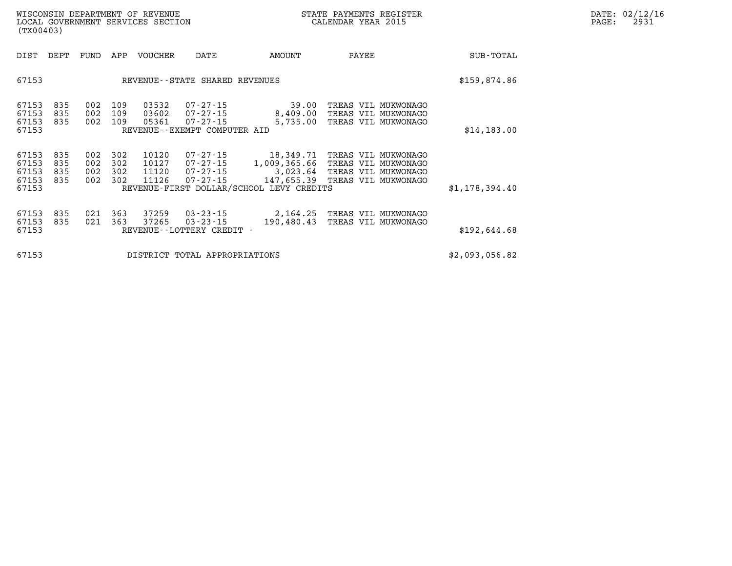| DATE: | 02/12/16 |
|-------|----------|
| PAGE: | 2931     |

| (TX00403)                                 |                          |                          |                          | WISCONSIN DEPARTMENT OF REVENUE<br>LOCAL GOVERNMENT SERVICES SECTION |                                                                              |                                                                                                 | STATE PAYMENTS REGISTER<br>CALENDAR YEAR 2015                                            | DATE: 02/12/16<br>PAGE:<br>2931 |  |
|-------------------------------------------|--------------------------|--------------------------|--------------------------|----------------------------------------------------------------------|------------------------------------------------------------------------------|-------------------------------------------------------------------------------------------------|------------------------------------------------------------------------------------------|---------------------------------|--|
| DIST                                      | DEPT                     | FUND                     | APP                      | VOUCHER                                                              | DATE                                                                         | AMOUNT                                                                                          | PAYEE                                                                                    | <b>SUB-TOTAL</b>                |  |
| 67153                                     |                          |                          |                          |                                                                      | REVENUE - - STATE SHARED REVENUES                                            |                                                                                                 |                                                                                          | \$159,874.86                    |  |
| 67153<br>67153<br>67153<br>67153          | 835<br>835<br>835        | 002<br>002 109           | 109<br>002 109           | 03532<br>03602<br>05361                                              | $07 - 27 - 15$<br>07-27-15<br>$07 - 27 - 15$<br>REVENUE--EXEMPT COMPUTER AID | 39.00<br>8,409.00<br>5,735.00                                                                   | TREAS VIL MUKWONAGO<br>TREAS VIL MUKWONAGO<br>TREAS VIL MUKWONAGO                        | \$14,183.00                     |  |
| 67153<br>67153<br>67153<br>67153<br>67153 | 835<br>835<br>835<br>835 | 002<br>002<br>002<br>002 | 302<br>302<br>302<br>302 | 10120<br>10127<br>11120<br>11126                                     | $07 - 27 - 15$<br>$07 - 27 - 15$<br>07-27-15<br>$07 - 27 - 15$               | 18,349.71<br>1,009,365.66<br>3,023.64<br>147,655.39<br>REVENUE-FIRST DOLLAR/SCHOOL LEVY CREDITS | TREAS VIL MUKWONAGO<br>TREAS VIL MUKWONAGO<br>TREAS VIL MUKWONAGO<br>TREAS VIL MUKWONAGO | \$1,178,394.40                  |  |
| 67153<br>67153<br>67153                   | 835<br>835               | 021<br>021               | 363<br>363               | 37259<br>37265                                                       | $03 - 23 - 15$<br>$03 - 23 - 15$<br>REVENUE - - LOTTERY CREDIT -             | 2,164.25<br>190,480.43                                                                          | TREAS VIL MUKWONAGO<br>TREAS VIL MUKWONAGO                                               | \$192,644.68                    |  |
| 67153                                     |                          |                          |                          |                                                                      | DISTRICT TOTAL APPROPRIATIONS                                                | \$2,093,056.82                                                                                  |                                                                                          |                                 |  |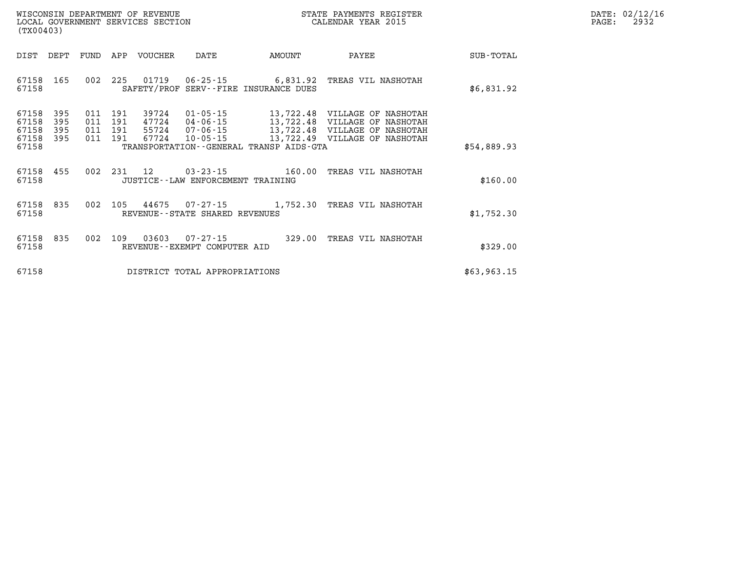| WISCONSIN DEPARTMENT OF REVENUE      | PAYMENTS REGISTER<br>3TATE | DATE: | 02/12/16 |
|--------------------------------------|----------------------------|-------|----------|
| GOVERNMENT SERVICES SECTION<br>LOCAL | CALENDAR YEAR 2015         | PAGE  | 2932     |

|                         | LOCAL GOVERNMENT SERVICES SECTION<br>(TX00403) |  |                               |                         |                                     |                                                                                                                   | CALENDAR YEAR 2015 |             | PAGE: | 2932 |
|-------------------------|------------------------------------------------|--|-------------------------------|-------------------------|-------------------------------------|-------------------------------------------------------------------------------------------------------------------|--------------------|-------------|-------|------|
| DIST                    | DEPT                                           |  |                               | FUND APP VOUCHER        | DATE                                | AMOUNT                                                                                                            | PAYEE              | SUB-TOTAL   |       |      |
| 67158 165<br>67158      |                                                |  |                               |                         |                                     | 002 225 01719 06-25-15 6,831.92 TREAS VIL NASHOTAH<br>SAFETY/PROF SERV--FIRE INSURANCE DUES                       |                    | \$6,831.92  |       |      |
| 67158<br>67158<br>67158 | 395<br>395<br>395                              |  | 011 191<br>011 191<br>011 191 | 39724<br>47724<br>55724 | $01 - 05 - 15$                      | 13,722.48 VILLAGE OF NASHOTAH<br>04-06-15 13,722.48 VILLAGE OF NASHOTAH<br>07-06-15 13,722.48 VILLAGE OF NASHOTAH |                    |             |       |      |
| 67158 395<br>67158      |                                                |  | 011 191                       | 67724                   | $10 - 05 - 15$                      | 13,722.49 VILLAGE OF NASHOTAH<br>TRANSPORTATION--GENERAL TRANSP AIDS-GTA                                          |                    | \$54,889.93 |       |      |
| 67158<br>67158          | 455                                            |  |                               |                         | JUSTICE -- LAW ENFORCEMENT TRAINING | 002 231 12 03-23-15 160.00 TREAS VIL NASHOTAH                                                                     |                    | \$160.00    |       |      |
| 67158<br>67158          | 835                                            |  |                               |                         | REVENUE--STATE SHARED REVENUES      | 002 105 44675 07-27-15 1,752.30 TREAS VIL NASHOTAH                                                                |                    | \$1,752.30  |       |      |
| 67158 835<br>67158      |                                                |  |                               |                         | REVENUE--EXEMPT COMPUTER AID        | 002 109 03603 07-27-15 329.00 TREAS VIL NASHOTAH                                                                  |                    | \$329.00    |       |      |
| 67158                   |                                                |  |                               |                         | DISTRICT TOTAL APPROPRIATIONS       |                                                                                                                   |                    | \$63,963.15 |       |      |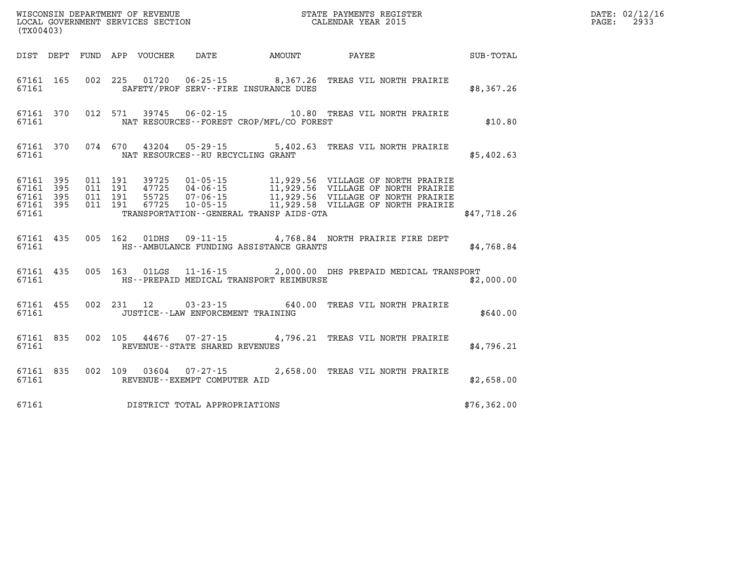|       | WISCONSIN DEPARTMENT OF REVENUE<br>LOCAL GOVERNMENT SERVICES SECTION COLLENDAR YEAR 2015<br>(TX00403) |  |  |  |                                                                         |  |                                                                                                                                                                                                                                                                                                                                                                                             |              | DATE: 02/12/16<br>2933<br>$\mathtt{PAGE:}$ |
|-------|-------------------------------------------------------------------------------------------------------|--|--|--|-------------------------------------------------------------------------|--|---------------------------------------------------------------------------------------------------------------------------------------------------------------------------------------------------------------------------------------------------------------------------------------------------------------------------------------------------------------------------------------------|--------------|--------------------------------------------|
|       |                                                                                                       |  |  |  |                                                                         |  | DIST DEPT FUND APP VOUCHER DATE AMOUNT PAYEE                                                                                                                                                                                                                                                                                                                                                | SUB-TOTAL    |                                            |
|       |                                                                                                       |  |  |  | 67161 SAFETY/PROF SERV--FIRE INSURANCE DUES                             |  | 67161 165 002 225 01720 06-25-15 8,367.26 TREAS VIL NORTH PRAIRIE                                                                                                                                                                                                                                                                                                                           | \$8,367.26   |                                            |
|       |                                                                                                       |  |  |  | 67161 NAT RESOURCES--FOREST CROP/MFL/CO FOREST                          |  | 67161 370 012 571 39745 06-02-15 10.80 TREAS VIL NORTH PRAIRIE                                                                                                                                                                                                                                                                                                                              | \$10.80      |                                            |
|       |                                                                                                       |  |  |  | 67161 NAT RESOURCES--RU RECYCLING GRANT                                 |  | 67161 370 074 670 43204 05-29-15 5,402.63 TREAS VIL NORTH PRAIRIE                                                                                                                                                                                                                                                                                                                           | \$5,402.63   |                                            |
|       | 67161                                                                                                 |  |  |  |                                                                         |  | $\begin{array}{cccccccc} 67161 & 395 & 011 & 191 & 39725 & 01\cdot 05\cdot 15 & 11,929.56 & \text{VILLAGE OF NORTH PRAIRIE} \\ 67161 & 395 & 011 & 191 & 47725 & 04\cdot 06\cdot 15 & 11,929.56 & \text{VILLAGE OF NORTH PRAIRIE} \\ 67161 & 395 & 011 & 191 & 55725 & 07\cdot 06\cdot 15 & 11,929.56 & \text{VILLAGE OF NORTH PRAIRIE} \\ 6$<br>TRANSPORTATION - - GENERAL TRANSP AIDS-GTA | \$47,718.26  |                                            |
|       |                                                                                                       |  |  |  | 67161 MS--AMBULANCE FUNDING ASSISTANCE GRANTS                           |  | 67161 435 005 162 01DHS 09-11-15 4,768.84 NORTH PRAIRIE FIRE DEPT                                                                                                                                                                                                                                                                                                                           | \$4,768.84   |                                            |
| 67161 |                                                                                                       |  |  |  |                                                                         |  | 67161 435 005 163 01LGS 11-16-15 2,000.00 DHS PREPAID MEDICAL TRANSPORT<br>HS--PREPAID MEDICAL TRANSPORT REIMBURSE                                                                                                                                                                                                                                                                          | \$2,000.00   |                                            |
| 67161 |                                                                                                       |  |  |  | JUSTICE--LAW ENFORCEMENT TRAINING                                       |  | 67161 455 002 231 12 03-23-15 640.00 TREAS VIL NORTH PRAIRIE                                                                                                                                                                                                                                                                                                                                | \$640.00     |                                            |
|       |                                                                                                       |  |  |  | 67161 REVENUE--STATE SHARED REVENUES                                    |  | 67161 835 002 105 44676 07-27-15 4,796.21 TREAS VIL NORTH PRAIRIE                                                                                                                                                                                                                                                                                                                           | \$4,796.21   |                                            |
|       |                                                                                                       |  |  |  | 67161 835 002 109 03604 07-27-15<br>67161 REVENUE - EXEMPT COMPUTER AID |  | 2,658.00 TREAS VIL NORTH PRAIRIE                                                                                                                                                                                                                                                                                                                                                            | \$2,658.00   |                                            |
| 67161 |                                                                                                       |  |  |  | DISTRICT TOTAL APPROPRIATIONS                                           |  |                                                                                                                                                                                                                                                                                                                                                                                             | \$76, 362.00 |                                            |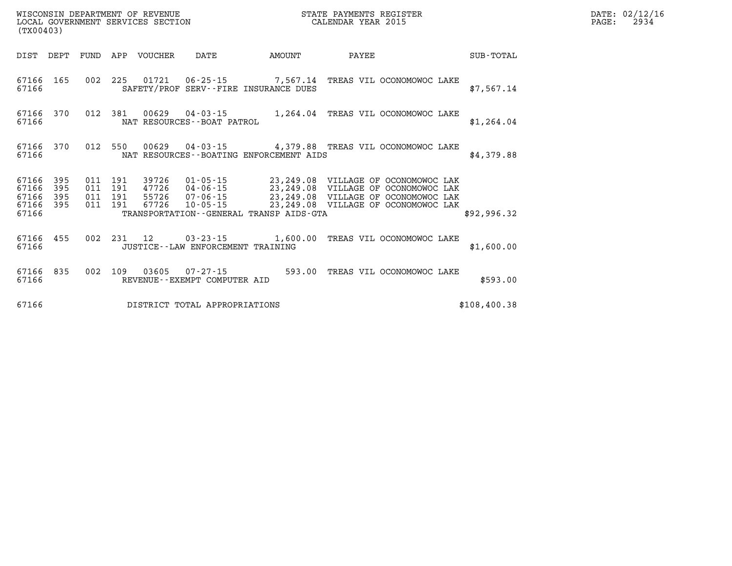| WISCONSIN DEPARTMENT OF REVENUE      | PAYMENTS REGISTER<br>3TATE | DATE: | 02/12/16 |
|--------------------------------------|----------------------------|-------|----------|
| GOVERNMENT SERVICES SECTION<br>LOCAL | CALENDAR YEAR 2015         | PAGE  | 2934     |

| (TX00403)               |            |            |            | LOCAL GOVERNMENT SERVICES SECTION |                                                |                                         | CALENDAR YEAR 2015 |                                                                                                                            |              | PAGE: | 2934 |
|-------------------------|------------|------------|------------|-----------------------------------|------------------------------------------------|-----------------------------------------|--------------------|----------------------------------------------------------------------------------------------------------------------------|--------------|-------|------|
| DIST DEPT               |            |            |            | FUND APP VOUCHER                  | DATE                                           | AMOUNT                                  |                    | <b>PAYEE</b>                                                                                                               | SUB-TOTAL    |       |      |
| 67166 165<br>67166      |            |            |            |                                   |                                                | SAFETY/PROF SERV--FIRE INSURANCE DUES   |                    | 002 225 01721 06-25-15 7,567.14 TREAS VIL OCONOMOWOC LAKE                                                                  | \$7,567.14   |       |      |
| 67166<br>67166          | 370        | 012        | 381        |                                   | NAT RESOURCES--BOAT PATROL                     |                                         |                    | 00629  04-03-15   1,264.04  TREAS VIL OCONOMOWOC LAKE                                                                      | \$1,264.04   |       |      |
| 67166 370<br>67166      |            |            | 012 550    |                                   |                                                | NAT RESOURCES--BOATING ENFORCEMENT AIDS |                    | 00629  04-03-15  4,379.88  TREAS VIL OCONOMOWOC LAKE                                                                       | \$4,379.88   |       |      |
| 67166<br>67166          | 395<br>395 | 011<br>011 | 191<br>191 | 39726                             |                                                |                                         |                    | 01-05-15 23,249.08 VILLAGE OF OCONOMOWOC LAK                                                                               |              |       |      |
| 67166<br>67166<br>67166 | 395<br>395 | 011<br>011 | 191<br>191 |                                   |                                                | TRANSPORTATION--GENERAL TRANSP AIDS-GTA |                    | 47726 04-06-15<br>55726 07-06-15 23,249.08 VILLAGE OF OCONOMOWOC LAK<br>67726 10-05-15 23,249.08 VILLAGE OF OCONOMOWOC LAK | \$92,996.32  |       |      |
| 67166 455<br>67166      |            |            | 002 231 12 |                                   | JUSTICE--LAW ENFORCEMENT TRAINING              |                                         |                    | 03-23-15 1,600.00 TREAS VIL OCONOMOWOC LAKE                                                                                | \$1,600.00   |       |      |
| 67166 835<br>67166      |            |            | 002 109    |                                   | 03605 07-27-15<br>REVENUE--EXEMPT COMPUTER AID |                                         |                    | 593.00 TREAS VIL OCONOMOWOC LAKE                                                                                           | \$593.00     |       |      |
| 67166                   |            |            |            |                                   | DISTRICT TOTAL APPROPRIATIONS                  |                                         |                    |                                                                                                                            | \$108,400.38 |       |      |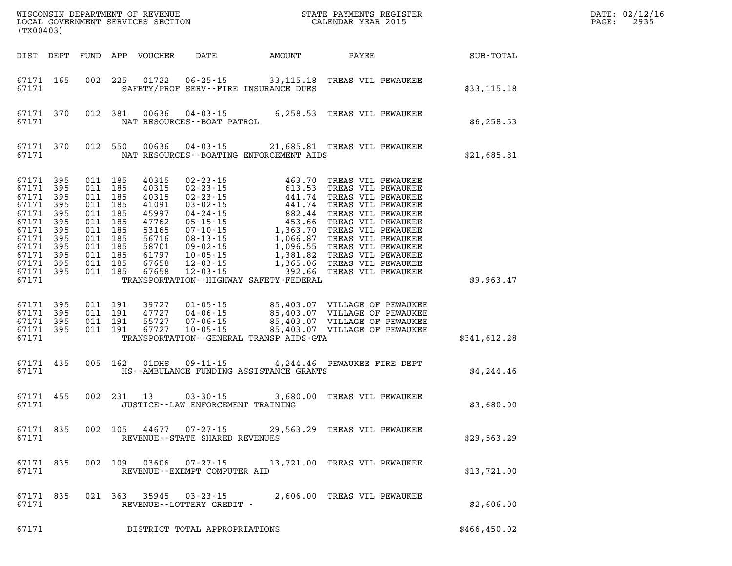| (TX00403)                                                                                                                 |                                                                    |                                                                                                                                  |         |                  |                                                             | WISCONSIN DEPARTMENT OF REVENUE<br>LOCAL GOVERNMENT SERVICES SECTION FOR THE STATE PAYMENTS REGISTER<br>(TWO 0403)                                                                                                                      |  |              | DATE: 02/12/16<br>$\mathtt{PAGE:}$<br>2935 |
|---------------------------------------------------------------------------------------------------------------------------|--------------------------------------------------------------------|----------------------------------------------------------------------------------------------------------------------------------|---------|------------------|-------------------------------------------------------------|-----------------------------------------------------------------------------------------------------------------------------------------------------------------------------------------------------------------------------------------|--|--------------|--------------------------------------------|
|                                                                                                                           | DIST DEPT                                                          |                                                                                                                                  |         | FUND APP VOUCHER |                                                             | DATE AMOUNT PAYEE                                                                                                                                                                                                                       |  | SUB-TOTAL    |                                            |
| 67171 165<br>67171                                                                                                        |                                                                    |                                                                                                                                  |         |                  |                                                             | 002 225 01722 06-25-15 33,115.18 TREAS VIL PEWAUKEE<br>SAFETY/PROF SERV--FIRE INSURANCE DUES                                                                                                                                            |  | \$33,115.18  |                                            |
| 67171                                                                                                                     | 67171 370                                                          |                                                                                                                                  | 012 381 |                  | NAT RESOURCES - - BOAT PATROL                               | 00636  04-03-15  6,258.53  TREAS VIL PEWAUKEE                                                                                                                                                                                           |  | \$6,258.53   |                                            |
| 67171                                                                                                                     | 67171 370                                                          | 012 550                                                                                                                          |         |                  |                                                             | 00636  04-03-15  21,685.81  TREAS VIL PEWAUKEE<br>NAT RESOURCES - - BOATING ENFORCEMENT AIDS                                                                                                                                            |  | \$21,685.81  |                                            |
| 67171<br>67171<br>67171<br>67171<br>67171<br>67171<br>67171<br>67171<br>67171<br>67171<br>67171 395<br>67171 395<br>67171 | 395<br>395<br>395<br>395<br>395<br>395<br>395<br>395<br>395<br>395 | 011 185<br>011 185<br>011 185<br>011 185<br>011 185<br>011 185<br>011 185<br>011 185<br>011 185<br>011 185<br>011 185<br>011 185 |         |                  |                                                             | TRANSPORTATION - - HIGHWAY SAFETY - FEDERAL                                                                                                                                                                                             |  | \$9,963.47   |                                            |
| 67171 395<br>67171<br>67171<br>67171 395<br>67171                                                                         | 395<br>395                                                         | 011 191<br>011 191<br>011 191<br>011 191                                                                                         |         |                  |                                                             | 99727 01-05-15 85,403.07 VILLAGE OF PEWAUKEE<br>17727 04-06-15 85,403.07 VILLAGE OF PEWAUKEE<br>55727 07-06-15 85,403.07 VILLAGE OF PEWAUKEE<br>67727 10-05-15 85,403.07 VILLAGE OF PEWAUKEE<br>TRANSPORTATION--GENERAL TRANSP AIDS-GTA |  | \$341,612.28 |                                            |
| 67171 435<br>67171                                                                                                        |                                                                    |                                                                                                                                  | 005 162 |                  |                                                             | 01DHS  09-11-15  4,244.46  PEWAUKEE FIRE DEPT<br>HS--AMBULANCE FUNDING ASSISTANCE GRANTS                                                                                                                                                |  | \$4,244.46   |                                            |
| 67171 455<br>67171                                                                                                        |                                                                    |                                                                                                                                  |         |                  | 002 231 13 03-30-15<br>JUSTICE - - LAW ENFORCEMENT TRAINING | 3,680.00 TREAS VIL PEWAUKEE                                                                                                                                                                                                             |  | \$3,680.00   |                                            |
| 67171 835<br>67171                                                                                                        |                                                                    |                                                                                                                                  | 002 105 |                  | REVENUE - - STATE SHARED REVENUES                           | 44677 07-27-15 29,563.29 TREAS VIL PEWAUKEE                                                                                                                                                                                             |  | \$29,563.29  |                                            |
| 67171 835<br>67171                                                                                                        |                                                                    |                                                                                                                                  | 002 109 | 03606            | REVENUE - - EXEMPT COMPUTER AID                             | 07-27-15 13,721.00 TREAS VIL PEWAUKEE                                                                                                                                                                                                   |  | \$13,721.00  |                                            |
| 67171 835<br>67171                                                                                                        |                                                                    |                                                                                                                                  | 021 363 | 35945            | $03 - 23 - 15$<br>REVENUE--LOTTERY CREDIT -                 | 2,606.00 TREAS VIL PEWAUKEE                                                                                                                                                                                                             |  | \$2,606.00   |                                            |
| 67171                                                                                                                     |                                                                    |                                                                                                                                  |         |                  | DISTRICT TOTAL APPROPRIATIONS                               |                                                                                                                                                                                                                                         |  | \$466,450.02 |                                            |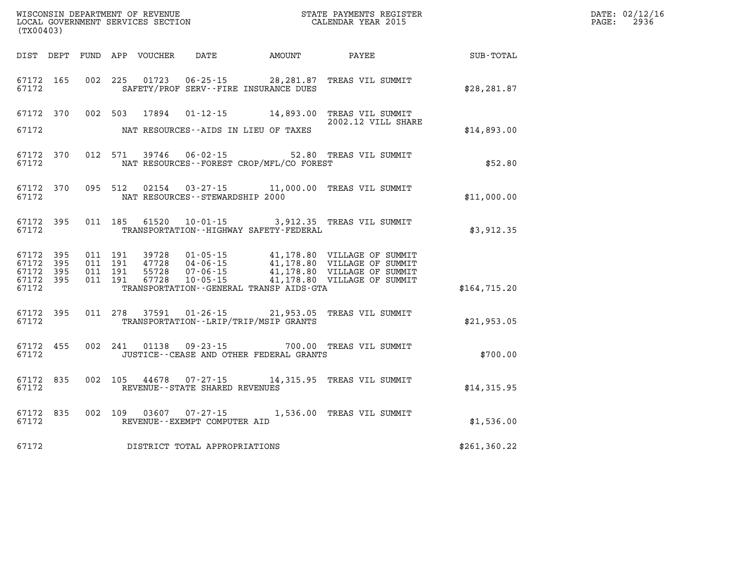| (TX00403)                                                 |           |                                          |               |                                    |                                              | DATE: 02/12/16<br>$\mathtt{PAGE:}$<br>2936                                                                                                                                                       |                    |  |
|-----------------------------------------------------------|-----------|------------------------------------------|---------------|------------------------------------|----------------------------------------------|--------------------------------------------------------------------------------------------------------------------------------------------------------------------------------------------------|--------------------|--|
|                                                           |           |                                          |               |                                    | DIST DEPT FUND APP VOUCHER DATE AMOUNT PAYEE |                                                                                                                                                                                                  | <b>SUB - TOTAL</b> |  |
| 67172 165<br>67172                                        |           |                                          | 002 225 01723 |                                    | SAFETY/PROF SERV--FIRE INSURANCE DUES        | 06-25-15 28,281.87 TREAS VIL SUMMIT                                                                                                                                                              | \$28, 281.87       |  |
| 67172                                                     |           |                                          |               |                                    | NAT RESOURCES--AIDS IN LIEU OF TAXES         | 67172 370 002 503 17894 01-12-15 14,893.00 TREAS VIL SUMMIT<br>2002.12 VILL SHARE                                                                                                                | \$14,893.00        |  |
| 67172 370<br>67172                                        |           |                                          |               |                                    | NAT RESOURCES - - FOREST CROP/MFL/CO FOREST  | 012 571 39746 06-02-15 52.80 TREAS VIL SUMMIT                                                                                                                                                    | \$52.80            |  |
| 67172                                                     | 67172 370 |                                          | 095 512 02154 | NAT RESOURCES - - STEWARDSHIP 2000 |                                              | 03-27-15 11,000.00 TREAS VIL SUMMIT                                                                                                                                                              | \$11,000.00        |  |
| 67172 395<br>67172                                        |           |                                          | 011 185 61520 |                                    | TRANSPORTATION - - HIGHWAY SAFETY - FEDERAL  | 10-01-15 3,912.35 TREAS VIL SUMMIT                                                                                                                                                               | \$3,912.35         |  |
| 67172 395<br>67172 395<br>67172 395<br>67172 395<br>67172 |           | 011 191<br>011 191<br>011 191<br>011 191 |               |                                    | TRANSPORTATION--GENERAL TRANSP AIDS-GTA      | 39728  01-05-15  41,178.80  VILLAGE OF SUMMIT<br>47728  04-06-15  41,178.80  VILLAGE OF SUMMIT<br>55728  07-06-15  41,178.80  VILLAGE OF SUMMIT<br>67728  10-05-15  41,178.80  VILLAGE OF SUMMIT | \$164,715.20       |  |
| 67172 395<br>67172                                        |           |                                          |               |                                    | TRANSPORTATION--LRIP/TRIP/MSIP GRANTS        | 011  278  37591  01-26-15  21,953.05  TREAS VIL SUMMIT                                                                                                                                           | \$21,953.05        |  |
| 67172 455<br>67172                                        |           |                                          |               |                                    | JUSTICE -- CEASE AND OTHER FEDERAL GRANTS    | 002 241 01138 09-23-15 700.00 TREAS VIL SUMMIT                                                                                                                                                   | \$700.00           |  |
| 67172 835<br>67172                                        |           |                                          |               | REVENUE - - STATE SHARED REVENUES  |                                              | 002 105 44678 07-27-15 14,315.95 TREAS VIL SUMMIT                                                                                                                                                | \$14,315.95        |  |
| 67172                                                     | 67172 835 |                                          |               | REVENUE - - EXEMPT COMPUTER AID    |                                              | 002 109 03607 07-27-15 1,536.00 TREAS VIL SUMMIT                                                                                                                                                 | \$1,536.00         |  |
| 67172                                                     |           |                                          |               | DISTRICT TOTAL APPROPRIATIONS      |                                              |                                                                                                                                                                                                  | \$261,360.22       |  |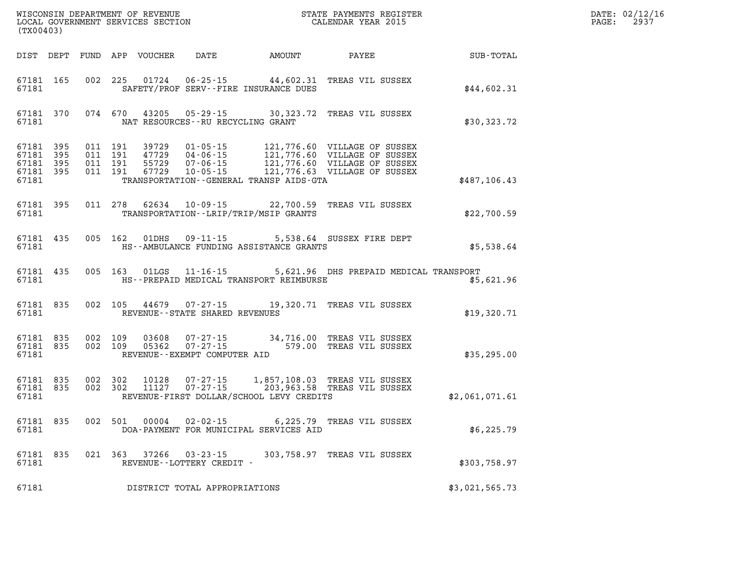| (TX00403)                                                 |                        |                               |         |               |                                     |                                              |                                                                                                                                                                                                      | DATE: 02/12/16<br>PAGE: 2937 |  |
|-----------------------------------------------------------|------------------------|-------------------------------|---------|---------------|-------------------------------------|----------------------------------------------|------------------------------------------------------------------------------------------------------------------------------------------------------------------------------------------------------|------------------------------|--|
|                                                           |                        |                               |         |               |                                     | DIST DEPT FUND APP VOUCHER DATE AMOUNT PAYEE |                                                                                                                                                                                                      | <b>SUB-TOTAL</b>             |  |
| 67181                                                     | 67181 165              |                               |         |               |                                     | SAFETY/PROF SERV--FIRE INSURANCE DUES        | 002 225 01724 06-25-15 44,602.31 TREAS VIL SUSSEX                                                                                                                                                    | \$44,602.31                  |  |
| 67181                                                     |                        |                               |         |               | NAT RESOURCES -- RU RECYCLING GRANT |                                              | 67181 370 074 670 43205 05-29-15 30,323.72 TREAS VIL SUSSEX                                                                                                                                          | \$30,323.72                  |  |
| 67181 395<br>67181 395<br>67181 395<br>67181 395<br>67181 |                        | 011 191<br>011 191<br>011 191 | 011 191 |               |                                     | TRANSPORTATION - - GENERAL TRANSP AIDS - GTA | 39729  01-05-15  121,776.60  VILLAGE OF SUSSEX<br>47729  04-06-15  121,776.60  VILLAGE OF SUSSEX<br>55729  07-06-15  121,776.60  VILLAGE OF SUSSEX<br>67729  10-05-15  121,776.63  VILLAGE OF SUSSEX | \$487,106.43                 |  |
| 67181                                                     | 67181 395              |                               | 011 278 |               |                                     | TRANSPORTATION - - LRIP/TRIP/MSIP GRANTS     | 62634 10-09-15 22,700.59 TREAS VIL SUSSEX                                                                                                                                                            | \$22,700.59                  |  |
| 67181                                                     | 67181 435              |                               |         | 005 162 01DHS | $09 - 11 - 15$                      | HS--AMBULANCE FUNDING ASSISTANCE GRANTS      | 5,538.64 SUSSEX FIRE DEPT                                                                                                                                                                            | \$5,538.64                   |  |
| 67181 435<br>67181                                        |                        |                               | 005 163 |               |                                     | HS--PREPAID MEDICAL TRANSPORT REIMBURSE      | 01LGS 11-16-15 5,621.96 DHS PREPAID MEDICAL TRANSPORT                                                                                                                                                | \$5,621.96                   |  |
| 67181                                                     | 67181 835              |                               |         | 002 105 44679 | REVENUE--STATE SHARED REVENUES      |                                              | 07-27-15 19,320.71 TREAS VIL SUSSEX                                                                                                                                                                  | \$19,320.71                  |  |
| 67181                                                     | 67181 835              | 67181 835 002 109             | 002 109 |               | REVENUE--EXEMPT COMPUTER AID        |                                              | 03608  07-27-15  34,716.00 TREAS VIL SUSSEX<br>05362  07-27-15  579.00 TREAS VIL SUSSEX                                                                                                              | \$35,295.00                  |  |
| 67181                                                     | 67181 835<br>67181 835 | 002 302                       | 002 302 |               |                                     | REVENUE-FIRST DOLLAR/SCHOOL LEVY CREDITS     | 10128  07-27-15  1,857,108.03  TREAS  VIL SUSSEX<br>11127  07-27-15  203,963.58  TREAS  VIL SUSSEX                                                                                                   | \$2,061,071.61               |  |
| 67181                                                     | 67181 835              |                               |         | 002 501 00004 |                                     | DOA-PAYMENT FOR MUNICIPAL SERVICES AID       | 02-02-15 6,225.79 TREAS VIL SUSSEX                                                                                                                                                                   | \$6,225.79                   |  |
| 67181                                                     | 67181 835              |                               |         |               | REVENUE--LOTTERY CREDIT -           |                                              | 021 363 37266 03-23-15 303,758.97 TREAS VIL SUSSEX                                                                                                                                                   | \$303,758.97                 |  |
| 67181                                                     |                        |                               |         |               | DISTRICT TOTAL APPROPRIATIONS       |                                              |                                                                                                                                                                                                      | \$3,021,565.73               |  |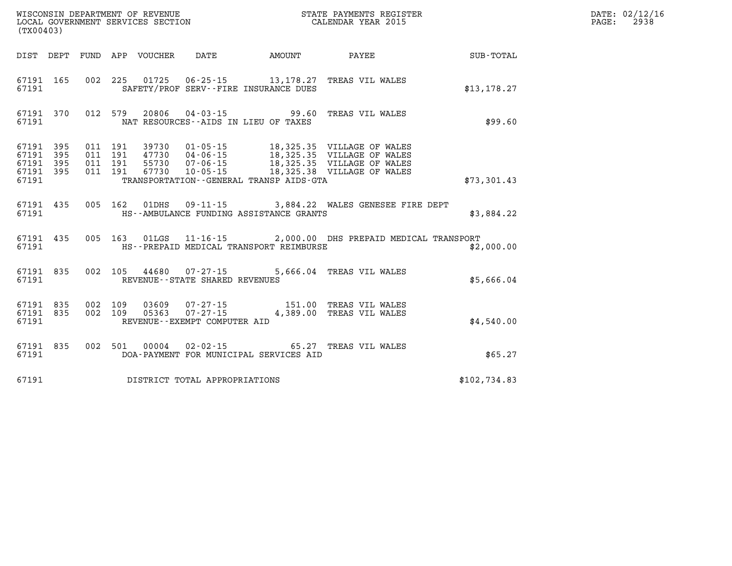|       | (TX00403)                                        |  |  |  |                                                                           |                                         |                                                                                                                      |                                                    | DATE: 02/12/16<br>2938<br>$\mathtt{PAGE:}$ |
|-------|--------------------------------------------------|--|--|--|---------------------------------------------------------------------------|-----------------------------------------|----------------------------------------------------------------------------------------------------------------------|----------------------------------------------------|--------------------------------------------|
|       |                                                  |  |  |  |                                                                           |                                         |                                                                                                                      | DIST DEPT FUND APP VOUCHER DATE AMOUNT PAYEE TOTAL |                                            |
| 67191 |                                                  |  |  |  |                                                                           | SAFETY/PROF SERV--FIRE INSURANCE DUES   | 67191 165 002 225 01725 06-25-15 13,178.27 TREAS VIL WALES                                                           | \$13,178.27                                        |                                            |
| 67191 |                                                  |  |  |  |                                                                           | NAT RESOURCES--AIDS IN LIEU OF TAXES    | 67191 370 012 579 20806 04-03-15 99.60 TREAS VIL WALES                                                               | \$99.60                                            |                                            |
| 67191 | 67191 395<br>67191 395<br>67191 395<br>67191 395 |  |  |  |                                                                           | TRANSPORTATION--GENERAL TRANSP AIDS-GTA |                                                                                                                      | \$73,301.43                                        |                                            |
| 67191 |                                                  |  |  |  |                                                                           | HS--AMBULANCE FUNDING ASSISTANCE GRANTS | 67191 435 005 162 01DHS 09-11-15 3,884.22 WALES GENESEE FIRE DEPT                                                    | \$3,884.22                                         |                                            |
| 67191 |                                                  |  |  |  |                                                                           | HS--PREPAID MEDICAL TRANSPORT REIMBURSE | 67191 435 005 163 01LGS 11-16-15 2,000.00 DHS PREPAID MEDICAL TRANSPORT                                              | \$2,000.00                                         |                                            |
|       |                                                  |  |  |  | 67191 835 002 105 44680 07-27-15<br>67191 REVENUE - STATE SHARED REVENUES |                                         | 5,666.04 TREAS VIL WALES                                                                                             | \$5,666.04                                         |                                            |
|       | 67191                                            |  |  |  | REVENUE--EXEMPT COMPUTER AID                                              |                                         | 67191 835 002 109 03609 07-27-15 151.00 TREAS VIL WALES<br>67191 835 002 109 05363 07-27-15 4,389.00 TREAS VIL WALES | \$4,540.00                                         |                                            |
| 67191 |                                                  |  |  |  |                                                                           | DOA-PAYMENT FOR MUNICIPAL SERVICES AID  | 67191 835 002 501 00004 02-02-15 65.27 TREAS VIL WALES                                                               | \$65.27                                            |                                            |
| 67191 |                                                  |  |  |  | DISTRICT TOTAL APPROPRIATIONS                                             |                                         |                                                                                                                      | \$102,734.83                                       |                                            |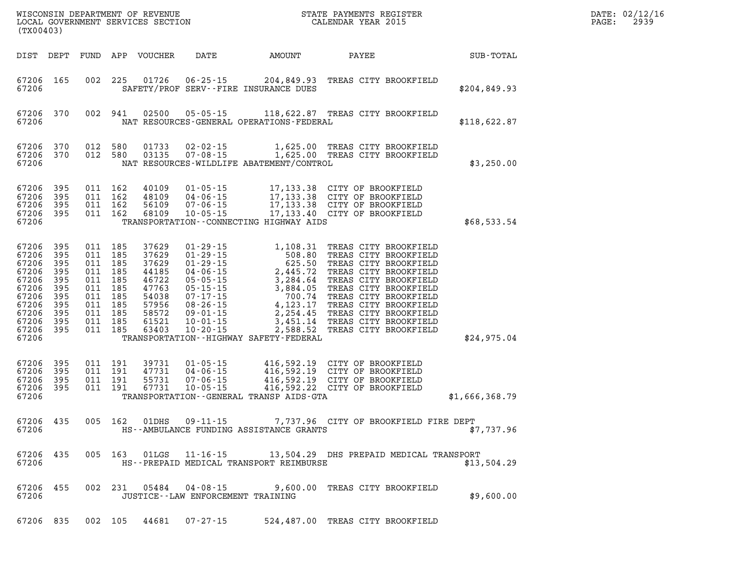|       | WISCONSIN DEPARTMENT OF REVENUE<br>LOCAL GOVERNMENT SERVICES SECTION<br>(TYO0402)<br>(TX00403)                                              |         |                                                                                                                       |                                                                                                 |                                      |                                             |                                                                                                                                                                                                                                                             |                | DATE: 02/12/16<br>PAGE:<br>2939 |
|-------|---------------------------------------------------------------------------------------------------------------------------------------------|---------|-----------------------------------------------------------------------------------------------------------------------|-------------------------------------------------------------------------------------------------|--------------------------------------|---------------------------------------------|-------------------------------------------------------------------------------------------------------------------------------------------------------------------------------------------------------------------------------------------------------------|----------------|---------------------------------|
|       | DIST DEPT                                                                                                                                   |         |                                                                                                                       |                                                                                                 |                                      |                                             |                                                                                                                                                                                                                                                             |                |                                 |
| 67206 | 67206 165                                                                                                                                   |         |                                                                                                                       | 002 225 01726                                                                                   |                                      | SAFETY/PROF SERV--FIRE INSURANCE DUES       | 06-25-15 204,849.93 TREAS CITY BROOKFIELD                                                                                                                                                                                                                   | \$204,849.93   |                                 |
| 67206 | 67206 370 002 941                                                                                                                           |         |                                                                                                                       | 02500                                                                                           |                                      | NAT RESOURCES-GENERAL OPERATIONS-FEDERAL    | 05-05-15 118,622.87 TREAS CITY BROOKFIELD                                                                                                                                                                                                                   | \$118,622.87   |                                 |
| 67206 | 67206 370<br>67206 370                                                                                                                      | 012 580 | 012 580                                                                                                               | 01733<br>03135                                                                                  |                                      | NAT RESOURCES-WILDLIFE ABATEMENT/CONTROL    | 02-02-15 1,625.00 TREAS CITY BROOKFIELD<br>07-08-15 1,625.00 TREAS CITY BROOKFIELD                                                                                                                                                                          | \$3,250.00     |                                 |
| 67206 | 67206 395<br>67206 395<br>67206 395<br>67206 395                                                                                            | 011 162 | 011 162<br>011 162<br>011 162                                                                                         | 40109<br>48109<br>56109<br>68109                                                                |                                      | TRANSPORTATION--CONNECTING HIGHWAY AIDS     | 01-05-15 17,133.38 CITY OF BROOKFIELD<br>04-06-15 17,133.38 CITY OF BROOKFIELD<br>07-06-15 17,133.38 CITY OF BROOKFIELD<br>10-05-15 17,133.40 CITY OF BROOKFIELD                                                                                            | \$68,533.54    |                                 |
| 67206 | 67206 395<br>67206 395<br>67206 395<br>67206 395<br>67206 395<br>67206 395<br>67206 395<br>67206 395<br>67206 395<br>67206 395<br>67206 395 |         | 011 185<br>011 185<br>011 185<br>011 185<br>011 185<br>011 185<br>011 185<br>011 185<br>011 185<br>011 185<br>011 185 | 37629<br>37629<br>37629<br>44185<br>46722<br>47763<br>54038<br>57956<br>58572<br>61521<br>63403 |                                      | TRANSPORTATION - - HIGHWAY SAFETY - FEDERAL | 01-29-15<br>01-29-15<br>01-29-15<br>01-29-15<br>01-29-15<br>04-06-15<br>03.80 TREAS CITY BROOKFIELD<br>04-06-15<br>2,445.72 TREAS CITY BROOKFIELD<br>05-05-15<br>3,284.64 TREAS CITY BROOKFIELD<br>07-17-15<br>07-17-15<br>700.74 TREAS CITY BROOKFIELD<br> | \$24,975.04    |                                 |
| 67206 | 67206 395<br>67206 395<br>67206 395<br>67206 395                                                                                            |         | 011 191<br>011 191<br>011 191<br>011 191                                                                              | 39731<br>47731<br>55731<br>67731                                                                |                                      | TRANSPORTATION--GENERAL TRANSP AIDS-GTA     | 01-05-15 416,592.19 CITY OF BROOKFIELD<br>04-06-15 416,592.19 CITY OF BROOKFIELD<br>07-06-15 416,592.19 CITY OF BROOKFIELD<br>10-05-15 416,592.22 CITY OF BROOKFIELD                                                                                        | \$1,666,368.79 |                                 |
| 67206 |                                                                                                                                             |         |                                                                                                                       |                                                                                                 |                                      | HS--AMBULANCE FUNDING ASSISTANCE GRANTS     | 67206 435 005 162 01DHS 09-11-15 7,737.96 CITY OF BROOKFIELD FIRE DEPT                                                                                                                                                                                      | \$7,737.96     |                                 |
| 67206 | 67206 435                                                                                                                                   |         |                                                                                                                       |                                                                                                 |                                      | HS--PREPAID MEDICAL TRANSPORT REIMBURSE     | 005 163 01LGS 11-16-15 13,504.29 DHS PREPAID MEDICAL TRANSPORT                                                                                                                                                                                              | \$13,504.29    |                                 |
| 67206 | 67206 455                                                                                                                                   |         |                                                                                                                       |                                                                                                 | JUSTICE - - LAW ENFORCEMENT TRAINING |                                             | 002  231  05484  04-08-15  9,600.00  TREAS CITY BROOKFIELD                                                                                                                                                                                                  | \$9,600.00     |                                 |
|       |                                                                                                                                             |         |                                                                                                                       |                                                                                                 | 67206 835 002 105 44681 07-27-15     |                                             | 524,487.00 TREAS CITY BROOKFIELD                                                                                                                                                                                                                            |                |                                 |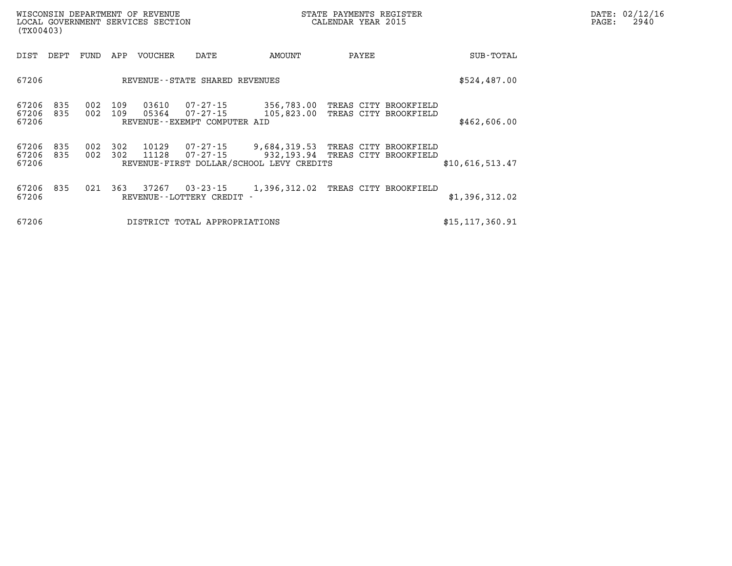| WISCONSIN DEPARTMENT OF REVENUE<br>LOCAL GOVERNMENT SERVICES SECTION<br>(TX00403) |            |            |            |                |                                                      |                                                                        | STATE PAYMENTS REGISTER<br>CALENDAR YEAR 2015 |                       |                   |  | PAGE: | DATE: 02/12/16<br>2940 |
|-----------------------------------------------------------------------------------|------------|------------|------------|----------------|------------------------------------------------------|------------------------------------------------------------------------|-----------------------------------------------|-----------------------|-------------------|--|-------|------------------------|
| DIST                                                                              | DEPT       | FUND       | APP        | <b>VOUCHER</b> | DATE                                                 | AMOUNT                                                                 | PAYEE                                         |                       | SUB-TOTAL         |  |       |                        |
| 67206                                                                             |            |            |            |                | REVENUE--STATE SHARED REVENUES                       |                                                                        |                                               |                       | \$524,487.00      |  |       |                        |
| 67206<br>67206<br>67206                                                           | 835<br>835 | 002<br>002 | 109<br>109 | 03610<br>05364 | 07-27-15<br>07-27-15<br>REVENUE--EXEMPT COMPUTER AID | 356,783.00<br>105,823.00                                               | TREAS CITY BROOKFIELD                         | TREAS CITY BROOKFIELD | \$462,606.00      |  |       |                        |
| 67206<br>67206<br>67206                                                           | 835<br>835 | 002<br>002 | 302<br>302 | 10129<br>11128 | 07-27-15<br>07-27-15                                 | 9,684,319.53<br>932,193.94<br>REVENUE-FIRST DOLLAR/SCHOOL LEVY CREDITS | TREAS CITY BROOKFIELD                         | TREAS CITY BROOKFIELD | \$10,616,513.47   |  |       |                        |
| 67206<br>67206                                                                    | 835        | 021        | 363        | 37267          | $03 - 23 - 15$<br>REVENUE--LOTTERY CREDIT            | 1,396,312.02                                                           | TREAS CITY BROOKFIELD                         |                       | \$1,396,312.02    |  |       |                        |
| 67206                                                                             |            |            |            |                | DISTRICT TOTAL APPROPRIATIONS                        |                                                                        |                                               |                       | \$15, 117, 360.91 |  |       |                        |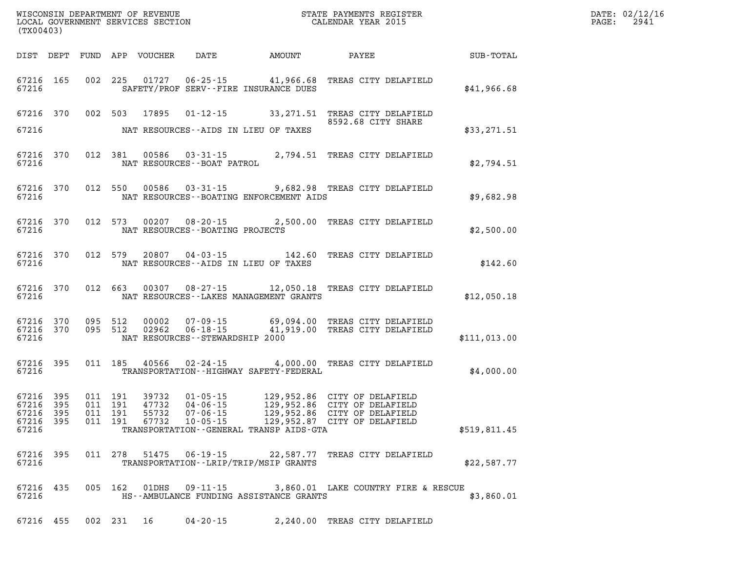| (TX00403)                                                 |                                                                                                                                                             |                                                                                                                                       |              | DATE: 02/12/16<br>2941<br>$\mathtt{PAGE}$ : |
|-----------------------------------------------------------|-------------------------------------------------------------------------------------------------------------------------------------------------------------|---------------------------------------------------------------------------------------------------------------------------------------|--------------|---------------------------------------------|
|                                                           |                                                                                                                                                             | DIST DEPT FUND APP VOUCHER DATE AMOUNT PAYEE SUB-TOTAL                                                                                |              |                                             |
| 67216 165<br>67216                                        | SAFETY/PROF SERV--FIRE INSURANCE DUES                                                                                                                       | 002 225 01727 06-25-15 41,966.68 TREAS CITY DELAFIELD                                                                                 | \$41,966.68  |                                             |
| 67216 370                                                 |                                                                                                                                                             | 002 503 17895 01-12-15 33,271.51 TREAS CITY DELAFIELD<br>8592.68 CITY SHARE                                                           |              |                                             |
| 67216                                                     | NAT RESOURCES--AIDS IN LIEU OF TAXES                                                                                                                        |                                                                                                                                       | \$33,271.51  |                                             |
| 67216 370<br>67216                                        | NAT RESOURCES--BOAT PATROL                                                                                                                                  | 012 381 00586 03-31-15 2,794.51 TREAS CITY DELAFIELD                                                                                  | \$2,794.51   |                                             |
| 67216                                                     | NAT RESOURCES--BOATING ENFORCEMENT AIDS                                                                                                                     | 67216 370 012 550 00586 03-31-15 9,682.98 TREAS CITY DELAFIELD                                                                        | \$9,682.98   |                                             |
| 67216                                                     | NAT RESOURCES--BOATING PROJECTS                                                                                                                             | 67216 370 012 573 00207 08-20-15 2,500.00 TREAS CITY DELAFIELD                                                                        | \$2,500.00   |                                             |
| 67216                                                     | NAT RESOURCES--AIDS IN LIEU OF TAXES                                                                                                                        | 67216 370 012 579 20807 04-03-15 142.60 TREAS CITY DELAFIELD                                                                          | \$142.60     |                                             |
| 67216                                                     | NAT RESOURCES--LAKES MANAGEMENT GRANTS                                                                                                                      | 67216 370 012 663 00307 08-27-15 12,050.18 TREAS CITY DELAFIELD                                                                       | \$12,050.18  |                                             |
| 67216 370<br>67216 370<br>67216                           | NAT RESOURCES--STEWARDSHIP 2000                                                                                                                             | 095 512 00002 07-09-15 69,094.00 TREAS CITY DELAFIELD<br>095 512 02962 06-18-15 41,919.00 TREAS CITY DELAFIELD                        | \$111,013.00 |                                             |
| 67216 395<br>67216                                        | 011 185 40566<br>TRANSPORTATION - - HIGHWAY SAFETY - FEDERAL                                                                                                | 02-24-15 4,000.00 TREAS CITY DELAFIELD                                                                                                | \$4,000.00   |                                             |
| 67216 395<br>67216 395<br>67216 395<br>67216 395<br>67216 | 011 191 39732<br>011 191<br>47732 04-06-15<br>011 191<br>55732<br>07-06-15<br>67732<br>011 191<br>$10 - 05 - 15$<br>TRANSPORTATION--GENERAL TRANSP AIDS-GTA | 01-05-15 129,952.86 CITY OF DELAFIELD<br>129,952.86 CITY OF DELAFIELD<br>129,952.86 CITY OF DELAFIELD<br>129,952.87 CITY OF DELAFIELD | \$519,811.45 |                                             |
| 67216 395<br>67216                                        | 011  278  51475  06-19-15  22,587.77  TREAS CITY DELAFIELD<br>TRANSPORTATION--LRIP/TRIP/MSIP GRANTS                                                         |                                                                                                                                       | \$22,587.77  |                                             |
| 67216 435<br>67216                                        | HS--AMBULANCE FUNDING ASSISTANCE GRANTS                                                                                                                     | 005 162 01DHS 09-11-15 3,860.01 LAKE COUNTRY FIRE & RESCUE                                                                            | \$3,860.01   |                                             |
|                                                           | 67216 455 002 231 16 04-20-15 2,240.00 TREAS CITY DELAFIELD                                                                                                 |                                                                                                                                       |              |                                             |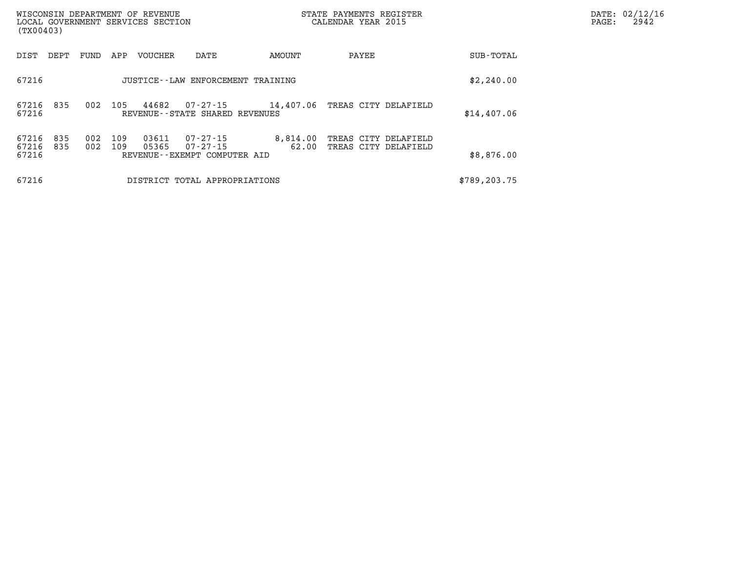| (TX00403)               |            |            |            | WISCONSIN DEPARTMENT OF REVENUE<br>LOCAL GOVERNMENT SERVICES SECTION |                                                      |                   | STATE PAYMENTS REGISTER<br>CALENDAR YEAR 2015 | DATE: 02/12/16<br>2942<br>$\mathtt{PAGE:}$ |  |
|-------------------------|------------|------------|------------|----------------------------------------------------------------------|------------------------------------------------------|-------------------|-----------------------------------------------|--------------------------------------------|--|
| DIST                    | DEPT       | FUND       | APP        | VOUCHER                                                              | DATE                                                 | AMOUNT            | PAYEE                                         | SUB-TOTAL                                  |  |
| 67216                   |            |            |            |                                                                      | JUSTICE--LAW ENFORCEMENT TRAINING                    |                   |                                               | \$2,240.00                                 |  |
| 67216<br>67216          | 835        | 002        | 105        | 44682                                                                | 07-27-15<br>REVENUE--STATE SHARED REVENUES           |                   | 14,407.06 TREAS CITY DELAFIELD                | \$14,407.06                                |  |
| 67216<br>67216<br>67216 | 835<br>835 | 002<br>002 | 109<br>109 | 03611<br>05365                                                       | 07-27-15<br>07-27-15<br>REVENUE--EXEMPT COMPUTER AID | 8,814.00<br>62.00 | TREAS CITY DELAFIELD<br>TREAS CITY DELAFIELD  | \$8,876.00                                 |  |
| 67216                   |            |            |            |                                                                      | DISTRICT TOTAL APPROPRIATIONS                        |                   |                                               | \$789, 203.75                              |  |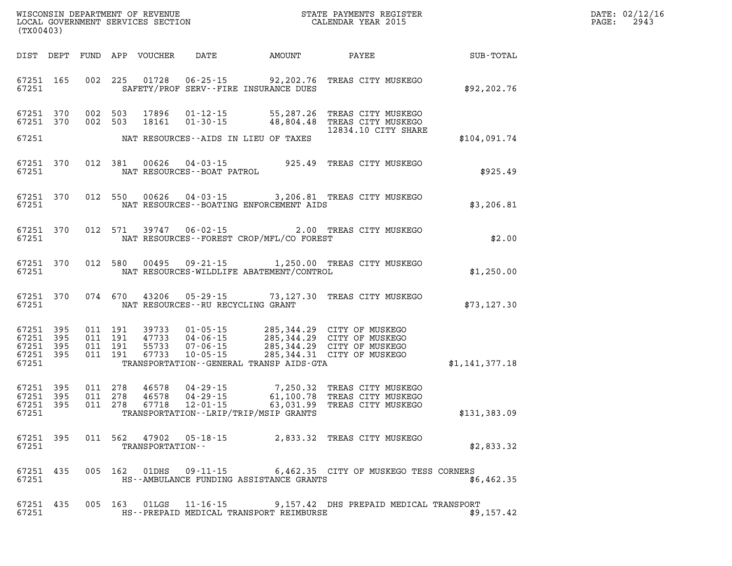| DATE: | 02/12/16 |
|-------|----------|
| PAGE: | 2943     |

| (TX00403)                                                             |                          | WISCONSIN DEPARTMENT OF REVENUE<br>LOCAL GOVERNMENT SERVICES SECTION |                                                                                                                 | STATE PAYMENTS REGISTER<br>CALENDAR YEAR 2015 |                                                                                                |                |
|-----------------------------------------------------------------------|--------------------------|----------------------------------------------------------------------|-----------------------------------------------------------------------------------------------------------------|-----------------------------------------------|------------------------------------------------------------------------------------------------|----------------|
| DIST<br>DEPT                                                          | FUND                     | APP<br>VOUCHER                                                       | DATE                                                                                                            | AMOUNT                                        | PAYEE                                                                                          | SUB-TOTAL      |
| 165<br>67251<br>67251                                                 | 002                      | 225<br>01728                                                         | $06 - 25 - 15$ 92, 202.76<br>SAFETY/PROF SERV--FIRE INSURANCE DUES                                              |                                               | TREAS CITY MUSKEGO                                                                             | \$92,202.76    |
| 370<br>67251<br>67251<br>370<br>67251                                 | 002<br>002               | 503<br>17896<br>503<br>18161                                         | $01 - 12 - 15$<br>$01 - 30 - 15$<br>NAT RESOURCES--AIDS IN LIEU OF TAXES                                        | 55,287.26<br>48,804.48                        | TREAS CITY MUSKEGO<br>TREAS CITY MUSKEGO<br>12834.10 CITY SHARE                                | \$104,091.74   |
|                                                                       |                          |                                                                      |                                                                                                                 |                                               |                                                                                                |                |
| 370<br>67251<br>67251                                                 | 012                      | 381<br>00626                                                         | $04 - 03 - 15$<br>NAT RESOURCES - - BOAT PATROL                                                                 | 925.49                                        | TREAS CITY MUSKEGO                                                                             | \$925.49       |
| 370<br>67251<br>67251                                                 | 012                      | 550<br>00626                                                         | NAT RESOURCES - - BOATING ENFORCEMENT AIDS                                                                      |                                               | 04-03-15 3,206.81 TREAS CITY MUSKEGO                                                           | \$3,206.81     |
| 370<br>67251<br>67251                                                 | 012                      | 571<br>39747                                                         | $06 - 02 - 15$<br>NAT RESOURCES--FOREST CROP/MFL/CO FOREST                                                      |                                               | 2.00 TREAS CITY MUSKEGO                                                                        | \$2.00         |
| 370<br>67251<br>67251                                                 | 012                      | 580<br>00495                                                         | $09 - 21 - 15$<br>NAT RESOURCES-WILDLIFE ABATEMENT/CONTROL                                                      |                                               | 1,250.00 TREAS CITY MUSKEGO                                                                    | \$1,250.00     |
| 370<br>67251<br>67251                                                 | 074                      | 670<br>43206                                                         | $05 - 29 - 15$<br>NAT RESOURCES - - RU RECYCLING GRANT                                                          | 73,127.30                                     | TREAS CITY MUSKEGO                                                                             | \$73, 127.30   |
| 67251<br>395<br>67251<br>395<br>67251<br>395<br>67251<br>395<br>67251 | 011<br>011<br>011<br>011 | 191<br>39733<br>191<br>47733<br>55733<br>191<br>67733<br>191         | $01 - 05 - 15$<br>$04 - 06 - 15$<br>$07 - 06 - 15$<br>$10 - 05 - 15$<br>TRANSPORTATION--GENERAL TRANSP AIDS-GTA | 285,344.29<br>285, 344.31                     | 285,344.29 CITY OF MUSKEGO<br>285,344.29 CITY OF MUSKEGO<br>CITY OF MUSKEGO<br>CITY OF MUSKEGO | \$1,141,377.18 |
| 67251<br>395<br>67251<br>395<br>67251<br>395<br>67251                 | 011<br>011<br>011        | 278<br>46578<br>278<br>46578<br>67718<br>278                         | 04 - 29 - 15<br>$04 - 29 - 15$<br>$12 - 01 - 15$<br>TRANSPORTATION - - LRIP/TRIP/MSIP GRANTS                    | 7,250.32<br>61,100.78<br>63,031.99            | TREAS CITY MUSKEGO<br>TREAS CITY MUSKEGO<br>TREAS CITY MUSKEGO                                 | \$131,383.09   |
| 67251 395<br>67251                                                    |                          | 011 562 47902<br>TRANSPORTATION--                                    | 05-18-15                                                                                                        |                                               | 2,833.32 TREAS CITY MUSKEGO                                                                    | \$2,833.32     |
| 67251<br>435<br>67251                                                 |                          | 005 162<br>01DHS                                                     | HS--AMBULANCE FUNDING ASSISTANCE GRANTS                                                                         |                                               | 09-11-15 6,462.35 CITY OF MUSKEGO TESS CORNERS                                                 | \$6,462.35     |
| 67251 435<br>67251                                                    |                          | 005 163<br>01LGS                                                     | HS--PREPAID MEDICAL TRANSPORT REIMBURSE                                                                         |                                               | 11-16-15 9,157.42 DHS PREPAID MEDICAL TRANSPORT                                                | \$9,157.42     |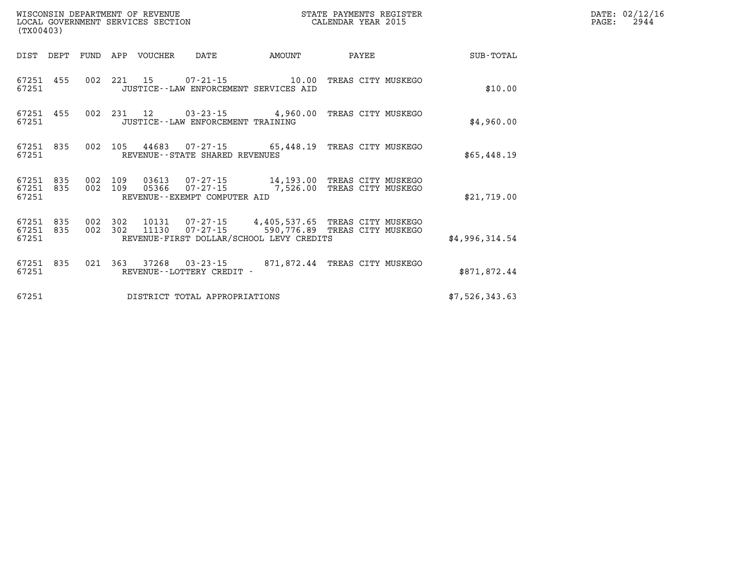| (TX00403) |                        |            |                | WISCONSIN DEPARTMENT OF REVENUE<br>LOCAL GOVERNMENT SERVICES SECTION |                                      |                                          | STATE PAYMENTS REGISTER<br>CALENDAR YEAR 2015                                         |                | DATE: 02/12/16<br>2944<br>$\mathtt{PAGE}$ : |
|-----------|------------------------|------------|----------------|----------------------------------------------------------------------|--------------------------------------|------------------------------------------|---------------------------------------------------------------------------------------|----------------|---------------------------------------------|
|           | DIST DEPT              |            |                | FUND APP VOUCHER                                                     | DATE                                 | AMOUNT                                   | PAYEE                                                                                 | SUB-TOTAL      |                                             |
| 67251     | 67251 455              |            | 002 221 15     |                                                                      |                                      | JUSTICE - - LAW ENFORCEMENT SERVICES AID |                                                                                       | \$10.00        |                                             |
| 67251     | 67251 455              |            |                |                                                                      | JUSTICE - - LAW ENFORCEMENT TRAINING |                                          | 002 231 12 03-23-15 4,960.00 TREAS CITY MUSKEGO                                       | \$4,960.00     |                                             |
| 67251     | 67251 835              |            |                |                                                                      | REVENUE - - STATE SHARED REVENUES    |                                          | 002 105 44683 07-27-15 65,448.19 TREAS CITY MUSKEGO                                   | \$65,448.19    |                                             |
| 67251     | 67251 835<br>67251 835 | 002<br>002 | 109<br>109     | 03613                                                                | REVENUE - - EXEMPT COMPUTER AID      |                                          | 07-27-15 14,193.00 TREAS CITY MUSKEGO<br>05366  07-27-15  7,526.00 TREAS CITY MUSKEGO | \$21,719.00    |                                             |
| 67251     | 67251 835<br>67251 835 | 002        | 002 302<br>302 | 10131<br>11130                                                       | 07-27-15                             | REVENUE-FIRST DOLLAR/SCHOOL LEVY CREDITS | 07-27-15 4,405,537.65 TREAS CITY MUSKEGO<br>590,776.89 TREAS CITY MUSKEGO             | \$4,996,314.54 |                                             |
| 67251     | 67251 835              |            |                |                                                                      | REVENUE--LOTTERY CREDIT -            |                                          | 021 363 37268 03-23-15 871,872.44 TREAS CITY MUSKEGO                                  | \$871,872.44   |                                             |
| 67251     |                        |            |                |                                                                      | DISTRICT TOTAL APPROPRIATIONS        |                                          |                                                                                       | \$7,526,343.63 |                                             |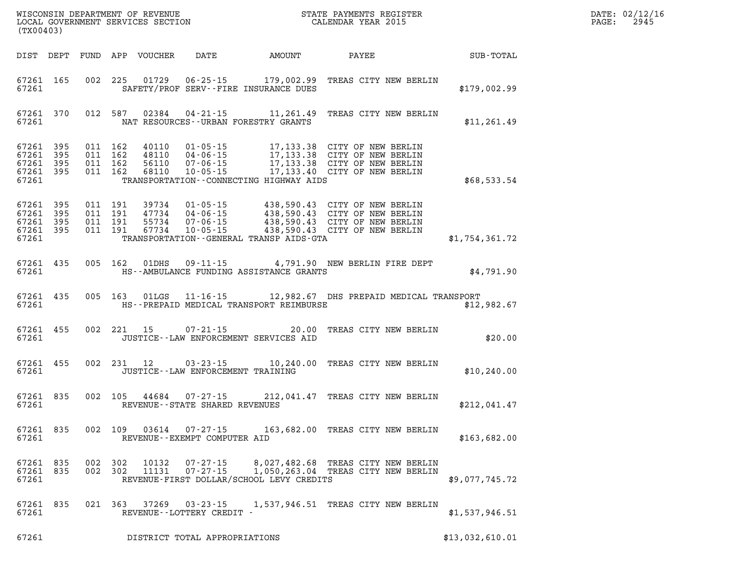| (TX00403)                       |                                              |                    |                |                                                     | WISCONSIN DEPARTMENT OF REVENUE<br>LOCAL GOVERNMENT SERVICES SECTION<br>(WYOOLOO)                                                                                                                                                                                            |  | TER STREET TERMS | $\mathtt{PAGE:}$                                            | DATE: 02/12/1<br>2945 |  |
|---------------------------------|----------------------------------------------|--------------------|----------------|-----------------------------------------------------|------------------------------------------------------------------------------------------------------------------------------------------------------------------------------------------------------------------------------------------------------------------------------|--|------------------|-------------------------------------------------------------|-----------------------|--|
|                                 |                                              |                    |                |                                                     |                                                                                                                                                                                                                                                                              |  |                  | DIST DEPT FUND APP VOUCHER DATE AMOUNT PAYEE PATE SUB-TOTAL |                       |  |
|                                 |                                              |                    |                |                                                     | 67261 165 002 225 01729 06-25-15 179,002.99 TREAS CITY NEW BERLIN                                                                                                                                                                                                            |  |                  | \$179,002.99                                                |                       |  |
|                                 |                                              |                    |                |                                                     | 67261 370 012 587 02384 04-21-15 11,261.49 TREAS CITY NEW BERLIN                                                                                                                                                                                                             |  |                  | \$11,261.49                                                 |                       |  |
| 67261 395                       | 67261 395<br>67261 395<br>67261 395<br>67261 |                    |                |                                                     | 011 162 40110 01-05-15 17,133.38 CITY OF NEW BERLIN<br>011 162 48110 04-06-15 17,133.38 CITY OF NEW BERLIN<br>011 162 68110 10-05-15 17,133.38 CITY OF NEW BERLIN<br>011 162 68110 10-05-15 17,133.40 CITY OF NEW BERLIN<br>TRANSPORTATION--CONNECTING HIGHWAY AIDS          |  |                  | \$68,533.54                                                 |                       |  |
| 67261 395                       | 67261 395<br>67261 395<br>67261 395<br>67261 |                    |                |                                                     | 011 191 39734 01-05-15 438,590.43 CITY OF NEW BERLIN<br>011 191 47734 04-06-15 438,590.43 CITY OF NEW BERLIN<br>011 191 55734 07-06-15 438,590.43 CITY OF NEW BERLIN<br>011 191 67734 10-05-15 438,590.43 CITY OF NEW BERLIN<br>TRANSPORTATION - - GENERAL TRANSP AIDS - GTA |  |                  | \$1,754,361.72                                              |                       |  |
|                                 |                                              |                    |                |                                                     | 67261 435 005 162 01DHS 09-11-15 4,791.90 NEW BERLIN FIRE DEPT<br>67261 MS--AMBULANCE FUNDING ASSISTANCE GRANTS                                                                                                                                                              |  |                  | \$4,791.90                                                  |                       |  |
|                                 |                                              |                    |                |                                                     | 67261 435 005 163 01LGS 11-16-15 12,982.67 DHS PREPAID MEDICAL TRANSPORT<br>67261 MS--PREPAID MEDICAL TRANSPORT REIMBURSE                                                                                                                                                    |  |                  | \$12,982.67                                                 |                       |  |
|                                 | 67261 455                                    |                    |                |                                                     | 002 221 15 07-21-15 20.00 TREAS CITY NEW BERLIN<br>67261 JUSTICE - LAW ENFORCEMENT SERVICES AID                                                                                                                                                                              |  |                  | \$20.00                                                     |                       |  |
|                                 |                                              |                    |                |                                                     | 67261 455 002 231 12 03-23-15 10,240.00 TREAS CITY NEW BERLIN<br>67261 JUSTICE - LAW ENFORCEMENT TRAINING                                                                                                                                                                    |  |                  | \$10, 240.00                                                |                       |  |
|                                 |                                              |                    |                | 67261 REVENUE - STATE SHARED REVENUES               | 67261 835 002 105 44684 07-27-15 212,041.47 TREAS CITY NEW BERLIN                                                                                                                                                                                                            |  |                  | \$212,041.47                                                |                       |  |
| 67261 835<br>67261              |                                              | 002 109            | 03614          | REVENUE--EXEMPT COMPUTER AID                        | 07-27-15 163,682.00 TREAS CITY NEW BERLIN                                                                                                                                                                                                                                    |  |                  | \$163,682.00                                                |                       |  |
| 67261 835<br>67261 835<br>67261 |                                              | 002 302<br>002 302 | 10132<br>11131 | $07 - 27 - 15$<br>$07 - 27 - 15$                    | 8,027,482.68 TREAS CITY NEW BERLIN<br>1,050,263.04 TREAS CITY NEW BERLIN<br>REVENUE-FIRST DOLLAR/SCHOOL LEVY CREDITS                                                                                                                                                         |  |                  | \$9,077,745.72                                              |                       |  |
| 67261 835<br>67261              |                                              |                    |                | 021 363 37269 03-23-15<br>REVENUE--LOTTERY CREDIT - | 1,537,946.51 TREAS CITY NEW BERLIN                                                                                                                                                                                                                                           |  |                  | \$1,537,946.51                                              |                       |  |
| 67261                           |                                              |                    |                | DISTRICT TOTAL APPROPRIATIONS                       |                                                                                                                                                                                                                                                                              |  |                  | \$13,032,610.01                                             |                       |  |

**DATE: 02/12/16<br>PAGE: 2945**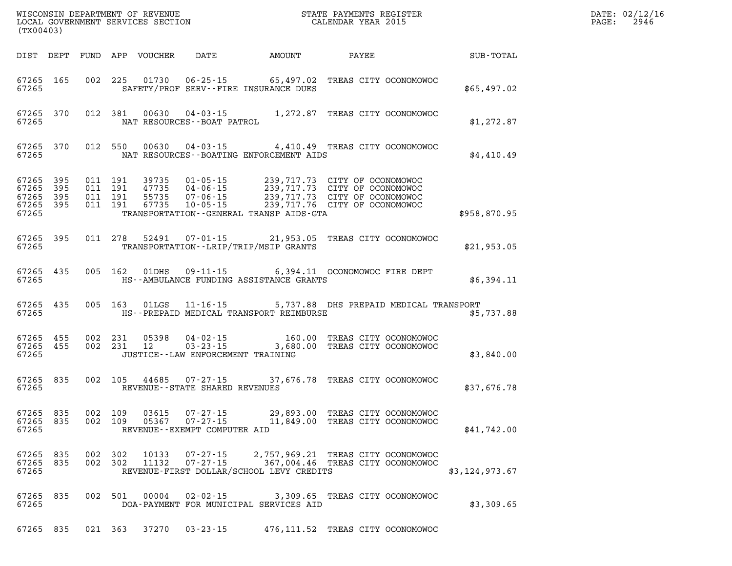| (TX00403)                                                       | WISCONSIN DEPARTMENT OF REVENUE<br>LOCAL GOVERNMENT SERVICES SECTION<br>(TX00403)                                                                                                                                                                                                                                                                                                      | STATE PAYMENTS REGISTER<br>CALENDAR YEAR 2015                                            |                | DATE: 02/12/16<br>$\mathtt{PAGE:}$<br>2946 |
|-----------------------------------------------------------------|----------------------------------------------------------------------------------------------------------------------------------------------------------------------------------------------------------------------------------------------------------------------------------------------------------------------------------------------------------------------------------------|------------------------------------------------------------------------------------------|----------------|--------------------------------------------|
| DIST DEPT                                                       | FUND APP VOUCHER DATE AMOUNT PAYEE                                                                                                                                                                                                                                                                                                                                                     |                                                                                          | SUB-TOTAL      |                                            |
| 67265 165<br>67265                                              | 002 225 01730 06-25-15 65,497.02 TREAS CITY OCONOMOWOC<br>SAFETY/PROF SERV--FIRE INSURANCE DUES                                                                                                                                                                                                                                                                                        |                                                                                          | \$65,497.02    |                                            |
| 67265 370<br>67265                                              | 012 381 00630 04-03-15 1,272.87 TREAS CITY OCONOMOWOC<br>NAT RESOURCES - - BOAT PATROL                                                                                                                                                                                                                                                                                                 |                                                                                          | \$1,272.87     |                                            |
| 67265 370<br>67265                                              | 012 550 00630 04-03-15 4,410.49 TREAS CITY OCONOMOWOC<br>NAT RESOURCES--BOATING ENFORCEMENT AIDS                                                                                                                                                                                                                                                                                       |                                                                                          | \$4,410.49     |                                            |
| 67265<br>395<br>67265 395<br>67265<br>395<br>67265 395<br>67265 | $\begin{array}{cccc} 011 & 191 & 39735 & 01\cdot 05\cdot 15 & 239\,, 717\,.73 & \text{CITY OF OCONOMOWOC} \\ 011 & 191 & 47735 & 04\cdot 06\cdot 15 & 239\,, 717\,.73 & \text{CITY OF OCONOMOWOC} \\ 011 & 191 & 55735 & 07\cdot 06\cdot 15 & 239\,, 717\,.73 & \text{CITY OF OCONOMOWOC} \\ 011 & 191 & 67735 & 10\cdot 05\cdot 15 & 239\$<br>TRANSPORTATION--GENERAL TRANSP AIDS-GTA |                                                                                          | \$958,870.95   |                                            |
| 67265<br>395<br>67265                                           | 011 278 52491<br>TRANSPORTATION--LRIP/TRIP/MSIP GRANTS                                                                                                                                                                                                                                                                                                                                 | 07-01-15 21,953.05 TREAS CITY OCONOMOWOC                                                 | \$21,953.05    |                                            |
| 67265 435<br>67265                                              | 005 162 01DHS<br>HS--AMBULANCE FUNDING ASSISTANCE GRANTS                                                                                                                                                                                                                                                                                                                               | 09-11-15 6,394.11 OCONOMOWOC FIRE DEPT                                                   | \$6,394.11     |                                            |
| 67265<br>435<br>67265                                           | $11 - 16 - 15$<br>005 163 01LGS<br>HS--PREPAID MEDICAL TRANSPORT REIMBURSE                                                                                                                                                                                                                                                                                                             | 5,737.88 DHS PREPAID MEDICAL TRANSPORT                                                   | \$5,737.88     |                                            |
| 67265 455<br>67265 455<br>67265                                 | 002 231 05398<br>002 231 12<br>JUSTICE - - LAW ENFORCEMENT TRAINING                                                                                                                                                                                                                                                                                                                    | 04-02-15 160.00 TREAS CITY OCONOMOWOC<br>03-23-15 3,680.00 TREAS CITY OCONOMOWOC         | \$3,840.00     |                                            |
| 67265 835<br>67265                                              | 002 105 44685 07-27-15 37,676.78 TREAS CITY OCONOMOWOC<br>REVENUE - - STATE SHARED REVENUES                                                                                                                                                                                                                                                                                            |                                                                                          | \$37,676.78    |                                            |
| 67265 835<br>67265                                              | 002 109<br>03615<br>07-27-15<br>67265 835 002 109 05367 07-27-15 11,849.00 TREAS CITY OCONOMOWOC<br>REVENUE--EXEMPT COMPUTER AID                                                                                                                                                                                                                                                       | 29,893.00 TREAS CITY OCONOMOWOC                                                          | \$41,742.00    |                                            |
| 67265 835<br>67265 835<br>67265                                 | 002 302 10133<br>002 302 11132<br>REVENUE-FIRST DOLLAR/SCHOOL LEVY CREDITS                                                                                                                                                                                                                                                                                                             | 07-27-15 2,757,969.21 TREAS CITY OCONOMOWOC<br>07-27-15 367,004.46 TREAS CITY OCONOMOWOC | \$3,124,973.67 |                                            |
| 67265 835<br>67265                                              | 002 501 00004<br>DOA-PAYMENT FOR MUNICIPAL SERVICES AID                                                                                                                                                                                                                                                                                                                                | 02-02-15 3,309.65 TREAS CITY OCONOMOWOC                                                  | \$3,309.65     |                                            |
| 67265 835                                                       | 021 363 37270<br>$03 - 23 - 15$                                                                                                                                                                                                                                                                                                                                                        | 476,111.52 TREAS CITY OCONOMOWOC                                                         |                |                                            |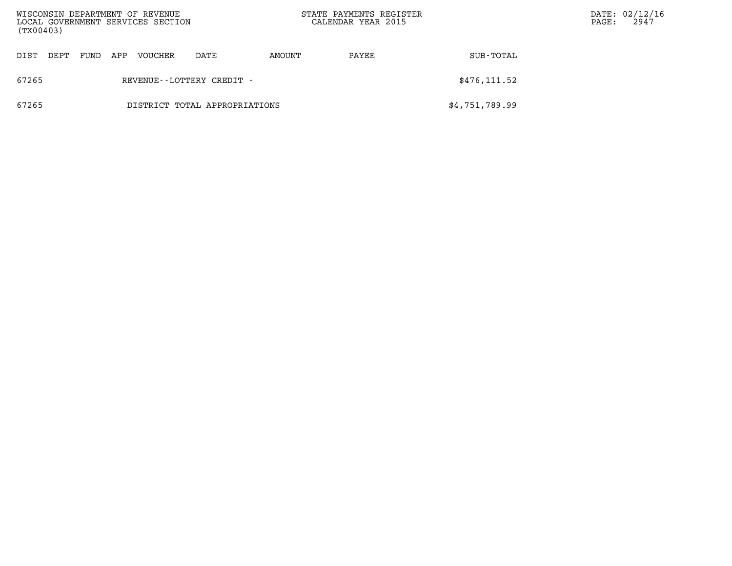| (TX00403)                              |      |      |     | WISCONSIN DEPARTMENT OF REVENUE<br>LOCAL GOVERNMENT SERVICES SECTION |                           |        | STATE PAYMENTS REGISTER<br>CALENDAR YEAR 2015 |                | PAGE: | DATE: 02/12/16<br>2947 |
|----------------------------------------|------|------|-----|----------------------------------------------------------------------|---------------------------|--------|-----------------------------------------------|----------------|-------|------------------------|
| DIST                                   | DEPT | FUND | APP | VOUCHER                                                              | DATE                      | AMOUNT | PAYEE                                         | SUB-TOTAL      |       |                        |
| 67265                                  |      |      |     |                                                                      | REVENUE--LOTTERY CREDIT - |        |                                               | \$476, 111.52  |       |                        |
| 67265<br>DISTRICT TOTAL APPROPRIATIONS |      |      |     |                                                                      |                           |        |                                               | \$4,751,789.99 |       |                        |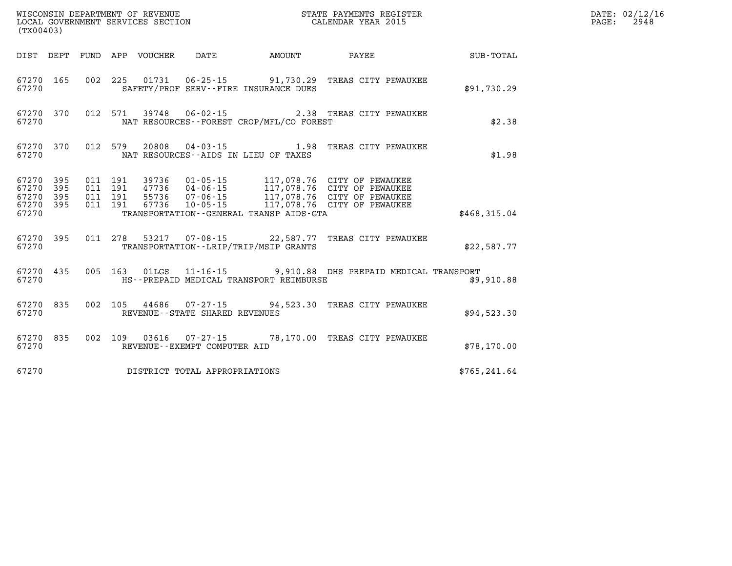| (TX00403)                                                 |  |  |                                |                                              |                                                                |               | DATE: 02/12/16<br>$\mathtt{PAGE:}$<br>2948 |
|-----------------------------------------------------------|--|--|--------------------------------|----------------------------------------------|----------------------------------------------------------------|---------------|--------------------------------------------|
|                                                           |  |  |                                |                                              | DIST DEPT FUND APP VOUCHER DATE AMOUNT PAYEE                   | SUB-TOTAL     |                                            |
| 67270                                                     |  |  |                                | SAFETY/PROF SERV--FIRE INSURANCE DUES        | 67270 165 002 225 01731 06-25-15 91,730.29 TREAS CITY PEWAUKEE | \$91,730.29   |                                            |
| 67270 370<br>67270                                        |  |  |                                | NAT RESOURCES - - FOREST CROP/MFL/CO FOREST  | 012 571 39748 06-02-15 2.38 TREAS CITY PEWAUKEE                | \$2.38        |                                            |
| 67270                                                     |  |  |                                | NAT RESOURCES--AIDS IN LIEU OF TAXES         | 67270 370 012 579 20808 04-03-15 1.98 TREAS CITY PEWAUKEE      | \$1.98        |                                            |
| 67270 395<br>67270 395<br>67270 395<br>67270 395<br>67270 |  |  |                                | TRANSPORTATION - - GENERAL TRANSP AIDS - GTA |                                                                | \$468,315.04  |                                            |
| 67270                                                     |  |  |                                | TRANSPORTATION - - LRIP/TRIP/MSIP GRANTS     | 67270 395 011 278 53217 07-08-15 22,587.77 TREAS CITY PEWAUKEE | \$22.587.77   |                                            |
| 67270 435<br>67270                                        |  |  |                                | HS--PREPAID MEDICAL TRANSPORT REIMBURSE      | 005 163 01LGS 11-16-15 9,910.88 DHS PREPAID MEDICAL TRANSPORT  | \$9,910.88    |                                            |
| 67270 835<br>67270                                        |  |  | REVENUE--STATE SHARED REVENUES |                                              | 002 105 44686 07-27-15 94,523.30 TREAS CITY PEWAUKEE           | \$94,523.30   |                                            |
| 67270                                                     |  |  | REVENUE--EXEMPT COMPUTER AID   |                                              | 67270 835 002 109 03616 07-27-15 78,170.00 TREAS CITY PEWAUKEE | \$78,170.00   |                                            |
| 67270                                                     |  |  | DISTRICT TOTAL APPROPRIATIONS  |                                              |                                                                | \$765, 241.64 |                                            |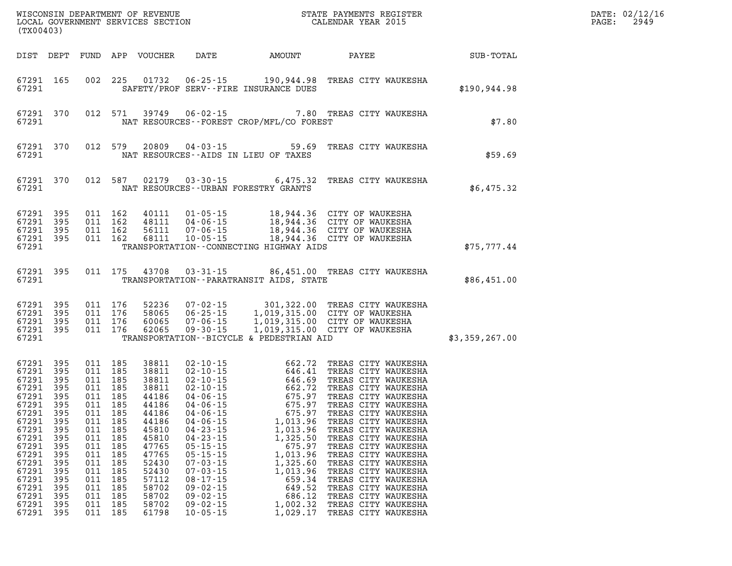| (TX00403)                                                                                                                                                                  |                                                                                                         |                                                                                                                                                                                                    |                                                                                                 |                                                                                                                                                                                                                                        |                                                                                                              | WISCONSIN DEPARTMENT OF REVENUE<br>LOCAL GOVERNMENT SERVICES SECTION                                    CALENDAR YEAR 2015                                                                                                                                                                                                                                                                                                                                                                                                                     |                | DATE: 02/12/16<br>$\mathtt{PAGE:}$<br>2949 |
|----------------------------------------------------------------------------------------------------------------------------------------------------------------------------|---------------------------------------------------------------------------------------------------------|----------------------------------------------------------------------------------------------------------------------------------------------------------------------------------------------------|-------------------------------------------------------------------------------------------------|----------------------------------------------------------------------------------------------------------------------------------------------------------------------------------------------------------------------------------------|--------------------------------------------------------------------------------------------------------------|------------------------------------------------------------------------------------------------------------------------------------------------------------------------------------------------------------------------------------------------------------------------------------------------------------------------------------------------------------------------------------------------------------------------------------------------------------------------------------------------------------------------------------------------|----------------|--------------------------------------------|
|                                                                                                                                                                            |                                                                                                         |                                                                                                                                                                                                    |                                                                                                 |                                                                                                                                                                                                                                        |                                                                                                              |                                                                                                                                                                                                                                                                                                                                                                                                                                                                                                                                                | SUB-TOTAL      |                                            |
| 67291 165<br>67291                                                                                                                                                         |                                                                                                         |                                                                                                                                                                                                    |                                                                                                 |                                                                                                                                                                                                                                        | SAFETY/PROF SERV--FIRE INSURANCE DUES                                                                        | 002 225 01732 06-25-15 190,944.98 TREAS CITY WAUKESHA                                                                                                                                                                                                                                                                                                                                                                                                                                                                                          | \$190,944.98   |                                            |
| 67291 370<br>67291                                                                                                                                                         |                                                                                                         |                                                                                                                                                                                                    |                                                                                                 |                                                                                                                                                                                                                                        | NAT RESOURCES - FOREST CROP/MFL/CO FOREST                                                                    | 012 571 39749 06-02-15 7.80 TREAS CITY WAUKESHA                                                                                                                                                                                                                                                                                                                                                                                                                                                                                                | \$7.80         |                                            |
| 67291 370<br>67291                                                                                                                                                         |                                                                                                         |                                                                                                                                                                                                    |                                                                                                 |                                                                                                                                                                                                                                        | NAT RESOURCES--AIDS IN LIEU OF TAXES                                                                         | 012 579 20809 04-03-15 59.69 TREAS CITY WAUKESHA                                                                                                                                                                                                                                                                                                                                                                                                                                                                                               | \$59.69        |                                            |
| 67291 370<br>67291                                                                                                                                                         |                                                                                                         |                                                                                                                                                                                                    |                                                                                                 |                                                                                                                                                                                                                                        | NAT RESOURCES--URBAN FORESTRY GRANTS                                                                         | 012 587 02179 03-30-15 6,475.32 TREAS CITY WAUKESHA                                                                                                                                                                                                                                                                                                                                                                                                                                                                                            | \$6,475.32     |                                            |
| 67291 395<br>67291 395<br>67291<br>67291 395<br>67291                                                                                                                      | 395                                                                                                     |                                                                                                                                                                                                    |                                                                                                 |                                                                                                                                                                                                                                        | TRANSPORTATION--CONNECTING HIGHWAY AIDS                                                                      | 011 162 40111 01-05-15 18,944.36 CITY OF WAUKESHA<br>011 162 48111 04-06-15 18,944.36 CITY OF WAUKESHA<br>011 162 56111 07-06-15 18,944.36 CITY OF WAUKESHA<br>011 162 68111 10-05-15 18,944.36 CITY OF WAUKESHA                                                                                                                                                                                                                                                                                                                               | \$75,777.44    |                                            |
| 67291                                                                                                                                                                      |                                                                                                         |                                                                                                                                                                                                    |                                                                                                 |                                                                                                                                                                                                                                        | TRANSPORTATION - - PARATRANSIT AIDS, STATE                                                                   | 67291 395 011 175 43708 03-31-15 86,451.00 TREAS CITY WAUKESHA                                                                                                                                                                                                                                                                                                                                                                                                                                                                                 | \$86,451.00    |                                            |
| 67291                                                                                                                                                                      |                                                                                                         |                                                                                                                                                                                                    |                                                                                                 |                                                                                                                                                                                                                                        | TRANSPORTATION--BICYCLE & PEDESTRIAN AID                                                                     | 67291 395 011 176 52236 07-02-15 301,322.00 TREAS CITY WAUKESHA<br>67291 395 011 176 58065 06-25-15 1,019,315.00 CITY OF WAUKESHA<br>67291 395 011 176 60065 07-06-15 1,019,315.00 CITY OF WAUKESHA<br>67291 395 011 176 62065 09-30-15                                                                                                                                                                                                                                                                                                        | \$3,359,267.00 |                                            |
| 67291<br>67291 395<br>67291<br>67291<br>67291<br>67291 395<br>67291 395<br>67291<br>67291<br>67291<br>67291<br>67291<br>67291<br>67291<br>67291<br>67291<br>67291<br>67291 | 395<br>395<br>395<br>395<br>- 395<br>395<br>395<br>395<br>395<br>395<br>395<br>395<br>395<br>395<br>395 | 011 185<br>011 185<br>011 185<br>011 185<br>011 185<br>011 185<br>011 185<br>011 185<br>011 185<br>011 185<br>011 185<br>011 185<br>011 185<br>011 185<br>011 185<br>011 185<br>011 185<br>011 185 | 45810<br>45810<br>47765<br>47765<br>52430<br>52430<br>57112<br>58702<br>58702<br>58702<br>61798 | 67291 395 011 185 44186 04-06-15<br>$04 - 23 - 15$<br>$04 - 23 - 15$<br>$05 - 15 - 15$<br>$05 - 15 - 15$<br>$07 - 03 - 15$<br>$07 - 03 - 15$<br>$08 - 17 - 15$<br>$09 - 02 - 15$<br>$09 - 02 - 15$<br>$09 - 02 - 15$<br>$10 - 05 - 15$ | 1,013.96<br>675.97<br>1,013.96<br>1,325.60<br>1,013.96<br>659.34<br>649.52<br>686.12<br>1,002.32<br>1,029.17 | 38811 02-10-15 662.72 TREAS CITY WAUKESHA<br>38811 02-10-15 646.41 TREAS CITY WAUKESHA<br>38811 02-10-15 646.69 TREAS CITY WAUKESHA<br>38811 02-10-15 662.72 TREAS CITY WAUKESHA<br>44186 04-06-15 675.97 TREAS CITY WAUKESHA<br>44186 0<br>1,013.96 TREAS CITY WAUKESHA<br>TREAS CITY WAUKESHA<br>1,325.50 TREAS CITY WAUKESHA<br>TREAS CITY WAUKESHA<br>TREAS CITY WAUKESHA<br>TREAS CITY WAUKESHA<br>TREAS CITY WAUKESHA<br>TREAS CITY WAUKESHA<br>TREAS CITY WAUKESHA<br>TREAS CITY WAUKESHA<br>TREAS CITY WAUKESHA<br>TREAS CITY WAUKESHA |                |                                            |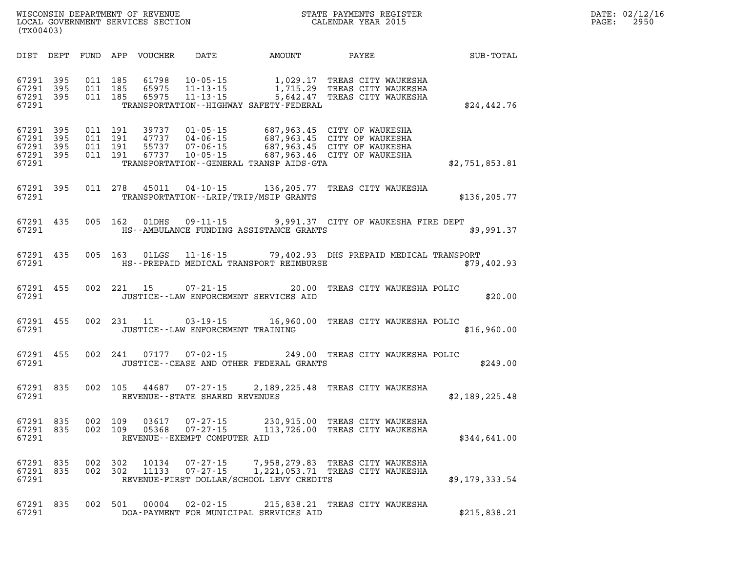| DATE: | 02/12/16 |
|-------|----------|
| PAGE: | 2950     |

| (TX00403)                                 |                          |                          |                          | WISCONSIN DEPARTMENT OF REVENUE<br>LOCAL GOVERNMENT SERVICES SECTION |                                                                      | STATE PAYMENTS REGISTER<br>CALENDAR YEAR 2015                                   |                                                                                                                                                           |                |  |  |  |
|-------------------------------------------|--------------------------|--------------------------|--------------------------|----------------------------------------------------------------------|----------------------------------------------------------------------|---------------------------------------------------------------------------------|-----------------------------------------------------------------------------------------------------------------------------------------------------------|----------------|--|--|--|
| DIST                                      | DEPT                     | FUND                     | APP                      | VOUCHER                                                              | DATE                                                                 | AMOUNT                                                                          | PAYEE                                                                                                                                                     | SUB-TOTAL      |  |  |  |
| 67291<br>67291<br>67291<br>67291          | 395<br>395<br>395        | 011<br>011<br>011        | 185<br>185<br>185        | 61798<br>65975<br>65975                                              | $10 - 05 - 15$<br>$11 - 13 - 15$<br>$11 - 13 - 15$                   | 1,029.17<br>1,715.29<br>5,642.47<br>TRANSPORTATION - - HIGHWAY SAFETY - FEDERAL | TREAS CITY WAUKESHA<br>TREAS CITY WAUKESHA<br>TREAS CITY WAUKESHA                                                                                         | \$24,442.76    |  |  |  |
| 67291<br>67291<br>67291<br>67291<br>67291 | 395<br>395<br>395<br>395 | 011<br>011<br>011<br>011 | 191<br>191<br>191<br>191 | 39737<br>47737<br>55737<br>67737                                     | $01 - 05 - 15$<br>$04 - 06 - 15$<br>$07 - 06 - 15$<br>$10 - 05 - 15$ | TRANSPORTATION - - GENERAL TRANSP AIDS - GTA                                    | 687,963.45 CITY OF WAUKESHA<br>007,900.72 CITY OF WAUKESHA<br>687,963.45 CITY OF WAUKESHA<br>687,963.45  CITY OF WAUKESHA<br>687,963.46  CITY OF WAUKESHA | \$2,751,853.81 |  |  |  |
| 67291<br>67291                            | 395                      | 011                      | 278                      | 45011                                                                |                                                                      | $04 - 10 - 15$ 136, 205.77<br>TRANSPORTATION - - LRIP/TRIP/MSIP GRANTS          | TREAS CITY WAUKESHA                                                                                                                                       | \$136, 205.77  |  |  |  |
| 67291<br>67291                            | 435                      | 005                      | 162                      | 01DHS                                                                | $09 - 11 - 15$                                                       | HS--AMBULANCE FUNDING ASSISTANCE GRANTS                                         | 9,991.37 CITY OF WAUKESHA FIRE DEPT                                                                                                                       | \$9,991.37     |  |  |  |
| 67291<br>67291                            | 435                      | 005                      | 163                      | 01LGS                                                                |                                                                      | HS--PREPAID MEDICAL TRANSPORT REIMBURSE                                         | 11-16-15 79,402.93 DHS PREPAID MEDICAL TRANSPORT                                                                                                          | \$79,402.93    |  |  |  |
| 67291<br>67291                            | 455                      | 002                      | 221                      | 15                                                                   | $07 - 21 - 15$                                                       | 20.00<br>JUSTICE -- LAW ENFORCEMENT SERVICES AID                                | TREAS CITY WAUKESHA POLIC                                                                                                                                 | \$20.00        |  |  |  |
| 67291<br>67291                            | 455                      | 002                      | 231                      | 11                                                                   | 03 - 19 - 15                                                         | 16,960.00<br>JUSTICE - - LAW ENFORCEMENT TRAINING                               | TREAS CITY WAUKESHA POLIC                                                                                                                                 | \$16,960.00    |  |  |  |
| 67291<br>67291                            | 455                      | 002                      | 241                      | 07177                                                                | $07 - 02 - 15$                                                       | JUSTICE -- CEASE AND OTHER FEDERAL GRANTS                                       | 249.00 TREAS CITY WAUKESHA POLIC                                                                                                                          | \$249.00       |  |  |  |
| 67291<br>67291                            | 835                      | 002                      | 105                      | 44687                                                                | $07 - 27 - 15$<br>REVENUE--STATE SHARED REVENUES                     | 2,189,225.48                                                                    | TREAS CITY WAUKESHA                                                                                                                                       | \$2,189,225.48 |  |  |  |
| 67291 835<br>67291                        | 67291 835                |                          | 002 109                  | 002 109 03617                                                        | REVENUE - - EXEMPT COMPUTER AID                                      |                                                                                 | 03617  07-27-15  230,915.00 TREAS CITY WAUKESHA<br>05368  07-27-15  113,726.00 TREAS CITY WAUKESHA                                                        | \$344,641.00   |  |  |  |
| 67291 835<br>67291 835<br>67291           |                          | 002                      | 002 302<br>302           |                                                                      |                                                                      | REVENUE-FIRST DOLLAR/SCHOOL LEVY CREDITS                                        | 10134  07-27-15  7,958,279.83 TREAS CITY WAUKESHA<br>11133  07-27-15  1,221,053.71 TREAS CITY WAUKESHA                                                    | \$9,179,333.54 |  |  |  |
| 67291 835<br>67291                        |                          |                          | 002 501                  | 00004                                                                |                                                                      | DOA-PAYMENT FOR MUNICIPAL SERVICES AID                                          | 02-02-15 215,838.21 TREAS CITY WAUKESHA                                                                                                                   | \$215,838.21   |  |  |  |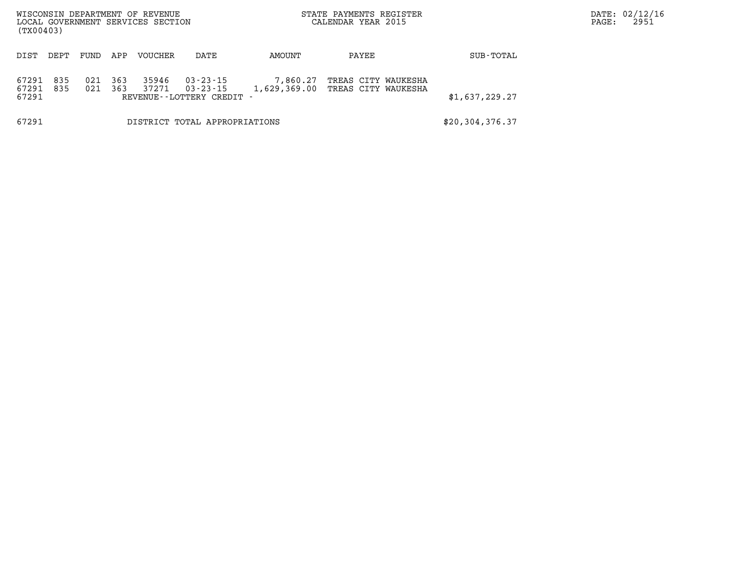| (TX00403)               |            |            |            | WISCONSIN DEPARTMENT OF REVENUE<br>LOCAL GOVERNMENT SERVICES SECTION |                                                                  |          | STATE PAYMENTS REGISTER<br>CALENDAR YEAR 2015           | PAGE:          | DATE: 02/12/16<br>2951 |  |
|-------------------------|------------|------------|------------|----------------------------------------------------------------------|------------------------------------------------------------------|----------|---------------------------------------------------------|----------------|------------------------|--|
| DIST                    | DEPT       | FUND       | APP        | <b>VOUCHER</b>                                                       | DATE                                                             | AMOUNT   | PAYEE                                                   | SUB-TOTAL      |                        |  |
| 67291<br>67291<br>67291 | 835<br>835 | 021<br>021 | 363<br>363 | 35946<br>37271                                                       | $03 - 23 - 15$<br>$03 - 23 - 15$<br>REVENUE - - LOTTERY CREDIT - | 7,860.27 | TREAS CITY WAUKESHA<br>1,629,369.00 TREAS CITY WAUKESHA | \$1,637,229.27 |                        |  |
| 67291                   |            |            |            |                                                                      | DISTRICT TOTAL APPROPRIATIONS                                    |          |                                                         |                |                        |  |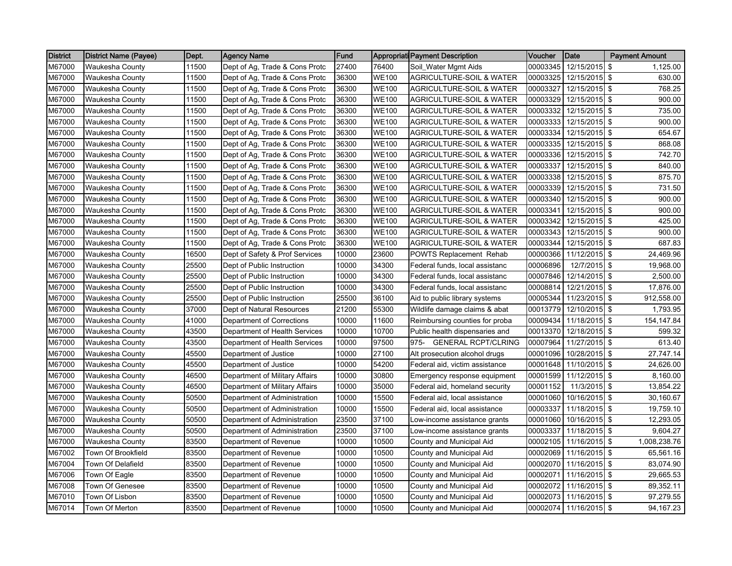| <b>District</b> | District Name (Payee)  | Dept. | Agency Name                    | Fund  |              | <b>Appropriati Payment Description</b> | Voucher  | Date                   | <b>Payment Amount</b> |
|-----------------|------------------------|-------|--------------------------------|-------|--------------|----------------------------------------|----------|------------------------|-----------------------|
| M67000          | <b>Waukesha County</b> | 11500 | Dept of Ag, Trade & Cons Protc | 27400 | 76400        | Soil_Water Mgmt Aids                   | 00003345 | 12/15/2015 \$          | 1,125.00              |
| M67000          | Waukesha County        | 11500 | Dept of Ag, Trade & Cons Protc | 36300 | <b>WE100</b> | AGRICULTURE-SOIL & WATER               | 00003325 | 12/15/2015 \$          | 630.00                |
| M67000          | Waukesha County        | 11500 | Dept of Ag, Trade & Cons Protc | 36300 | <b>WE100</b> | AGRICULTURE-SOIL & WATER               | 00003327 | 12/15/2015 \$          | 768.25                |
| M67000          | Waukesha County        | 11500 | Dept of Ag, Trade & Cons Protc | 36300 | <b>WE100</b> | <b>AGRICULTURE-SOIL &amp; WATER</b>    | 00003329 | 12/15/2015 \$          | 900.00                |
| M67000          | Waukesha County        | 11500 | Dept of Ag, Trade & Cons Protc | 36300 | <b>WE100</b> | <b>AGRICULTURE-SOIL &amp; WATER</b>    | 00003332 | 12/15/2015 \$          | 735.00                |
| M67000          | Waukesha County        | 11500 | Dept of Ag, Trade & Cons Protc | 36300 | <b>WE100</b> | <b>AGRICULTURE-SOIL &amp; WATER</b>    | 00003333 | 12/15/2015 \$          | 900.00                |
| M67000          | Waukesha County        | 11500 | Dept of Ag, Trade & Cons Protc | 36300 | <b>WE100</b> | <b>AGRICULTURE-SOIL &amp; WATER</b>    | 00003334 | 12/15/2015 \$          | 654.67                |
| M67000          | Waukesha County        | 11500 | Dept of Ag, Trade & Cons Protc | 36300 | <b>WE100</b> | <b>AGRICULTURE-SOIL &amp; WATER</b>    | 00003335 | 12/15/2015 \$          | 868.08                |
| M67000          | Waukesha County        | 11500 | Dept of Ag, Trade & Cons Protc | 36300 | <b>WE100</b> | <b>AGRICULTURE-SOIL &amp; WATER</b>    | 00003336 | 12/15/2015 \$          | 742.70                |
| M67000          | Waukesha County        | 11500 | Dept of Ag, Trade & Cons Protc | 36300 | <b>WE100</b> | <b>AGRICULTURE-SOIL &amp; WATER</b>    | 00003337 | 12/15/2015 \$          | 840.00                |
| M67000          | Waukesha County        | 11500 | Dept of Ag, Trade & Cons Protc | 36300 | <b>WE100</b> | <b>AGRICULTURE-SOIL &amp; WATER</b>    | 00003338 | 12/15/2015 \$          | 875.70                |
| M67000          | Waukesha County        | 11500 | Dept of Ag, Trade & Cons Protc | 36300 | <b>WE100</b> | <b>AGRICULTURE-SOIL &amp; WATER</b>    | 00003339 | 12/15/2015 \$          | 731.50                |
| M67000          | <b>Waukesha County</b> | 11500 | Dept of Ag, Trade & Cons Protc | 36300 | <b>WE100</b> | <b>AGRICULTURE-SOIL &amp; WATER</b>    | 00003340 | 12/15/2015 \$          | 900.00                |
| M67000          | Waukesha County        | 11500 | Dept of Ag, Trade & Cons Protc | 36300 | <b>WE100</b> | <b>AGRICULTURE-SOIL &amp; WATER</b>    | 00003341 | 12/15/2015 \$          | 900.00                |
| M67000          | Waukesha County        | 11500 | Dept of Ag, Trade & Cons Protc | 36300 | <b>WE100</b> | <b>AGRICULTURE-SOIL &amp; WATER</b>    | 00003342 | 12/15/2015 \$          | 425.00                |
| M67000          | Waukesha County        | 11500 | Dept of Ag, Trade & Cons Protc | 36300 | <b>WE100</b> | <b>AGRICULTURE-SOIL &amp; WATER</b>    | 00003343 | 12/15/2015 \$          | 900.00                |
| M67000          | Waukesha County        | 11500 | Dept of Ag, Trade & Cons Protc | 36300 | WE100        | <b>AGRICULTURE-SOIL &amp; WATER</b>    | 00003344 | 12/15/2015 \$          | 687.83                |
| M67000          | <b>Waukesha County</b> | 16500 | Dept of Safety & Prof Services | 10000 | 23600        | <b>POWTS Replacement Rehab</b>         | 00000366 | $11/12/2015$ \$        | 24,469.96             |
| M67000          | Waukesha County        | 25500 | Dept of Public Instruction     | 10000 | 34300        | Federal funds, local assistanc         | 00006896 | 12/7/2015 \$           | 19,968.00             |
| M67000          | Waukesha County        | 25500 | Dept of Public Instruction     | 10000 | 34300        | Federal funds, local assistanc         | 00007846 | 12/14/2015 \$          | 2,500.00              |
| M67000          | Waukesha County        | 25500 | Dept of Public Instruction     | 10000 | 34300        | Federal funds, local assistanc         | 00008814 | 12/21/2015 \$          | 17,876.00             |
| M67000          | Waukesha County        | 25500 | Dept of Public Instruction     | 25500 | 36100        | Aid to public library systems          | 00005344 | 11/23/2015 \$          | 912,558.00            |
| M67000          | Waukesha County        | 37000 | Dept of Natural Resources      | 21200 | 55300        | Wildlife damage claims & abat          | 00013779 | 12/10/2015 \$          | 1,793.95              |
| M67000          | Waukesha County        | 41000 | Department of Corrections      | 10000 | 11600        | Reimbursing counties for proba         | 00009434 | 11/18/2015 \$          | 154, 147.84           |
| M67000          | Waukesha County        | 43500 | Department of Health Services  | 10000 | 10700        | Public health dispensaries and         | 00013370 | 12/18/2015 \$          | 599.32                |
| M67000          | Waukesha County        | 43500 | Department of Health Services  | 10000 | 97500        | <b>GENERAL RCPT/CLRING</b><br>975-     | 00007964 | 11/27/2015 \$          | 613.40                |
| M67000          | <b>Waukesha County</b> | 45500 | Department of Justice          | 10000 | 27100        | Alt prosecution alcohol drugs          | 00001096 | 10/28/2015 \$          | 27,747.14             |
| M67000          | Waukesha County        | 45500 | Department of Justice          | 10000 | 54200        | Federal aid, victim assistance         | 00001648 | 11/10/2015 \$          | 24,626.00             |
| M67000          | Waukesha County        | 46500 | Department of Military Affairs | 10000 | 30800        | Emergency response equipment           | 00001599 | 11/12/2015 \$          | 8,160.00              |
| M67000          | Waukesha County        | 46500 | Department of Military Affairs | 10000 | 35000        | Federal aid, homeland security         | 00001152 | 11/3/2015 \$           | 13,854.22             |
| M67000          | Waukesha County        | 50500 | Department of Administration   | 10000 | 15500        | Federal aid, local assistance          | 00001060 | 10/16/2015 \$          | 30,160.67             |
| M67000          | Waukesha County        | 50500 | Department of Administration   | 10000 | 15500        | Federal aid, local assistance          | 00003337 | 11/18/2015 \$          | 19,759.10             |
| M67000          | Waukesha County        | 50500 | Department of Administration   | 23500 | 37100        | Low-income assistance grants           | 00001060 | 10/16/2015 \$          | 12,293.05             |
| M67000          | Waukesha County        | 50500 | Department of Administration   | 23500 | 37100        | Low-income assistance grants           | 00003337 | 11/18/2015 \$          | 9,604.27              |
| M67000          | Waukesha County        | 83500 | Department of Revenue          | 10000 | 10500        | County and Municipal Aid               | 00002105 | 11/16/2015 \$          | 1,008,238.76          |
| M67002          | Town Of Brookfield     | 83500 | Department of Revenue          | 10000 | 10500        | County and Municipal Aid               | 00002069 | 11/16/2015 \$          | 65,561.16             |
| M67004          | Town Of Delafield      | 83500 | Department of Revenue          | 10000 | 10500        | County and Municipal Aid               | 00002070 | 11/16/2015 \$          | 83,074.90             |
| M67006          | Town Of Eagle          | 83500 | Department of Revenue          | 10000 | 10500        | County and Municipal Aid               | 00002071 | 11/16/2015 \$          | 29,665.53             |
| M67008          | Town Of Genesee        | 83500 | Department of Revenue          | 10000 | 10500        | County and Municipal Aid               | 00002072 | 11/16/2015 \$          | 89,352.11             |
| M67010          | Town Of Lisbon         | 83500 | Department of Revenue          | 10000 | 10500        | County and Municipal Aid               | 00002073 | 11/16/2015 \$          | 97,279.55             |
| M67014          | Town Of Merton         | 83500 | Department of Revenue          | 10000 | 10500        | County and Municipal Aid               |          | 00002074 11/16/2015 \$ | 94,167.23             |